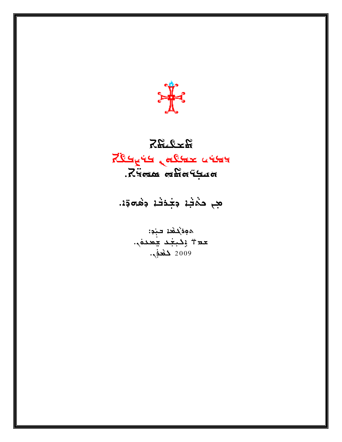米

220125 بكرهو يومند مدهمه مدمنهم Buti man mampy

هم حمٰقة دجفقة دهمةة.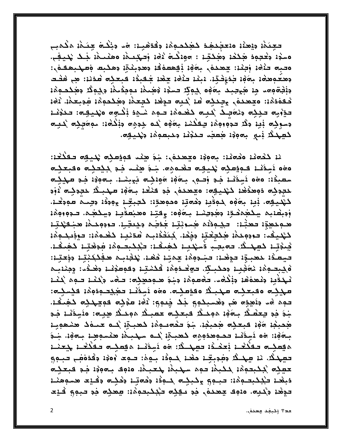تعثمْ: دِيمِيْنْ: 20جَعْجَمْعْدْ كَمِيْكُمْوِمْ: وَيُسْمِئْ: وَيَنْكُلُّ حَدَيْنَا مَكْمَنِي o المُدْدُ وَكْتِبُوهُ صَحْكُمْ وَهُكُنَّةٍ : مَوْدُكُنَّةُ نَاهُدُ وَسَكِّدِكُمْ وَهُدَاهُمْ بَعْدِ يَحْيَفُي وحبه حثقه وجثن يعمده بقفه نهمهم فدجينق ومدبعه ومهبمهمه وهتعوهاه بمؤه بدويانية. دبند حذاه يجفد جعبد وبعبات صدند: من هند دِبْتِهَ وهِ مِنْ هِيِّتِبِد بِهَوْهِ كِمِيْدِ تَسْدُدُ وَهِيمُهُ بِمِعْمَدُ وَكِمِيْدَ وَهِدَجَمِهُ فَقَفْدُهُ: مَعْمَدُهُمْ وَجِدَبُهُ فَمْ يُدِيهِ حَجِّدُ ذَهْدَ دَمِحْدُمِهُ، ثَقْرُ: ثَقْدَ تذويه تبكه ونوبك كبيه كغمة تبوه شوة بكوه ونكيهم: تحذف جسوده بنبه جثد حجوبومثه يعكثنه بمؤوه نده ججثته جنذفه: موسَحدة نحبته كعهك في بهوده معجد حكوم وحبصوه وتكيهه.

نْدْ كَنْصَفْدْ هَدْمَنْدْ: بِحَوَدْدْ مَعْمَدَهْ،: بِنَدَ هِيْنَدْ قَوْدِهِكِمْ يَكْتِهِمْ فَقَدْعُدْ: ەمە ئېخنى قودىلە پىيە تىخمەم، بىد ھنى بەيلىلىك مقبىلە سعبدُه: ٥٥٥ دَسِدُنَهُ جَدِ وَدعٍ بِآوَةٍ 1096هـ جَعِبنَهُ. بِ500 جَدِ مَهْدِ ٥٥ لحججكِ موعدُهُد كَيْكِيهِ محمدة , جَدِ كَنْتُدْ بِآوَةٍ مَهْنِكُ لِحَدِيْكَ وَوَ لَهْدِيهِ فِيهِ بِمَوْمٍ حَوَفِيهِ وَدَمِيّهِ مَدْمِعِيّهِ: كَتَبِيّتُهُ جَوَدَهُ وَتَبِيدُ سَوَوَيْدَ. بْدِينْسْدِيمْ سِكْعِيْمْصْدِدْ دِعْدِتِيْسْدْ بِـهُوْهْ: عِلْقَيْتِ مِعْنِقَقِيْدْ دِسْكَعْيِمْ. تَـجوبوهِمْد هـودهِدٍّد حمينُـد: حكِـودُه هُمونِتِـد جُدَجَـم وجِعتَـدِ. حودودهُد هميكيِّـد لَهْيَفْ، تَوْدِمِيْهُ، هَذْبَعْتِهُ دَفِيْهُ، جُبَنْتُوْبِيْمَ هُدَنبِهِ كَهْنَهُمْ؛ تَوْدَبْكُمْهُ فِيدَتِه كَعِهْدَكُ. تَعْبَدُبُ قَسِيْكَيْهُ كَهْدَفْهُ: تَجْكَبِتُوهُ، عَقِيْقَةٌ كَهْدَفْهُ، فيفند لمعبدة فوها فبجوه فمته كمتر فشاء تحفيه مفككنته ووعتها فكبحوث نوفيا ومكبك حولاجوة فكشتا وفوعونا وفخت ومنابم نهدةبه ونمعاهه وإكامه المحاموه وليو معودهكا المحام وكنا للعام كنا مهينة وفيعنيه مهيثة وفومنة. ووه نَسِدُنا بحَجْيِبودومُ، فيسنة: حوه فم وأهدوه هي وهمبكوو جُك خِعوى: أوهُ، عوْكِم كوميهكِم كَهْمَكُ، جَدَ جَدِ يَعْطَـدُ بِـ201 موحـدُ فَبِعَدِـ٦ عَطَـدُ مَوحَـدُ هِيَـ٦: 20سِدَنَـ2 جَـدِ مُحِبِجُةِ 104 فَبِعِدِهِ مُحِبِجُةٍ. بَدَ تَخْمَعُنِهُمْ ذَهَبِجَةٍ يُحْدِّ عَنْدَهُ مَشْهُوبِةٍ بِهِ وَمَ: ٥٥ نَسِخَنْهُ تَحْمُوهُ وَمِهِ مَعْبَدٍ بَيْهِ مِنْ مِنْ مِنْسُومِهِ بِهُوَةٍ. شِـدَ ھقطب دقگھنا بھگندا دھکت ہو ،پیوٹنا ھقطب دقگھنا ہیجننا تَعِيهِكُمْ. مَا عِهِدَكُمْ دِعْدِيقِيا حَقْدَ حِجْدَة بِيهِمْ: تَجِعَدُ وَقَدْمَوْجِ لِمَحْدِمِ تَج حصِبُه بُكِيدِهِمْ لِكَبِمْ تُومِ سَكِيمٌ لَمُعْيَمْ. 2010 بِ200ْ: خَدِ فَيَعْبُدُ ۖ دبغد تككبتوها: تبوو وكبكت كبود ودمتية ودكت وفيت مسوهنة تَدِهْدُ دِكْتِهِ. 2000 جَهْدُهُ، جَدِ تَقِدِّهُ تَجْكَنِتُهِمْ: صِهْدِه جَدِ تَنِبُهِمْ فَيْتَ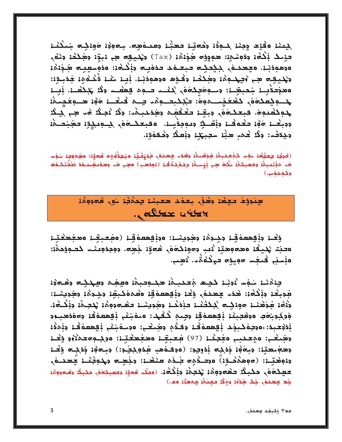لمحتنز وكيعا وجنز لمسوئة وخصقته وصعامته ومعاجمته معالمته المتفاوية وجند للمستخرج لِبِمِكْ بَكْتُهُ، ودَوِسْمِ: هودِذِه هَذِهْ، (Tax) وَيُحِيطِه هِي دَبِدٍ، وهَكْكُ، وَنَهْم ەدھەدند. ەجھىدە, ككحكە حبحەد حدەبى دۆكە:: ەدەسىبە ھذەھ جهيبه مع ويهلوك بمككد بقوه مجمودند نبد مغد فكفوه جدبون معذدةيه بمحبقة: وسعومَه محمد تنكر معتصد وذكر جُدَهَه. فيها لمُسْمِدُونَ وَلَعْمَيْتِ مِعْدَيْ الْمُحْبَّدِ وَمَا يَنْكُمْ فَالْحَمْدَ وَقَالِمَ مَسْمَةٍ وَسَمْ جُمِكْفْتُوهُ. فَبِعْكُمُو دِبِغْدُ تَكْفُفُ دِهْدَنْدِبِكُمْ: ذِكْرُ نُصِكُرُ هُمْ هِي بِيَكْرُ دَدِيكُمْ 1968 كَتْمَافْمْ دِبْقَسِيْرْ دِيْمِجِدْتِهْ. وْفَيْعَكْسَوْمْ كِيْمِعْكِدِّهْ حَمْيِجْتِكْمْ وبدَقت: ولَا تَعمَد هَيْهُ سَعِيبِهِمْ وَيُعَلِّمُ وَهُقَوَةٍ.

(هَجْدِ حِعْظِهِ مَهْسَ كَمْعَكْبِكُمْ هَجَعْنَكُمْ حَقْدَتْ حِعْدَهُ ۖ فَخَوْقَتِهِ مَجْعَةُ مَعَ مَعْ مَعْشَ امَدْ مَؤْتَقِيمَةٍ وَعَظِيمَةٍ لَكُمْ هِيَ يُؤْسَمَّةٍ وَكَمَكْمُكُمْ (دُودُهَـ) مَعِيَ امْدَ وَهَمْتَهْتَتَمَدَ وَتَكْتَكْتُمْهَا دكوخوجي

مِبْدِدِيَ تَعِفْدُ دِهْدُ , بِعَدْدَ مُعْبِيْدُ يَحِمْثُمْ مَهِ , هُوَدِهِمْ} . outban within

فِعْدْ دِبْقِهِموْقِدْ دِكِيدَةْ دِهْدِيشْدْ: وَدِيْقِهِموْقِدْ (وَجَعِيدٍ وَهَجُهَنْدِيْدَ محبَّد نكيفًا محمومِعتِّا ثَعب دِمواكمَهُم، هُموِّا جُعِم. دِمِجِدْمِعنْــد كَحـوِذِحمْا: ەنسنى كىغس مەيدە توڭەڭد. نصب.

بِيَهْنِهُ سَفِسٍ يُدِيْهُ كَجِيهِ مُعْكَبِهُ، هَكَوْدَبِهُ، وَسَهْمَ دِسِكِكِلِّ دِهْلُوْدَ فوبغد وذكاه: هدم جعده وخد وذيعهموق مضموكبقد وكوكف وهويمنا: جُلْهُ، طَجَعْنَدْ، 1499هـ بَحْكَتْمْ حَذِّدْهُمْ جَعْدِيشْمْ حَعْصَهِدِهِمْ، يَحْجَمْ، جِنْكَتْهُ، وْدِكِجِيَاهَ وَدَهْجِيتْهُ يَقِعْصُمْقِهُ دِجِيمٍ كَلْفَهِدَ: مَنْهَنْهُمْ يَقِعْصُمْقُهُ دِهِ وَدَهْبِود بْدَجْعَـبِدْ: وجَعِمْكَـبِجْكَ بْقِعْصَمْقْدْ حِقْدُمْ حِجْـبَيْـ وحِمْمَيْنِي بْقِعْصَمْقْدْ جِبْمَدْد دِهِجْمِهِيْدِ: دِيهَةٍ، ذِدْكِم نِدْوِيدِ: (2010هم، طِدْهِكِيدِ:) دِيهِقْ، ذِدْكِم ذِكْرُ دِيهِ بَعْدَ : (مَوْهِدُكُمْ) وَجَعَدُهُمْ فَيَدُهُ مَنْهُدَا: دِجْهِلُهُ دَجْهَنْدَ يَعْمَدُهُ ، مَعِيكِمَوْمٍ كَخَيْكُمْ تَنْقُمُوهُمْ يُخْتِخْمْ وَيُذْكُوهُ. (مَنْدُ هُوَةٍ: مَعْبِدُوَةٍ، كَبَيْدُ وهُودوهُ: لَبْط عِنْدَهُمْ لَبِكَ هُدُوْهُ وَوَكَّدَ كَعِثْهُمْ عِمْعَتْهُ مَعَالَ

حد # وكبغد جعدة..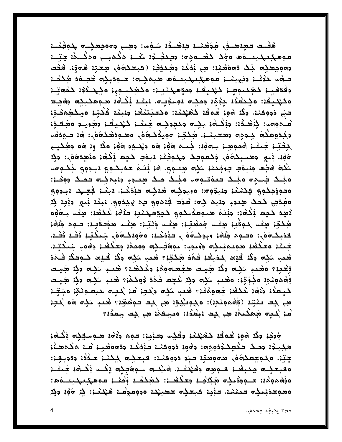هَتْـد حَمِيْمِـذِ فَجَهْنَـة حِيْقَـدُهُ حَـمِينَ دِمِــ دِمِعِمِيلِـم جِمِجْنَـة موهكىبىدىغە مۇك كغىمدە دېختىنىشىن مەكمب مەكىمىسى تېتى وەممىدىلە بىك دەەھىيە: ھې بْدَعْد دەجىدۇنىد (قېغىدەەل ھِغتى ھەۋد. ھَتْف تهد لخفنا ونبيشا موهكتهبت ها ميمكسين متوديك تحبيفه وكذبا دفدهب كجد وسا كهيف وحدههنيا وكجكتوب وكهندف كدمتا ەكېدىغە: ەكىنىغە جەھە دەك مەخوبى، مېنىم بْكَشْمْ ھىۋھكېكى دەچىد تب دووقند. وكُرْ وْوْمْ خُوفْهْ كَمْهْكْدْ: وكَتَبْتَغْعْدْ دِيْبْدْ فْكَتِبْ وَسِكْمُحْمَدْدِهْ فموصد: ذِلَاهْـٰدَ: دِنْكُـاهُ، بِكِـهِ دِمْعِدِكِـهِ جَمِعْـ، كَـٰهُـيْكُـ، دِهِوِيـدِ مَهْـفِـدِ: جكتوهكة ججمه جعجبند. محكته ٥ميدكة٥, ٥محودهكة٥,: ٥٩ تجدة د لِبَثْتِهِ جَمِعْهِ وَمُوجِهِ بِـهِفِهِ: ذَبِـم هَفِهِ وَمَ ذَبَحَـهِ هَفِهِ وَكُمْ وِهِ هُوَ مِجْدَيِـي هَهُد. بْبِي مِعسبِكِمَهُمْ. وَكَسِمِيكُ مِهْدِيْنَدْ دَبِيهِي كَشِهِ وَكُلُّهُ مِنْقِدَةِهُمْ: مِكْر مَكْمَ هَجْعَد دِيمَةٍ يَوْجِدُهُ مَكِمٍ مِيتَمِمٍ. هُهُ يُضَمُّ عَدْبِكُتُمِ يَبِيدِهِمِ بَجْكَتِهِم مَنِّدْ جَنْبِهِ مَنِّدْ فَتَقَوَّمِهِ مَنِّدْ مَدْ هِيْدِهِ فِيْمِنِيهِ فَمَدْ: محموجكم وكشغا دابةوها موبوكت شاكت حذذكا البغا فيهد ابدوي مضِختِي كَحَكَ صِعْدِ، دِيمِ كِم: شَجَعَ فِيمِهِمْ يَمْ يُهِدْمِهِ. يَبِيْدُ نِي ذِيْبِ كِنْ لَاهِدَ كَـهِمْ بَكْمَةٍ: مِبْعَمْ مَـمِوسَدْ كَمِيْتُمِ مِكْتَبِيةٍ حَلَّقَةٍ مِكْتَبِي مِنْ مِنْ م هَٰذَتِهُ هِنْد حَوَقْبِهُ هِنْد وَمَعْتِهُ: هِنْد ذِنْتِهُ: هِنْد هَذِكَفَيْهُ: فَوَهُمْ ذَافَهُ كفبكمة: محبه جَمْعَة بِجِكْسَة ﴾ حَبْدَغْد: مَحَمَدُ مِنْكَتِبٍ ذَكْرَ ذَكَرَ ذَكَرَ جْمِعْدْ مَعْكُفْدْ هُومِمْبْنِدُ ۚ وَوُنْدِيا: بِمِهَٰتِيْدِ وَوَحِمْهُ وَعِنْكَفْتُ وَهُوَيِّ شِيكْتِيْ. هُعَبِ حَكِم وَكُلَّا فَيْتَ لِمُدْبَعْدَ تَجَدَّدُوا الْمَدِينَ وَاللَّهُ وَكُلَّا فَيْتَ الْحَكُمُ فَلَجَدَ وَيَحْبِيْهِ ۚ وَهُدِ ۚ رَبِّي وَكُلَّا هَذِي الْمَجْمَعِينَ وَيُحْكُمُوا ۚ وَيَهُمْ وَجَابِي وَجَابَ وَجَابِي قْهُمُونِمُهُ وَجُوَّةٍ: وَهُدَبِ سَكِّ دِكِرْ شَجِعَتْ فَمَدْ دُوكِمْهُ؟ هُدَبِ سَكِنَّ دِكِرْ هَجِيت لَيْسَدُهُ وَلَامًا عَلَيْهِ مِنْهُمْ مَنْ اللَّهُ وَيُدَيِّرُ مَا يُحِسِّمُ مَا يَقْطِيمُ وَجَبِّهِ مِبِ جِد مَنْتِهِ (بَهْمُونِهِ): مَجْوِدُبُودِ مِنْ جَد دوهُمِّهِ؟ هُعَدٍ حَكِم هُ كَدِهِ ثلاثه بعيد به المُفيدة: 14 من بعد الله على حيد الله على معدِّد؟

وَجِدْ وَكُرْ وَوْءَ خُوفُهُ كَفَيْكُمْ وَفَكِس وَدَنْبِهُ: حَوِم وَلَاوْهُ هَـ مِسْكِكِم يَكْتُوْهُ هجبذا وصك فكهكذوهوم والموا وووقنا فإذكا ووماشيا فالمكمعنا جِبْنِ. وكوجِعكوَفِي هووهيِّن حبْدِ دَدِوكنَـنْ: فَبِحَكِـهِ كِكْنَـنْ حَـدُدُنْ دِدَدِبِـڢِنْ: ەقبىبچە چىبغى قىومە دەپنى، مېنە سوەبچە يېد ئېشى بىنى ەۋەھەمگە: تومۇمىيە ھېردى وتىگى : كھككى ۋكنى مەھكىكىتەھ: ٥ﻫﻮﻋﺤﻨﺒﺪﻫ ﺣﺘﻨﻨﺪ. ﺣﻨﺒﻨﻪ ﻋﺒﻌﺪﻫ ﺣﻌﺒﻨﺪ، ﻩﻭﻩﻣﻮﻧﻤﺪ ﻫﻨﺪﻏﻨ: ﺩ ﻣَﻪﻥ ﻭﺩ

حد + يكبغد جعدة).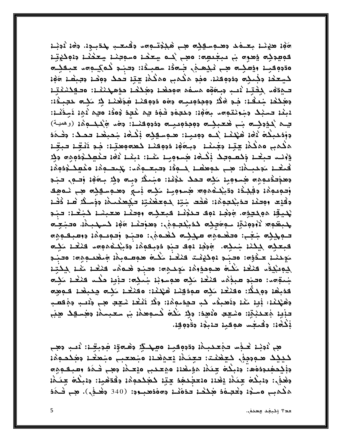هُهُ هيْنَا بِعِيفَ وهيهِ الْجِيم هِي هَجْدُتِيهِ وَفَيْعِي جَدْبِيهِ. وَهُ: يُوَبِّي كومودكه وهوه ب مبغيضه: معبى بُده يتخمَّد مسوحند يتخفَّد دِهِكَهْتِد ەدەقبى ودىكتە ھى ئېھىنى بەدە سىبىدْ: دىند كەكبەس مىقكت كيعفه وجُبكِه ودووقنه. وخو هكُمب وهكُمْهُ عِبّةٍ حَمَدٌ ووَصْهُ وَجِبَعْهُ وَوَمّ تَجْدَهُمْ كِثْقِيمْ نُصِبْ مِنْكُوْهُ هُمْنُهُمْ وَهُدُهُمْ فَقِيلُ مِنْهُمْ مُحْتَمِّدٌ وَسَلِّكُمْ مُقْتَبِ وَهَٰذُهُ شِعْفُهُ: فِـدٍ هَٰذُ وَوَجِدُومِيِـهِ وَهُوَ دُوقِعَنْهُ فِي ذَهَبُ مَنِي مَحِيدُهُ: لْبِغْدْ حَسِبْكَ دِسْوْنْتُوامَدْ بِاهَٰذِ: دِحْجَمْدِ كُوْدْ صِي حَجَدْ ذُوتُهُ عَمْدَ مُسِدَّنْـدْ: **يـم ندوديـه بـ هعبيـه ووجدوميـه ودووفنـ: وهم ونكيـومي (وهية)** دِوْدَهِيكُمْ لَامْ: هَيْنَنْدْ يُده دِوِينِ: هـوِسِهِيْم يْكُلُّهْ: شِحْبِهْدْ حَصَدُ: دِفْسَهُدَ هكمبي ممكمة يجتد دخنند ادباءة دووفند كحامومحتين جد أنقن حبقة يْهِيْتِ حَبِّيْتِهِ وَجُعْبُوبِهِ يَكْشُهُمْ مِجْتُومِيْهِ حَيْثٍ يَبْتُتُمْ يَاهُمْ حَكْمِيْحَدُومِهِ وَجُرْ فبغل مواعيلهم ومستبق والمتبعة الموارد والمستمرين والمستحدث وهوقد وهوم هسووية ككه فقك حوية: مستكر وبله وكر بلووه وفلول فنو وَتَوَعْمِهُمْ وَفَجْدُهُ وَدَبْكُ هُمُوهِ مُحِسَوْوِيْهُ حَكِمَ يَمْسِيُ وَمَسْهَدِهِ مِنْ نَسْوَهِك دَفْيَت ووحتْه حدْبْكْجُوهْهْ: هَجْد شِيّه كومحْهْنْدِه حكْمِحْكُمْهُ دِدْسَكْرْ صَاءْ ذْخْمَ نديقة هوكيدة. ودخد دوك تحذيد كبعدة ووتند معبسة كبغد: تبد مبقوم لأودونكة سووكتهم كدبكت ومواحف وأوالكم كمهبكة وحبيب توچيك بغي: ەدھىمە مچيك كھىمە: ەدبد ودەبىوە: دومبكىمە فبعله ببلنة شبله. ودخة دوك حند دديكوة: ددينه موسد فنغة مكه مُجِمْعُهُ مُحَدِّدِهِ: مَحَبَّدِ 20كَيْفَتَ كَنْتُفْ مُكْتَبَة هُوسَنَاهِمْ وَمَقْعَلُوهِ وَحَبَّدِ لجومنجقد فنغد مكلة محوجوه موحكوه: وحبد فحقه فنغد مغنو للحجب جَمَعَهم: مَصِبْدِ صَبِذْهُمَ كَنْتُمْ مَثِمَ هُمِعِيدٍ جَمِيلِهِ: حَبْيَةٍ حَكْمَ كَنْتُمْ مَكِنَّه فدبها دوكذر: وفنغا لكه مودفنا هندا: وفنغا لكه حكبها والموجه وَهَيْكَنَا؛ بَيْهِ حَدَّ وَلَاصِبْدُ، كَبِ حَجْدَبِهِمْ: وَكُلَّ نَتْتَحَا شَيْبَ هِي وَنُصَبِّ وَهُ فَعَبِ حنِيهِ مَعْدَبَتِهِ: مَسْعِدِ مَنْصِد: دِدِ مَكْتَ كَسْوَهِمْهِ بَيْ سَعْبِسِمْهِ وَهُسِهِدَ صِبْيَ بْلُهُ: دِكْتِكِس هوكية حَدْيِدُهُ دِدَّدِهِ 14.

هِي آدِنِهِ تَحْذِيهِ حَمِّعْكَبِـمْهُ دِدْدِهِقِيهِ مَصِّحِكُ دِهْـهَةٍهُ طَدِيقِـهُ: آدَيبِ دِهِـي لليلد موددفي ليفنته حينك يعوفيه وبمعيى وبمغد وملاحوة دِيْكِمْفِيدِدْەْھ: دِيْنْدَة جِيَكْيْ هَذِيقْنْدْ وَهِجْتَيْنِ وَيَجْتَمْهُ دِهِي شَكَرَ وَسَبِكَتَوْهِ و وهذي: ودبلُه جِعَمْهُ يَهْدُهُ ودعجَدهُمْ جِبِّهُ كَهْكَدُوهُهُ وَفْدَهْدِهُ: ودبلُكُمْ جِعَـمْهُ  $\hat{\mathbf{A}}$ ھڭھبى مسند جندىمد ھىلاھى تىدەنىيە دەمدىسىمدىن (340 دىھىدى). ھىي نىمد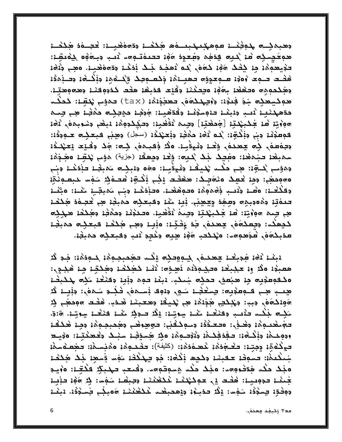وهبمكسه لموفنه موهكيهبيه فكفئ وة وفضيل لحجه فكفي هوغكمره فن كبيه يحفكم دفعدة هون تحتفقهم لأنب دبهوه كِفْتقِين َلِجَمِعِدِهِمْ: مِنْ كَثِكَ 104 كَمَعْ، رُكِم نُعْضِدَ خِيَكَ يُدَخْسُ: وَحَمِعْهُمْ: وَمَنْهُ: هَتَـت تـوج وَوَدِ سـوِجِدِه تـهبِـنمْ: وَكَسـوتِك وَكَـثَوْمٍ: وَفَكَـثَوْ: وَتَـبْمَدُ: دَهْكَجْمِهِ ٥- هَمَعْدْ بِمَوْدْ وَحِيْدْدْ دِكْيْدْ قَدْبِهْدْ هَتْتْ كَدْدِهِقْدْ دِهِ وَمِحْتِيْد هوكيهكِم بْدُ فِيدْدْ: دْفِيهْكُمُوْمْ بِعْجْدْدْدْ (tax) حَمْدِي بْكِتْبْ: كَحَكْتْ متعهدنبا لابب وببنا بالمنونا وفتغيا ووديا موجبات مذنا مي بنه هووية صد جُكبهجَةِ [مَحْضَبّة] دَبّهم نَقْضية: دَحَكِكْدِمِمْة دَبِضْ دِسْعِيمَةٍ ، نَمْهَ فوعدُنا وبن وبْكُوبًا: لَم لَاهَا حَكَاثِه وبُعَهْدُا (سجل) وهِبْ فبعثِه علودُا: وجفعف فه عمده وخد ونيوفيه. مثر وعبده في جدا ون وفيع يعهدونه سمبغد حبمغد: مفعك بك كبيه: وَيَحد دِجِعلَهُ (جَزِية) مَدِّب يَكْتِبُ مَجْدَةُ دِهِيْبِ لَا يَةِمْ: هِي حَكْسَ يَكْيَفْ ذِيْوَيْتِهِ: ٥٥٥ دِينِيْسَ مَهْبِيْهِ حَدِّدْهُمْ دِينِي ٥مەمدىنى: دِدِ: خَطِكُ ٥ مَمَاسِـكَ: ھَھَلَـد يَنِّي بَكْـةٍ: لَعَـدِهَكِ حَـهِ حَـمِـمِنْجِّ: وفَكَتْحَا: وَقَدَبَ وَذَبَبٍ وَأَوْهَوَهُمْ وَحَدِقَوْمَ فَقَدْتُنَا وَجَبَ مَهْبَتِينَ مَثْنَا: وَجُثَمَ تتفتِّدْ دِهْودِبِهِ وَسِفِدْ دِيَتِهِيْنِ. بَيْدْ مَدْدْ دِفْبِعْدِهِ حَمْيَتْهُ هِي كُتِّيفَدْ هَكْشَدْ هِي جِيم ٥٩, تِنْ قَدْ جَدْبِهُجَةِ وَجِيمَ نَقْضِيهِ. وَحَدَثَنَهُ وَحَدَثَهُ وَجَدَدَهُ مَهْدِدُه كجعند: وجعلةفي جعدفي جد وَختِه: منجِه وهي هٰذخه فبعدِه حميثة مدبلة في مؤهوم من المحمد من الله عليه ونحجد لاحد وكبعده حمبغه.

لْبَعْدْ نْهْدْ جْحِيبْ جِعْدِهْ, كِجْمِهْدِمْ يْكُبْ حَجْمِيْجِمْ بْمُدْ بْدِيدْ لْمُرْشَدْ بْحْدِ كْر هصبدا ولا والمجبخا وحكوده الأعجوم: ثنا كهككا وهكتا جا هجوى: وكقومغيه م مختمع حمكه شكب ديند حوم ونيد وفنغد ككه لحكيف هِعَبْ هِيَ فَيُوْمِيُو: فَيَعْقِبُ شَوْءٍ دِهِ فِيَسْمَوْءٍ فَجُنُو شَمْوَءٍ: دِفْعِيْ كُبْرَ ٥٩٤كَ٥مْ، دِبِب: دِجْكَتِي هُذِهُمْ هِي جُدِيقْهُ دِهْتَبِسْهُ هُدُدٍ. هَتَـْتَ ٥٩مِحَهُنِي كِهِ ككِم جَكْب فَقْصِب وقَنْعُمْ كَمْمْ شِوتِهْ: إِكْبُ فَلَوْلِا كَمْمْ فَنَعْمْ شِوتِهْ. 7:5. تَجْمَعُنِيهِمْ: وَهُنْدُهِ: وَتَعْتَدُدُ دِينُوكُونِي: تَجْهِيدِهُمْ وَهُدِيدِهِمْ: دِينَ هُكُلُفَ: ودومدهُ: دِيْكُوْ: حَقِّدَفِكُمْ: دِيْدَحِمِهُ: 20 هِنْ هِنْدِكْ: سَبْكُ دِيْحَمَنْدِيَّا: 20 هُنْ ح تعِكْفَةٍ: بِجِبَةٍ: تَكْتُوَدُهُ: شَعْفَدَهُ: (كَتَيْفَةٌ): تَتْخَدُوهُ: هَدَيْنَ مَعْنَدَهُ: تَصْعَدُهُ مَجْ جَنْكَتَمْ: تَسْوَفْهُ عَقِيمَةَ وَكَيْفَةٍ فِكْثَةً: فِهِ يَهْكُفُهُ مَوْسًا فَسَعِةٍ جَدًا هَكْفُمْ ەند دىم ھەندومەم ەند دىگ ھىموتومە. دىمىم تىبىق قىقىد ەرب جُمعْد حومِيدِ: هَتَـد فِي حوكَبْكَدْ مُكْفَعْدَدْ وَجِبْعَدْ مَوْسٍ: فِي 10ُوْدْ حَبْيَـدْ ووَفْدِ ْ يَسْوُدُ ْ شَوْسَا: إِكْرُ تَدْبِنُوْ ۚ وَيُعْصِبِكُتْ نُحْكُفُنُنَا هُوَبِكِي تَخْسَوُدُ، دَبِنْنَا

حد + يكبغد جعدة).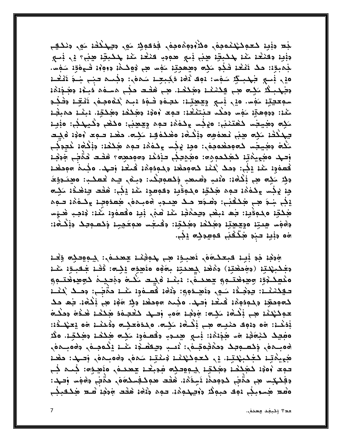بْع دِنْبِهِ كَعُمِكَتْبَعُمِهُم مَكْرُوْدِهِمُوْمِهُمْ فَدَقِهِكُمْ مَهْمٍ وَيَحْكُفُهُ مَهْمٍ وَنَكْفِع جنبِهِ جَعَنْعُهُ مَعْهُ حَكْمِيَّةٍ هِنِّي بَيْنٍ هُجُوبٍ فَنَعْهُ مَعْهُ حَكْمِيَّةٍ هِجْرَ؟ فِي فِسْح لْجَمْبِةِ: حَكَ ثَثْغَةَ فَـٰلَةٍ مَكِنَّ وَهِـْهُمِيَّةٍ مَهْسًا هِجْ ذُوكَـٰهُۥ وَوَوْۥُ فَـٰهِ فَـٰهِ مَـٰ مَا مِنْهِ بِنِهِ سَلَّاءِ مُسْمَدًا لِهِ مَا يَجْبِرُهُ مَكْبِيبٍ مِنْ مَقْدِيبٍ مِنْ مَنْ مَنْ مَن وَجَهِدِيكُمْ مَكِنَّةٌ هِي فَكِنْشَدْ، وَجَكَدْهُ، هِي هَتَبَ حَكِي هَسَاءَهُ وَجَدُوْهُ وَهُدَدُهُ سوعيتين مَوْس. و2 فِي چِيچِينا: هجـوَدِ فيود 1بِي لِمُوْوَمِنَ ۖ ثَفَـٰتِـ 1 وَفَـٰفِـدِ كْنَا: دِدِهِهِدْ كَفِس دِحكْت تَجْتَنْتُوْ: تَوْعَا وَوَدْ دِهْلِكُمْ دِهْلِكَةٍ. دَبِنْتْ حَمْبِتْت مَدِه وهَيتِي كَعْتَنْبْ: ەَيْفُسْ بِكَفْمُهُ تَوْمَ وَعِيْقِيْ: فَكَفَى وَكَيْهَدُبْ: فَبُنِهَ يهلُكْتْ، مَدِه هِبْي يُعدَمِهِ دِنْكُـهْ، مَعْكَمَةِ، مَدِّه. حَغْد توعِ وَمَدْ، وَكِت كُلُّهَ وَهِيجَت كَامُوْهَمُوهُمْ: وَمِنْ يُؤْتَبِ بِكَفْتُمْ تَوْمَ هَكُفْهُ: وَيُكْفُمْ كَتَبَوَّكُن وَفِهَا مَعْيِيمَتِهُ كَعَبْكُمُوهِ: مَعْهَفِهِ فَيَوْنَهُ وَمَوْجَعِهِ؟ هَٰفَـٰفٌ تَمَّقُوا بِهُوَجُمْ فَعِفْدٍ مَنْهُ إِجْيٍ: حِمْدُ زَمَنْهُ دَحْوِمَهُ حِمْدِهِمْهُمْ فَسَعْهُ وَفِيحٌ. وَجُمَدُ حَوِمَهُم دِيْرَ مَيْهِ هِي بْكَاهَةِ: هَنْصِ دِهْمَهْدِ ذِكْسُوطِكُمْ: دِجِنْهِ فِي تَحْصَـٰدِ: هَهِـدَـٰدِدِهَـدَ جِنْ يَٰذِسْ بِكَفْمُنْ تَوْمَ هَٰذِكِنَ وَكُومَتِينَ جَعْبَتِهِ مَثْنَ يَذِي: هَٰذَتَ يَخْلُفُنَ مَكِنَّة يَنِي شِدَ هِي هَٰذَٰلَٰٓفَنِي: وَشَدَيَدَ حَـدُ هِندَهِ وَمَحِمَقٍ هَٰذُمَنَ عَذْمَةً لَا تَبْدَهُ هَٰٓدَتِهُ ٥ دوَقَٰيَةُ: جَـه 1 دِهْـي دِيـٓحَمَٰثِهُ حَمْهُ ثَمِي نَبِيهِ ٥ فَعَمَوْهِ ۚ خَمْهُ: 13جب هَـيِّس دةفس هيتز ووجعتا دهككا دهكتا: دفيجس حوعَجِبا ذكعوبك دنكما: هه دنيا حند هگفنې فوصدکه يک.

وَجْدَ جَدٍ نَبِيدَ فَبِعَكُمُوهُ ۖ ذَهَبِيدَ مِن جَمِيدَةٍ عَمِيدَةٍ ۚ وَعَلَى الْمَحْمَدِ وَعَلَى دَجْكَبِهَةٍ (دِمُحَمَّدٍ) دِمْغَدٍ كِعَدِيّةٍ بِمَوْهِ مَفْجِمٍ يَكِم: ذَفْءٌ جُعَبِـةٍ؛ شَـٰهُ مفهكذةٍ وهِوفتومٍ يعددُ مِنْد فِيت مَثْلَه وَجَعِيدَ فَالْمُسَوِّرِ وَالْمُسَامَرِ تَعْكِنْتُمْ: يَجْفُدُهُ شَيْءٍ جَلَاهِيْدَةٍ جَدْهُهُ فَقَسَمَةٍ مَدْمَةٍ مَقْضِيٍّ: حَصَكَ يُحْفُس كَمُوجِعْدِ وَكُودُوكُمْ فَيَحْدَ وَكِيدٌ. وَكُمِيمَ مُوجَعَدٍ وَكِيْرَ مَوْمٍ مِنْ يَكْتُوهِ. كَمَد حك موكهكة هي فكالله مكان الموجد الموس وكهل كعبادة هككم هندان وحكاله بْدَعْد: ٥٥ دِ٥٩ دَعْيِـهِ هِـ نِكْـهُ، مَكِـهِ. ٥ دَعْكِـهِ دِدْعَتْـ، ٥٥ يَعَـنِكُـدْ: ەَجْدِدْ دَبْمَةٍ مَدْ هَذِهُمْ: بْسِي هِعْدِدٍ دِفْعَـوْدٍ كَذِم هَدَمْـ دِهَدَمِّـ ، وَكُرْ joaجمەر چۈكسىم بەخمى بىنى بىلەر ئەسىب بېرى ئېلىن ئىن ئىلەر بە ئەھلىمەر ئىلەر هُوِيهُتِهِ كَجُكْبِهُتِهِ. 2, كَعُوكَهُمْهُ وَسُعْتِهُ سَمْعٌ, وَهُوَسِمْعُ, وَصَهَدَ: حَفْظ توم وُوَد كَمُحِكْدُ وَمُحِكِّدُ كِووَتِكِ هُدِيْتُهُ جَمَعَتُ وَدَهِيدَهِ: جُنْمَ فِي دِفِكِهْدِ هِي حَقْتِي كَدِهِجَمْهُ ثَبِيدَةُهُ، هَتَت هُوَكِفِيكَوَهُ، حَقْتِي دِوْمِهِ ۖ وَتَهَدُ: هَلْكَ هُسُوبِكُمْ دَوِكَ حَبَّوْكُمْ دَوْتِيهُمْهُمْ. توج دَاثَة هَتُت وَدِيْدَ تَسْكَرَ هُكَكَبِكُم

حد + يكبغد جعدة).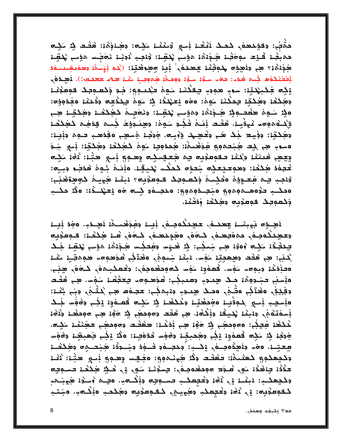حقَّتِي: وقدْمَعْمَى كَمَكَ ثَبْتُكُمْ بِسَيْ وَمَثْعُمْ مَكِنَّةٍ: وَهُنْدَوُهُ: هَقْتُ فِيْ مَكِنَّ حميتيه فيعا سواهيه متجففه متسبب والمحتولة والمحافية والمستحقين والمتوسر هُذِهُهُ؟ هِي دِلَهِذِهِ جَدِيدٌ يَعْمَدُهُ ۚ ذِيهِ وَهِوَهُتِهُ: (بُده بُهْسَمَة وَهَمَعْمَدَهُ ۖ فِطْعَدُهُمْ كِنْدَ هُدَا: حَقْدُ سَوْلَا سَوْلَا وَوَصَدْهُ هُدَوِجِيدَ عَمْدُ هَدَاسِينَ). لَاهِنْدَهُ، يِكِم جَكِبِهَتِهِ: سوءٍ صودٍ حِقِكَتَنِ سَوةً كَعَبُدُومٍ: جَدِ ذِكْفِ وَقَعِدَ فَوَقِيدَةٍ כּפְּבֹצֹבּ בִפְּבֹּנָ בְּבֹצֹג בְּפְבֹּוּ פְּסֹם וָדֹּצָבּוּ בְּ בְפָבֹדָ בְּצֹבּבָה בְּבֹּצֹבוּ סִדְבִּפְהָ وذِ سَوِمَ مَعْقَدِوذِ مَجْدَمَةٍ وَهَذِيبٍ يَجْتَبِي: وَيَوَقِيمُ كَمَخِذَهُمْ وَمَخْذَهُمْ مِنْتَ تِيْحَدُهِ وَاللَّهِ عَادِّيةٍ. هَتُـد بَيَـمَ تُـجُـدٍ سَوِمَ: دِهِـمَـدِدِهَ جُـم هِدَهِم حَجَجَحْد وَهَٰذَتِهِ: وَفِيدِ جَذْ هَـ وَجُمِيحَ وَوَيِـهِ. وَوَجْدَ مَسْعِي مَقِدَهَبِ فَـهِمْ وَبَيِّدْ: مسوب هي جد هنتده وم به وله الله عنه الله عن الله عنه الله على الله عنه وِجِعِي هَعَنْنَا وَيُنْا تَقْوَمِنُوبِهِ بِمَ هَتِعِيمِيْهِ وَهُدِمٍ نَسْمٍ هَتِّا: لَاهَا كَلِيهِ لْحَجِمَة هَدَجْهِ: وهوجَدِحِدَة شَجَوَة كَمَكْتَ يَجْتِهَةٍ. وَفِيَمْ شَوْمَ هُدَجَةٍ وَجِبَةٍ: ذُهِبِ يهِ فَعَجِيدَةَ وَهُلِيجَ ذِكْسُوبِكَ فَوَسِدْنِهِ؟ يَبْعُدُ هُوِيجَةٌ حُوِمِيةٌ هُنِّي: محكب تذه هـ جمهم وشبت ذوهوم: محبــود كِــه هو يمينــدُ: ولَا حكـب ذكعوبك فوعدته دذكك ودفنه

أصِبة بَيْنِسْدَ بِعَعْدِهُ حَصِّدَكُمْهِـمْ بَيْدَ دِهْدَهْدِـمْ، لَاصِبْدِ. وَهِدَ بَيْــد بتعيد كمجموم مماسم مختصفه مخوجه من من من من من الله من الله على من الله على معامر من الله على من الل يَكْتَخْدُ مَكِنَّةٌ وَوَدْ هِيَ شِيخِي: فِي هُنْهُسْ وَعِيدَكُسْ هَذِيْدُهُ وَمِي يَكْتِبُ بِشَكَّ لْكِنَبِ: هِي هَٰذَت دِهِهْجِيّةِ مَهْسَا دَبِنْهُ شِعْهِدٍ وَهَٰدَكَنِ تَعْوَهُوا مَعْهُمَاتِيهِ مَثْلة ەدەندىكى جېمەمدىكەت كەممەدىكى مەم ئەمدەدەن بىقىلىگەن كەن ھىنى. ەنسىنى كېيوېدا كى ھىجې ومىبېر: مۇھىۋەت چىققىلا كۈس، ھى ھقىد دفيدة ، مغدَّني متَّـمي ، مصـد معمد ديمين حجـمت مب للتَّـمي دني شد: ەنسچىر نسى كوۋىيە ەۋدھىتە دىككھى كە مكسە فصىفوه يكى دەۋس جىك بْسفتَفْجَى دِينِنْدْ يُحْيِقْدْ دِيْكُمْدْ. هِي هَتْت دِ٥٥مِحْصِي بِهْ 10\$ هِي ٥٥مِحْصَدْ دِيْقَةْ لْمَحْلَفْدْ فِيهِجْي: ১૦,٥٥٩هـمِ لِمْ 10\$، هِي بَدَنْدْ: هَاهْتُـد دِ٥,٥هِجَمْعِي حَجْنَتْدْ حَجَـ٥. جَدْدِ لِهِ مَكِم فَعَمَدٍ إِلَىٰ حَجْحَبِهِمْ حَمْعَهُمْ خَدَمَتِهُ: 20 إِلَىٰ خِمْبِهِمْ حَمْعَهُم ببحته ومد داهده ودعاه وكبب دعباه وخاف وجادف مجتنبه ومكملا وكيعكوم كعنيذا: تغفت وكَد مُحِينَة ومُ مَعْلِما وِمَعِهِمْ نَسِي مِنْهَا: ثَنْهُ حَدّْدُهُ بِهِنْدُهُ مَهِي مُحَدِّدِ ٦٥مِحَمْدِينَ بِمُدْمَدَ مَهِي إِلا مُحِكْدَ لِمَحْدِينٍ حَسَبَتِ وكمعكب: 2بِنْتْ إِلَىٰ ذَافَةٍ وَيُحْتِمِكْبِ تَسْتَوِيْرَةٌ وَيُكْتَبِهُمْ وَسَيْدَةٌ فَيُوبِنَهُمْ كقومغيم: ? , ¿ة؛ وخبعكب وهييم كقومغيم وهكمب مؤكمب. منتب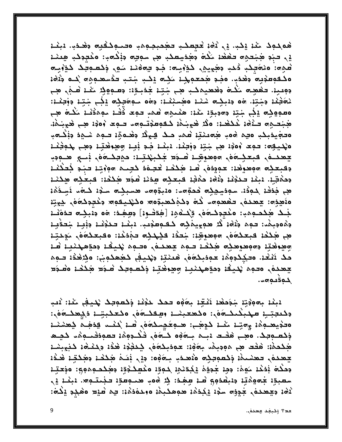هُمكوك مُعْ يَكْبَ يَا لَاهُ، تُحِصِكُب تَضْحِبْجِوِهِ وَسَنُوكُفِيهِ وَهُنَدِ. يَبْعُمُ يى حبّد هُبْحيِهِ حَقْفَةَ حَكْمَ وَهُدَيْعَكَبِ هِي سُوحِهِ دِيْكُهِيا: ١٠٤٠هِكَبِ هِعَنْة للمِمت: منصَّيِكِ ذُهب دَهْمِيمٍ كَذِرْبِيتٍ فِدِ يَوفَنْهُ سَمِي ذِكْسُوتِكَ كَذِرْبِيتِهِ مكقومغيه وخدم وجد جحتويك ككه يكب لمنت تذليقهم من المو دوميد. حفعيه مَكْمَ دِهْعيهكِ هِي شِتِدْ جُدَبِيّةِ: دِسْوِيْةِ مَعْدْ شَيْ هِي هِي نەڭغا دېچا. 60 دىبك ھند ەھمنىدا: دەە مەكچكە يكى جتد دۈجنىا: ەھوۋېدە يېنې بېتىن دەدبىق مىنى ئىمە توغى دەن ئىن مەمۇنى مىلە ھى هُبْتِيهِ تَنْهُدُ نُكْفُدُ: وَكُرْ هُبِينَهُمْ كَقُومَتْدِتُوهِ تَعْمِدُ وُوَدْ هِي هُبِينَةٌ. ەدەپدېكب ەيم ەەب ھەمنتيا قىمى مى يېڭ دەمەق ئىمم شىمد دۆكىمب ههديهه: حومت وُهوْد هي شتِه دِوْجِعْه. دبعْد جُدِ يُعِد وهِدفَعَتِه دِهِي جُمِجْعُد جعده وبعده ومعوهد فوك بدبلاتيه دوبدوه في الله عبود وفبعده موموها: عودِدَهُ, فَلا مُكْتُمْ تَحْتِمْدَ كَتِنِيم مِوْزِيْدْ بَنِدِ كَتَكْتُلْهُ وحمية. تبنا حدوثا وثقا حميا فبعده صدئا فود محددا فبعده محدثا مِي جَدَفْ كُمِدْ، سودَسِهِكِه خَصَّةِمِ، 20بِدْوِهِ مَسْبِكِهِ سَنْدٍ، كَشَدَ كَمَنْ لَاسِدُهُ، مَنَعِيْهِ: جعدهُ, تفعوهِ ذَه دِكْمُكَعَبِدَهِ مَكَبْدِيهِ مِنْتَدِدَكَهُمْ, يَهِيَّة لَبِـدُ هَٰذُهُ مِهْدٍ: مَخْتِدِدُ وَهُ رَبُّدُهُمِ ۚ [هَتَفْـوِيْ] دِسِهِـدَ: وَهُ دِيْبِذِ وَ حَدَهَنْـيْ دِمُودِيمَٰ، حوم دِمْهُ، لَا هويِيمَٰذِ كَحَوِصِدُبِ. يَبِنْهُ حَدَيْنَهُ دِبْنِهُ شِحَقْنِهُ هِم هَٰذَهُ، فَبِعَدُهُمْ، ٥٩مِدِهِيَّةُ: شِعَثْهُ فَيُهْدِمُ حَجْدَتُهُ: ٥فِيحَدُهُمْ، شَجِدَيَّة وجوهته دەومدومدە مككد توم يەمدە، ەتوم پديكە ددةھپنىيە قا حك تَثْعُدْ. وَحَكِكُدِهِمْ حَوْدَبِكُوَهُ، هَيَنْتِهُ دِيْكِيفِ كَهُهِكُوبِ: وَكِرْهَدُهُ حَـوِمَ جعده ، ەدەھ پديقا دەۋھىدىيە وھرىختى ذكصوبى شىدَ ھىدَد ەشدَة  $\overline{A}$ 

لْبِغْدْ بِهِجْدِيْدْ بِذُهَقْدْ لَيْتِّهْ بِهَوْهِ حَمَدٌ حَذِيْدَ ذِكْفُوطِكَ يَحْيِقُ خَيْدَ: لَاصِب وكعجتية مهيكيك وأشعبتنا وصعك وأمتحكمتها وكحليته فالمحكم والمنافي مَحْدِيعِيهِمْ بِمِعْهِمْ بِهِجَاءَ مِحْمِيدِهِ مِحْمِيحِمِيهِمْ فَقَالَ مِنْ يَحْمِيهُمْ فَقَالَ مِ وَكَعَلَمِهِكَ. وَهِلَّ هَفْلَتْ لَابِلِمْ بِلْمَوْهِ كَلَّمَوْهِ. فَكُلُّوهِمْ تَعْمَدُوهُما كَهْلِه هَؚٰڵڂۿڹٛۥ۬ۿڂڡڝ؞؋؋ڋۿ؞ڹ؋؋ڹ؞ؾ؋؋ڹۮ؋ۜ؈۫ڮڂڂۮؚۮۿڬۮ؋ڬڂۿۮڴڹ۬ؠۣڹۺۮ بعدده , حعنىلهُ: وَكَعْمِجِكُمْ مَنْصَحْبِ بِمَوْهُ: وَيْ يَخَلَّمُ هَٰذُكُمْ وَهُكُنِّهُ هُخُدُ دِحْكُمْ بْدَعْدْ حَوِيْدْ جِدِدْهُ يْكِدْخْمِرْ كِودْ مَكْطِكْدْدِّدْ دِهْكْحُومْوْ: وَجْعَيْـْدْ سعبق جمهقة ومضموم من جمع بمعن بين من الله على الله على الله على الله على الله على الله على الله على ا لْهُ، دِيهِمَدِهُ، جَدِدِهِ سَدْ، يَكِدَمُ، هوهكبِمْ، هوهدهُمْ: یہ طَيْع هڤكِدِ يَكْهَ:

حد + يكبغد جعدة).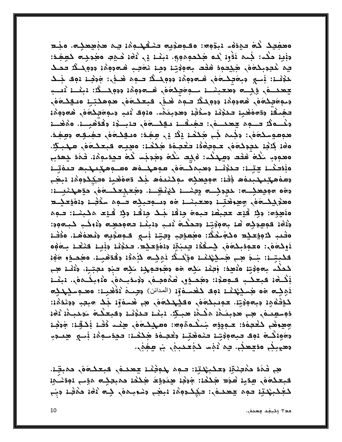o محفِيد كَمَ حيدة مدِجَمِه: مقدِمِه حمْنَهم مِنْهُمْ بِم مِنْ مِهْمِمِهِ. مَنِع دِنْيِدْ حَكْد: جُمِمْ آَدّْوِدْ بُمْ هَٰذُكُمْ هُومُومِ ۚ وَبِنْدَ إِلَى آَمَا ضَهِدٍ مَعْدِيْدَ كَعِيفِيدَ: چە نىجوبكەە، مېكتود ھىد بەوۋتە وجە نەجب ھەووۋە وووكىلا تىمى جعده وبسه ومعبسه سوةجكةه هامووة وووكث: ينسه ثميب جىمەتىكەە ، ھەدەھى دەەكلا توم ھەك كېتىكەە ھەھكتى ەنگكەە تَشِيقُهُ وَدَامَاهُنِهُ تَحْدُثُهُ وَسَدَّتْهُا وَهُدِيتُمْ، وَ20 نُصِّ وَيُوامَكُمْ هُمُوهِمْهُمْ دنْــولَا تــوم يبعدــوٰ,: تفِيقَــ، بِهِدَــوَوْ, تَبْـذِ، دِقْتَقْبِــ، وَمُغْـــ، هوموسكة في: وذُبم في هٰذَهُمْ إِكْرَ إِن صِهْدُ: وَمَعِيدَةٌ وَصِهْدِهِ وَصِهْدٌ. ٥ﻫ٤ ﻛِﻧْﻓِﻨ ﻜﺠﺠﻜُﻣَﻪ ﺟـﻬﺠﺘُﻔْﻧ ﺣﺘﺠـﻔَﺔ ﻫﻜﺘﺪ؛ ﻩﻫﻴﺒـﻪ ﻛﺒﺠﻜـﻣَﻪ ﻣﻬﻴـﺮﻛِّ. ەھەدب كُلُّە ْھْتُد دېپىڭد: كَفِت كُلُّە دِھْدِجْس كُلُّە تەھدىمِكْ1. تْكَاد شِھدَب وَبَدَدَهُمْ يَجْرَعْ: تَحْذِيْهُ دَهْبِمَكَلَّةَ وَمِنْهُمْ مَقْلِمَةٍ وَمَجْتَهَنَّهُ تَعْمَيْتُهُمْ تَحْدَث جعفهكبكبيفه فذا ووجعكه لوكنيفه لجك دوفغيا وحككووها ببغى دەە مەممىكە: ئىددىس وينسا ئىنىشىك مىتىبىك مەن مەھكنىيىك: معذبيكمة وجرهته ومعبسه مه وصوحبيه حوم سؤخه ودةوعيص هُمُجِوَّة: وَفِيْ قِيمَ حَجِبْهُمْ حَبِمَةَ جِنفُهُ فِيْدُ جِنفُهُمْ فِيْدِ مَحْبَسْهُ: حَـهِمْ جُثمَة كوطِجِكِ عَنْ بِحوِجَتِهِ وَحَكَمَ يُصِبِ وَيَبْعَدُ حَجَوِجِكِ وَيُوكِبِ كَبِحَوِجِ: مَقْعَدِ لِهِ وَجَعِيْدِ مِلْمَحِيدِ: مَجْعَدِّدِ، وَجَبِّدْ نِسْمٍ فَمِعْدِيِّهِ وَغَمِدَهُمْ. مَوْقَد لَاوِكِمَوْنِ وَعِدِدِكُمَوْمِ كِسْفَدْ، حِبْجَةِ دِمْوْعِكِمْ. حَكْفِنْ، دِبْنِيْ فَنْعْبْ بِمَوْهِ فَكِبِتِيْهِ: شِيعُ هِي هُمِيْهُمْهُمْ وَذَكِرْ لَا إِجْمَا لِأَهْدُهُ وَقُدْهُمِيهُ. وَهُدَوْرُ وَوَهُ كحكم بەوۋت ەنھد: وَجِعْد مَكِه هو دِهُودوچد مَكِه حَبْدِ مَجِيدٍ. دَنْمَد هِي فِكُتْ1، فَبِعَكْبِ فَتُوْمِدُهُ: وَهُجَنَّوْرٍ، قَدُوجِنَهُ، وَوُحَدِيدَهُ، وَفَارِجُكُنَّهُ، وَجُعْث لَاهِكِم a هَدِينَ بَيْنَاءَ دَوِي كَفْسَاهُ إِذْ (الْمَدَائِنَ) وَجِيحَةً لَاقْتَصِيبَاءَ: مَعْدِهِدِيكِمَ وَ كَذِكْتُومِ ۚ دِيهِ وَدْتِهِ. حَوْصِكُهُمْ. وَفَيُهَكُمُونَ ۚ مِن هُسُوٰٓ إِنَّهُ لَقِيدٍ مَعْنَدُهُ وَجَدَهُ دَوْسِطِيمَةِ فِي مَدْمِيَكُمْ مَكْتُمْ مَدِيدٍ. يَبْتُدْ فَكَذِيْتُ وَفَيَعْكُمْ مَوَجَدِيْهُ لَاهْ وِهِ وَهُمْ كَعْبَوْهْ: حَـوِدُوه شِـكُـوةُوه: وَصَحْكُـرَوْهِ هِـنَـد ذَكْـدْ بْكَـقِـدْ: وَدَخْـدْ دِوَبَكْتُ 192 فِي مِجْتِهِ فَيُمَوْضِهِمْ وَيُحْفِيهُ فَكَفَسْهِ: فَقِيدِهِمْهُمْ فِي مَعْصَدِبِ وهيبكي مفعمكي يم ثقيب كمعديمي بي يهمي.

هِي شَمَدَ مَمْعِنْدِيْ مِعْكَبِيْكِتِيْ: سَمِمْ لِكُمِثْتُمْ يَعْمَدُهُ، فَكَلَّمَهُ، مَمْبِقِيْدَ. فبعكةف يتقيه فتولا محكما ودخه محدودة محكمه ممبعكته موسى دوقشيه لَجَلْبَهُتِهِ حَمِمَ يَعْدَمُ، حَكِدُوهُهُ بَضِبَ دِسْوَبِمُوْ لِمَ ثَافَهُ حَمْثِهِ دِبَ

حد + يكبغد جعدة).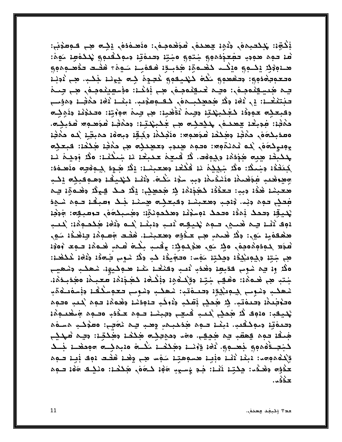بْكْتِهِ: چُكْتَبِمَهْ، جُدْمِ: جَعْدَهْ، شُخَعْصُهُ: 10َعْدَهْدَهْ، يَكِتْ هِبْ كَـ2ْفَجْنَى: هُمْ حَمِمَ هُدِيدٍ حَقِيدٍ وَمِمْ جَنَوْمٍ مِجْتِهِ وَحَدَمَتِهِ وَحَوَيْدِهِ وَالْحَدَمَةِ حَوِيْد ھـنەۋۈز يىلـو ەينىا كىھـەۋە ھەبـوە ھەمبى كوم ، ھفـد تەھـومو ەتتىمتەدەھ: دىھىمى كە كېيىسى كىيېد كە چېنى جىك. ھى دەنى یہ مجمیع نمی و میں نہیں کے اس کے اس نہیں کہ میں میں کہ کرنے کے ایک تَبْتَثَعْرَ: إِلَى أَمَاءَ وَكُرْ هُجَهِيْكَنِيهُمْ كَفَيْهِ مَثْقِيدٍ. يَبْعُثُ أَمَاءَ مَهْفِيدٍ وهومب وفبعده عوودًا كغِكبِهَتِه وجِيمَ نَقْضِيهُ: هِي جِيمَ ٥وَوْتِهُ: ٥حَدَثَهُ وَدَوِكِـ٥ حَمْثَهُ: فَجِيعُهُ حِمْدَهُ، حَذِيحَةٌ مِنْ جُدْبِهُ تِهِ: وَحَمْثُهُ فَوَمِحُومٌ فَعَبِدُهِ. oatبِحْمَوْمِ حِكْثَرُ بِهِجْحَتْهُ شُهُومِ»: وَكَثِحْكُمْ دِكِقْ دِجِمَوْهُ، حَكِيبٌ كُمْ حَكْثَرُ يوميكدة في نمنموج: محمد محدد وحميدية من حمْثِ مَحْدُه: فَبِعَيْتِهِ بِكَبِّفْ هِيهِ هَذِهُ، دِكِوهُت. قُدْ فَعِيمَ حَكِيفٌ، مَا شِخْفُ، وقُدْ وَدِيجَة مَا، لْمَتَفْدُ وَجَعَلَا: وَلَا جَهْلِكُمْ مَا كَلّْكُمْ وَهَعْبَمْتْ: إِلَّا هَدِهِ لِمِوَوْجِهِ وَتَهْدَفُ وجوفعب فكفحكة ملشفيكة دبب سنود مكث ذنف كهيفة وهبه فبكره وكب معبند هٰذَا دِبِب: تَعْذُاْ كَمُجِبْدُهُ فِي مُحْمِيقٍ: إِكْرَ مَكَ فِي لَا دَهْـوَةٍ! تِـمَّ فعلي حوه دند. ذُهب دهعيند دفيعدِ هيند ذك وعبقد حوه شيء يُدِيقِهِ وَتَحْكَدُ بِمَدْهُ وَتَحْكَدُ وَمِنْذِيْهِ وَمَحْكُمُ بِمُجْمِدِينَ وَمِنْهُمْ وَجَمْدُ و بعض : الأجمعة المَنْ عليه الله عنه الله عليها وأن الله عليه من الله عليه الله عليه الله عليه الله عل محفقفية مورا وكار فحلهم مجارحة ومعبشة فخص وصوفه والخففة مور فَعَدَ جَمِدَهِمُومِهُ وَجَرَ مَنْ حَدِكُوجَ: يَقْبَ بِخُلْقَ فَعَمْ هُدَةَ تَقْبَدُ وَوَدْ مِي شِيْدَ دِكِمِعْكُمْ دِهِكْتِهْ مَهْسَا وَدْهِيْدُهُ كَبِ دِكْهُ شَوِي جَاءَهُ وَدُوْهُ كَكَفْحَا: هڭ و: يم شوم كقبطِ: دَهْدُب لَاسب دِكنْتُ: مَعْدُ هُدِكِيتِيْ. شَهكَب دِسْهِيَمَ جتب هي هده؟:: ٥هـڢي جتِه دوِّكـهوه دفكـهه كهجدة العبـهة ٥هجدبـدة، شعكب مشومى جبوبكفة محتومتين شعكب مشومي فعوسكفة متسومته ەتۈجىم وتىمەتبا بر محميى فقىد و دۇركب تەمەنىد ومحمد توم كىب ەتبە يُحْيِقِب: 2000 كُدْ هُحِيْي بُعَيْبِ دَيْبِيْسِدْ سَوِمْ حَنْدُهِ وَسَوِمْ وَمَعْصَوْمُهُ وصعفته وموكفعين دبغل صوه محدحجهم وهب يه نصيب معذكب هسغه هُجِفْهُ جَمِمَ يُعْقِبُ بِمَ هَٰجِيبٌ. ٥٥مَد دَحِيجِيْـ هَجُكْجَـهُ دَخِيجَةُ: دَبِيمَ عَهْدَيْبِ كَبْتِــةُهُمْ مِعْ جُعْــوِي. ثَقْنَـْ وَجُدَحْــدِ مَكْــة مَنْمِدِــة مَوْحَفْــدِ بَــد تِيْكِتُهِ جَوِيد: يَبْعُدُ نَثْنَ مَنْبِيدٍ مَحْسُومِيّةٍ سُفِيتٍ فِينْ حَقْدَت دَوِي بَيْتٍ فَلِمْ **xégo cá á.. مِنْتِمْ نَثْمُ: فِيْ يُسْبِيِّ 60\$ كَلَّةُ مِنْكَشْمْ: 10\$ 10\$ فِيْ 10\$ حَبْهِ** ـذذ د.<br>حذذ د.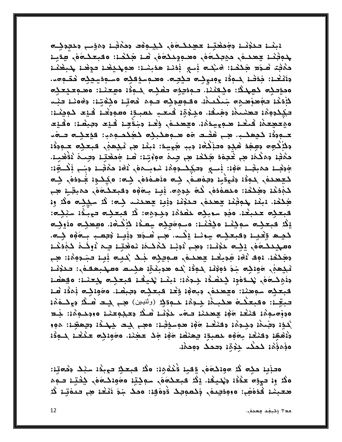ببغد حكفظ وومضتة حجيكاوه ككبوةت وممقط ومفسى وتجوكاه لمجتبر تحمده والمحكمة والمحامرة والمحمد والمحارمة والمحموم والمحمدين حكْفت صْحَد مْكْتْمْ: فْنْكُلّْ فْسِي فْفَنْدْ هْفْبْسْدْ: هوچْكِيْفْدْ بْهِيْفْتْمْ جْبَعْتْدْ دِيَتَعْدِ: جَدَفْ لِمُوَدْ وَمِعْكِس فَكِتِس، وهُوَسِدْقِلِس وسُوَدْمِيْهِمْ دَهْوَسِد. مدخدجه كعهكة: مكفنند. توديدة تغجم حوده معمند: معامتيحكه لإذند تومزمهم شنكتمة وقويدنه توم فمتيه ونفيته وهونه تنت تَجْحُدِهِمْ: تَعْسَيْمَ: وَهِيقَةَ. وَجِيْدَةٍ فَيَعْبِ حَقِيدٍ: وَقَوْعَتْ فَيْعَ حَوِيثَ: مفتضحفة فيغد محوييدةا. متصدعة وخذ دينفتية فيد دحيضة: مفيد محبودة كجهكب مجب هفت وه محبوهكبك كمكدحهمين فوعكت توم وذِكْتِهِم وعِيفِهِ فَجْدٍ وَسَنِّكْمَةٍ وَبِبِ هُيَهِيدٌ: دَبِنْهُ هِي نَجْعِفِي فَبِعَجُم عَبَودُهُ حَمْظِ جِمَكَمَ هِي خَتِمَة هَكَفَة هِي تِيمَ ٥٠ڤُوتِـة: قَمَة وَحَمْدَتِه جَتِمَمْ نَقْضَمِية. وَجَهِــمْ حَمْبَتْــمْ وَذَهُ: فِســع حِتكِــمـحِوجُهُ شَــوبِــمونُ دَوْمَ حَجْتَــم حِبَــبِ فِكْــوِّهُ: كَيْمَحْدَهُ، كَمَوْدُ، وَتَحِوَّيْهُ وَجَمَاسَهُ، كِنَّةَ مَقْدَمَةٌ، كَتَبَعَّلْ مَعْكُمْ مِنْ كَلَ لْجُدَنْدْ دِهِكْدُهْ: مَعْعَدُوْمٍ، كَمَ جِدِهِ ۚ. بَيْهِ جِمَوْهِ دِفْعِكْلُوَهِ، حَمِيقِيهِ هِي جُكْدُ، بَيْنَا جُوَجْنَا جِعْدَهُ, فَحَدِّثَا دِبْنِا جِعْدَتَ، ذِي: لَا سَكِيْبَ وَلَا بِهِ فبعده عدبغة. مفد سوبده لمفدةة ديدوه: قد فبعده فوبَّدْه سنده: يْݣُ فْبَعْنِيه سْوِيْنْمْ وَيْتّْعْمْ: وْسُوْوَجِيْهِ شِعْدْهْ دْيْكْتْوْ. وَعِمْنِيه وْدُرْجَة كهيم وتحبب وفبعكيه سونب إكب هب تسوم ونبيه ومعب بووه كيه. ەسپىدىمەن, يېسە خۇنىە: ججے نوبى كەككە نەھتىە يە نوكم كەدنى وَهِٰذُهُ، 292 آهُ، عَدِيقُهُ حِمْدَهُ، عَمِيدِ مَنْذُ كَبِيهِ بَيْهِ فَشَدِهِمُ، مِنْ تَجْمِعِيْنِ ١٩٤٣هِ جَدَّة وَجَهْدَ جَمِعْنَ مَعْ مِجْمَعَةٍ مِجْمَعِهِ مَعْمَدِهِ مِجْمَعَيْنِ مَحْدَثَت بَيْمِكْسَوْمٍ يُحْتَوْبُهُ يَحْتَشَدُهُ بِحَدِيْهِ: يَجْبُدُ يَحْيَدُ بِمَحْتَمِيْنِ وَيَعْشَمُ بِ كبعده سوهنه: مجعده , دبحة الخد كبعده دجبطه. 2010هـ/ 1341 فـ/ تبَّدٍ: وفبعَنْدة محكبِمْ: جِيمَة حَيْوَجُد (وتَنيس) مِن جَت تَسَكُّدُ فِيحْدَهُمْ: هووالمرمثة فنغة المؤة يتحدثه تسامت تذنية فتنكر وعبدوهنة ووديدوها: بذلا لْكَذِهِ وَجَعَمْهُ وَحِدِهُهُ وَكَنْتُكُمْ ١٩٩٥ مَدْمِسِدَتْهُ: ٥مِبِ جَعَدِ حَيْمَتُوْمِهِ: ٥٩٠. دْمُهُمْ دِكْنْتُمْ بِهَوْهِ حَصِيدًا يَهْنُفُمْ هَوْمْ وَجْدَ عَضِيْدْ، وَهُوَدِكِهِ حَدْثَتْهِ حَوْدُهُ وَذِهِذِهِ لَاحِكُمْ بِذِهَا وَقَطْ وَوَقِهَا.

ەدنىد مكِ » كُد «وەكدەُم، قِقبِد قَنْدُود: وقد قبعد حِيندد سند ودەتىد: هِكُدْ وِنْ تَجِوَّهُ حَدَّدُنَ جَهْدِيُكُنْ. يَكُدْ فَبَعْدُهُمْ سُمِجْتِنْ هُهُوَنَدْسُهُمْ. جُخْتِنْ تَنْهِم معبسًا فَدَمَضٍ: ٥,٥وديعمَ، ذِكْسُوبَكَ دَٰدِهَٰفِيْ: ٥حَكَ شِدَ نَثْعَا هِي حَعَمَتِهُ كُثَّرَ

حد + يكبغد جعدة).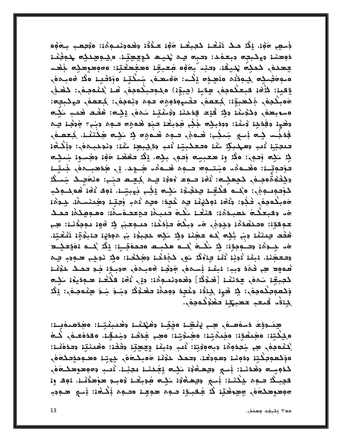فِسِيبِ 100. إِكْرَ حَكَ ثَنْتُهُمْ كَتَبْتُمْ 100 حَدَّدُهُ وَهُدَوَنْدُوهُ: 140هـِ بِ500 ذوهند ديكبجه دبعفد: دحبه چم نكيه كوچچته وكومحكه لموفند zaro, Łeśm پديغة. ودنت بهۋه غميغة معجّعتقة: مەممومدى بنف مەسەشىبە كەن مۇھبەت يىلى: سەھمى سىكتى مۇقفىي مۇد شەمبەئ وَقِيرَ: لأَرْهَبَ فَبِعَنْدُمَوْمٍ، صِدْقِي (حِبِيَّة) مَدْمَ حَمْدِيْدُمَوْمٍ، كَشَفْرٍ، كَشَفْرٍ، boبْكْجەْ، مْكَعْبِيْة: كِتعْقَامْ، تَتْحَيْوْدُومْ» توم دَبْوَجَة: كِتعْقَام، تيْكَبْتُه: ەسۈبھە دىخىند دېر كىم يەدىند ددىنتىد كەن يېدى: ھفت ھىب كې دِهْيِدْ دِفِدْئِدْ دَمَنْدْ: دِدِدْبِذِ مَنْفُ عِدِبِنْدْ تَبْدِ هُمْهِ صَبْحِ دِبَعِ وَجَدْ فِي بَعْنَهِ فِي بَعْدِ الْمَحْسِبِ: هُـمَهِ حَـمِهِ هُـمَهِ ۖ فِي مَنِيهِ هَٰذَهُمْ. كَـِمَعْمَ ﴾ تتبتين ثنب ومهبكر مثن وتعكبتن ثنب وقكبعن مثن ونوعبهم وأكافه فِرْ مَنِهِ وَقَوْمٍ: وَلَا وِلا مُعْبِيِّة وَقَوْمٍ بِنِيَّةٍ. إِنَّهُ فَقَقْدُ وَوَجْعَةٍ بِمَنْ بِمَنْحَةٍ بإباد مفردة منها الله المنابه منهم المستبه من الله من الله عنها الله عنها الله عليها دِيْتَهُمُّەدِمَہِ كَمِعِيْم: ثَمَّ: تَبِعَ وَوَدِ يہ كِيِّت تَبْءٍ: وَمَوَتِيكَ شِيْكَ كَوْتُوْتُوْتُوْجْيْ: فَيُحْتَ يَحْتَدِدْ مَكِنَّةٌ عَجْبَةٍ بَعِينَتِيْتَ. يُوْمَ ثَوْمَ تَوْمَ كَب ٥مْبِكُمْحِمْ\ فَجُدٍ: جَلَاهُهُ 2مِكْيُنْهُ فِي نُفْقِهُ: مِنْهُ لَاهِبْ وَفِيتِهُ مِحْمَدُ شِيجَهُه هد وفبعكة لمعبدة:: فنغذ لكُمة فبعدة فمعددة الله عمينة: وهبوبهذا فصك حوققِنْ: مَسْحَقْدَهُ: وَجِدِهِ لَهْدَ وَجِدْتُهُ سَيْدَعْدُ: مَسْوَحِبَ جَرْ أَوْمٍ: مِصِدْمَتْ: هِب هْتُت سِعْنَدْ، وَبِي بُدِّه `حْمَ حَجْدَ، وَذِرْ سَدِّه حَجِبْدِ، بِي هَوَدْيْ، فَالْتَحِيَّةِ. فَنُحْتِهِ. هَ بِجِدَهُ، وَصَعِدِي: فِي مَكْسَرَة بَحْثَ هَدْجِيد وَصَدَقِينٍ: فِقْرَبَحْث دَوْمَ حَيْضَارَ وَفَعَظِيْدٍ. يَبِيْدُ يُوَجِّدُ يُؤْمِنُ لِهِ إِلاَّ وَجَدَيْدٍ وَجَدَيْدٍ وَجَدِيْدٍ وَجِدِيدٍ فَي فعوود هي فكاد دبيا: دبغة فسكافي والحفه فالمحافي والحبق فبد حملك الحفظة لْكِبِجْةِ مَـٰمَةٍ جِدَيْنَـٰةٍ [فَـٰذِكُرَ] دِفْعَةٍ ذِينَ ذَيْنَ ذَاقَةٍ فَلَكْـَةٍ فَسَعِدَيْهِۦ مَكِـَّة ذۭكَعوجِكُومِون: لِا شَيْءَ لِمِنْدُدْ دِنْكَ دَومِهُمْ حَشَدُكُ دِجْجَ جَنْدَ صِنْعُومِوْن: إِكْرَ برفه فيعو ععبتها فغذكمهم

<u> «يَنَجِيْجَ دَسَوْسَوْمِ مِنْ يَنْشِيْ وَيُنِيْ وَهَيْنَيْ وَهُدِيْنَتِيْ. وَهَدَسْمَوْنِيْ.</u> ەجكتِه: ەھىفقةِه: ەمىكتە: ەھىدىتە: ەھب جەدى دېنىقە، ەقدەھـە، كە لْكُمُوجُونَ فِي شِعِدُوكُمْ وَبِصَوْدِيْ: لَادِبِ وَذَبَنَهُ وَجِعِيْهُ وَكُفْرُ: وَهُمَنْتِهُ وَعَدَفْتُهُ: ەۈكھوچكتا وەۋشا وھووڭا. وقمك خۇنا 60بكۇن چىتا ەھەمۈقكۇەن لمذوسِه وهدنيه: بْسِي ويهاودُه كَيْبَ وَجُمْنِيه مِجْنِيه. لَاسِب و٥٩هوهك٥٥)، فَعِنِكُ فَلِمَ يَكْتَبُ: بَنِي حَيْمَةُوْ: يَكِنُ جَدِيقَة وَمَنِي مَوْمَدُنْهُ. 20 وَ: ٥وهوهدة وهجوهته لاختبته تعبير معوجه وتوه إلاة: إلى معود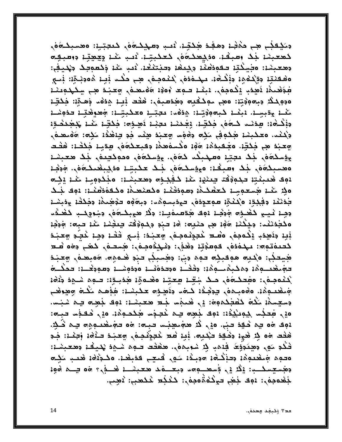دِسَكِعِفَى هِي حَمْقِهِ دِهِقِهِ هَٰذِكَتِهِ. يَعب دِصِهِكِمَهُم كَعِجِبِهِ: ٥هـمبكـ٦مَهُم كععبشة جُك وصبقة. وذكِهكوهُمْ كعكبتِية. أنسب مَثْنة وَجِهِتِه دوصبقِه ومعيشا: وجَمِيكَتِبْ فَقُودَهُنْا وَجِيدَهْا وَفَيْتَنْتَحْا، ثَبَ عَنْا وَكَفَوْفِكُ وَيُحْيِفُ: ەھقىت دېخمەد دېڭىد. بېلىمدەن كىمچىق ھى مكت ئېلى ھەدنىق: ئىلى بَعْضِيمَةٍ يَصِدِي بِكَمِعِينٍ مِنْعَمٍ حَمِيقٍ وَوَدِي الْمَصْحَمِينِ وَالْمَسَوْمِينَ بِمَجْمِعِين ٥ﻭﻭﻛﻼ ﻭﺑﻪﻭﻭﺗِﻨ: ﻩﻣﻲ ﺑﻮﻛﻘﻴﻪ ﻭﻣﺠﻨﻌﺒﻦ: ﻫﺘﺖ ﻧﻬﻴﻨ ﻫﻨﻔﻲ ﻭﻣﻴِّﻨ: ﺟﻜﺘِﻨ كَمْمْ وْحَبِيْبْ، بْبُعْمْ كَبِمُوْجِيْةْ: هَدْهُمْ: مَحِبِّيهْ مَعَكْبِيِّيا: وَهُوَهُمْ تَدْوِيْنَا دِيْكُمْ: عِدْنَـٰ كَـٰهُمْ, جَكَتِّـا. يِجْـكَنْـا بِجَبْـا لَاصِـدِهِ: جَكَتِّـا كَبْـا جُمِّـكَـدَيْا دْكْتُمْ، وَعَكْبَشْدْ هُكُوفْي مَكِمْ وَهُوْسْ صِحْبَة هِنْمَا جُو بِهْقَدْدْ مَكِمْ: ٥١هُمْعَدُوْد جِعِبْدَ هِي جَكَتِبْ. وَجُـقِيدَهُ: وَوُ: وَكُسَوْهُ: دِقْبِعَكُمَوْمِ صِدْبِـْ خِكْتُـا: هَتْـت يِهْسَكَةَفَ بَعْدَ بِعِيْدٍ وَسَهْدِيْكُمْ كَةَفَىٰ وَهُسَكَةَفَى وَجَعِيْدِهِ فَعَلَّمَ بِكَدِّ وَحَجِيْسَة معسبكة في بْك وصيفة: مِيشِكة مْكْ حَكْبِيَّة مَفْكِيفْتَكَ مَنْ مِيشَ دوك هيبغته بجوذفتا يبنيه مغه كفجروه وهعبناه وجكووبه مغا يكام وذِ خَيْهِ جَمِعُومِيهِ كَعَظْكُمْ وَصَوْدَتْنَهُ وَكَعَنْهُمْ وَكَقَوْدَتْنَهُ: دُوِكَ جُنْكَ جَدَنْنَا دِفِيدِةِا مَيْنَيْنَ سِمِعِدِدَهَ ۖ حَيْدَبِسِمِيْمَا: دِبِمَهُم صَحْحَمَةً وَحَيْنَا ۖ وَدَبِسَا ۖ دَجِلا فَيِي كَفْدِهِ مِدْمُلا دَوِكَ جُدِّهِمُوَيِلا: دِكْرُ هِيِبِكُمُوَ ۖ دِينُودِكِبِ كَفَخْدَه هكَجْدَنْتُ، وَجِكْنَا 10ْهَا هِي حَنْبِهِ: 16ْ فَنِدِ وَكَمِيْوَفْتَ فِيَخْتَنَا مَنْا فَنِهِ: 10ْوَفِا فِيهِ وَقَصِدَتِ يَكْمَحِمَ ، مَصْحَ خُدِدِيْدَمَجِمْ ، وَحَبَدَ: فِي ذَبْتَهِ وَحَبَدَتَ وَحَبَدَتَ كحدة توه: يهدة ذهْ، كومِّدْتِهْ دِهْدُهُ: دِيْهِدُومِهُ، هُسِمَهُ كَهْبَ دِهُو مُسَمّ هُيدَبُّي: هَٰكِيهِ هُوَعِبِدُِهِ تَوْمَ دِينٍ: دِهُسْبِذُبِ تَبْدِ هُنَّوِهِ. وَمُبْعَثُم، وَعَبْدَ تغنغنيوه: ومكبم يوه: وذخل موددة نه مودونها وسوونها: تحكيه لْمُنْعَجِمْ ،: عَقِيدَهُمْ حَكَّ شِعِّة صِعِبَة عَضْحَةٍ؛ وَجَعِيدٍ؛: تَعْمَدُ شَجِعَة مِنْهُ؛ خِمْعْدِمِهْ: ٥٥مِهِمْ يَجِيْخُدُ ذَمَهِ دِلَهِيدِهِ حَذِيبٌ: هَٰذِهِمْ مَكْتُ وَهِدِوَهُمْ بسيسمْ: مُكْهُ كَفْعَبْكُمُوهُ: ? ٨ هُنْجُسْ بْنَعْ هَعْبِيْنْ : وَوَفْ بَغْضِهِ فِيمْ شَبْسَا. هيج جُعِبُ جِمِعَيْدُهُ: 402 جَمِيم بِيم خُعِيمَ جُحْمِهِمْهُ. 20 خُعِيمَ حَبِيم: 192 po يه خدة تني. 20 لا هجميعنس تبله: po تجمعُب وجم خَلِمٌ. هَتَت ٥٥ فِي هَيْهِ وَهَٰيَهِ تَجْعِيهِ. بَيْهُ تَعْدِيَنُهُمْ وَعَيْدَ حَنْهُهُ وَبَعْدُ: فِدِ فَكُدِ مَوِي دِهِيَدِوْيَتَ فِيْمِي ذِيرِ شَوْبِمَوْيٍ. هَفْتُت تَنْهِمْ شَنْهِدْ يَهْلِكُمْ دِهْتَبِشْمْ: ەدەھ جىغىمۇم ودۆڭلەر موبنى كىچى ھەبغىر. ەكىزەر ئىد كىم وَضِيعِيدَ بِنَ يَذْرُبِي وَسُعْبِهِ وَبِعَيْدَةَ مُعْبِيْنِي مُوسَفِّي؟ ٥٥ يَنْ 196 لْمَعْدَمِينَ، دَوِكَ لَمِعْي حَيْكَةَمُّومِينَ، كَتَكِمَ تَحْكَمَتِ: ثَعِيبَ

حد + يكبغد جعدة).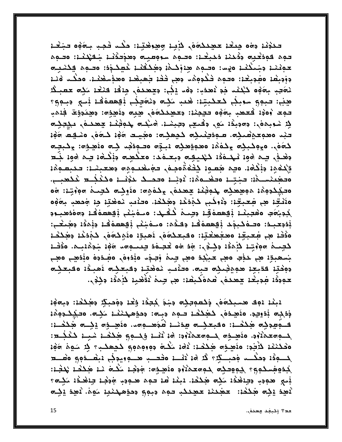تَحْذِبُهُ وَةُوَ حِيثَهُ عَجِيحَدُهُوْ, كَثِيبُ وَجِيدَةُ: حَكْبَ نُحِبِ بِآءَةٍو تَجِيدُهُ حوه فوذخيه دديننا ديبغان وحبوه سووطيله دهدحددنا شقيننان وحوه حوثنا وشنكنا مهس محمم مدوكنة ومكفنا نميكود محبوه يكنبيه دودبقه مفديغه: محمِه فكَدِهِمْه دِهِي فَقَدْ جَهِيهُمْ مَعْذِهِقَنْهُ، مَحَكَّبَ مُنْهُ نَصَحِبِ بِحَوْهِ كَبْنَتْ جَدِ نَعْدَبٍ: وَغَدِ يَكِي: وَجِعْدَهُ ۚ وَلَائِدَ مَنْتُدَ حَكِمَ حَصَبِكُ هِنِي: حبومِ سوبِنِي كَعَكْبِيِّيْ: هُعَبِ حَيْصٍ مِنْصَرِيْنِي يُقِعْصَفَهُمْ يَاسِي مِنِعْمِ؟ توم وُودُ كَعَمَدٍ بِهَوْهِ تَتَحِيدُ: دِعْمِيْدُهُوْ، شِيهِ دِنَمِيْدِهِ: دِمِينَدِذِهَ فَنِمْدِ فِيْ شَوْبِهِهُمْ: دِهِدِيدُ ْ شَهْرٍ وَقَعِيبٍ دِسِينَدْ. هَنْكُ هَ حَفِيْنَ يَعْمَدُهُ ۚ مَخِيِّدِتِه تند معمِعدِ مَنْكِم. مودِّينْمَكِم كَجِعَدِم: مَغِيِّت مَهْدٍ كَمَمْ, مَشْهِم مَهْدٍ كَمَوْمٍ. وَوَكِيْدِهِ وَكَوْمُهُ وَهُدِيْهِ دَبِيْهِ وَسَوْدَتِي ذِيهِ وَثَمِيْدِهِ: وَكَبِيتِهِ دَهْدُو َ يَمْ 190ْ نَجْدَهُدُ لَهُنْدِيهِ وَبِعْدَهُد: 20كَمِيهِ دِبْكُمْ يَهْدِ هَاوِمْ بِنَعْ تِكْفَهِ: دِنْكَةْ: وَجِمْ هُصُورْ كَثْفَةُومِهْ, حَقِيقُتُمِهِم وَهَعِيشَا: حَكِيصُوهُ: ەتجىنسىم:: تېتنە ەتھىمم:: نْصِيد ەتمىك بْخِيْنا مْكْتَجْنَع تْكْفِيت. مَعْيُدُوهُمْ مُوصِعِدُه حِمِيْنَا جِعْدَهُ, وَدُمْمِهِ: مَثَوْدُِه كَجِمْهُ هُوَيْتَا: هُمْ ٥٥ ثَيْتِهِ هِي مُعْبِتِهِ: وَدُوكُبِي كَذِهْدُ وَهُكُمُهُ. ٥ - ثَيْبِ دَهَ هُدِيَّةٍ مِهِ وَهُوَ وَ لمديقه وهجيئة بهمعوقة دجيم كفها ومفيني بهمعوفة دمودهبود بْدَحِجِـدَ: ٥تـفكبخِك بْقِعْعَفْقْدْ دِكْدُه: ٥تفَجْنَح بْقِعْعَفْقْدْ دِبْمَدْدْ دِهْنَكَـي: وَدَٰدْ: هِي مَعِيقِدْ وَهَعَهْعَتِيْرْ: وَفَيَعْدُوهُمْ يَهْدِدْ وَيُوَكِّمُونَ ذَكَّرَ ذَكَّرَ وَهُدَخْد كَتِيْتُمْ πُوبُنْدَ ذَهَدُهُ وَكِنْدَةٍ وَهُدَاهُ تَحْتِيمُهُ تَعْمَلُوا مَا فَقَدْ بِنَوْهُ مِنْهُم بمعبدة هي حذب مهي حبيحد مهي جيم وجديد مددوم، مصدده مددهي مهي دەكتە قدىجە ھەھكىكە قىم. ەققىب نەھتە دقىقكە ئھىدە ەقىقكە مَعْهِدَةٌ فَجِيعَةٌ مَعْمَدَةٌ، فَجَامَةٌ: هِي حِيجَةٌ ثَقْفَيْهُ كَيْجَدُّهُ، وَجُدِّهِ،

1442 1922 مسبكة في ذخصوصِهِ دِجْدَ ذِيحَةٍ وَعْدِ دِوْحِبِكِ حِجْدَدَ: دِجِهِوْدَ ذَهَبَه بَدْوِيدِ. ٥٤ صِدْهُ, كَمُحِكْمَ توم دِجِهِ: دِمِيْهِكِنْعْمْ سَكِتْ، ٥تَكِيْكُدِهِمْ قَدْمِيدِكِم مُحِكْد: ٥قبعدِـم عِدَيْد تَبَوَهـوم، ٥نَهِيدِم يَدِّم مُحِكْد: لمسومته والمسوم المستمرين والمنتقل والمستقرح معلوم المستنقل المتعارف والمستواة المتعاود المستقرح والمستقرح وَحْكَنْعُدْ كُلّْجَةٍ: وَيُصِدِّم مِكْحُدٌ: يُهْدُ حَكْمَ دِهِ وِهِمِهِمْ وَجِعْكَبِ ۚ فِي حَجِمَ وَفِدْ لمسوءُ : وحكَّست ومستقِرٌ لا أن أن الله عنه الله عنه ويدجَّى منهسته والله عنه الله عنه الله عنه الله لجدوهسكوي كوودكت كووعدنود منجحات ودجد مكت ند محكمد نحفين نْسِي هودِ، دِيرْهٰذَا سَكِم هَكْفَا. ابْنَا قَا دِهِمْ هَـوْدِ، وَذِهَا يَاهَدُا سَكِـمَّ لاهد إنه مجلاحة: تعجدنا تعصلنا دمه دبوق دحدههنبا مَهم لاهد إنه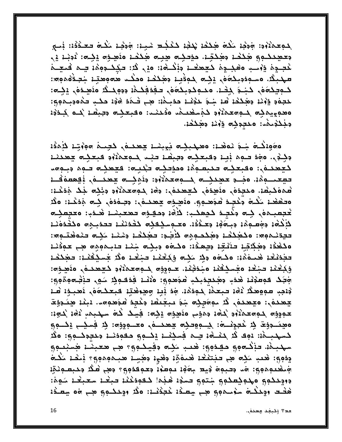لموعدة و: ودفا مَكْمَ هُكْفَا يَكْتُبُ كَنْكُم شَبّا: وَدَفّا مَكْمَ تَعْدُدُا: بْسَيْ بتعيدكوق محذها بمحكتها مذبحات ميبات محذها مفعيدات يكات لابنا يي لْمَجِـدِهُ فِيهِـدِهِ مَهْجَـدٍهُ حَـجِھُـدَ بِهِ ذَرْ حَدِيدَ وَيَا مَحِيَـدٍ مَ عَلَيْـدَةٍ فَلَي مهبكُه. مسوددبكةفي يكت كوديد دخككد محكب حدومتند شبقة هواد: كوچكەَهْ، كَبْدَ كِثْ، مَصْوِكْدِيكَةُهْ، حَقّْدَقْدْهُ، دِدِهِكْكُ مَتَصِّدَهُ، يَكِتّْ: للجفو وُوَيْد وَهُكُمْ قَدْ شِيعَ لِكَوْتُمْ حَدْمِيْهُ: هِي شَيْءَ وَوْدَ حَكْبِ حَدْقُومِيدْوِيْ: المُفْعِيدِهِ بِمُعْلِمٍ مِهْمَنَهُ وَمُسْتَخْدِهُ وَقُدْمَتُ وَالْمُعَظِّمِ وَالْمُعَامَلَ بِهِ الْ دبكدمما محجوكه وونه وهكده.

٥مَوْلَالُهُ شِـدَ نَوْهُدْ: ٥محبِيْـ فِيْمِنْـ يَعْمَدُوْ, كَتِيْـهُ ١٠٥وَيْـْ كَيْمَدُدْ وكِذْيٍ. وَجَدْيٍ وَحِيدٍ وَقِيدِكُمْ وَجِبْطَةٌ فَيْتَ كَلَمْ عَدْلَاهُ فِيحِكِمْ يَحْدَثُهُ كجعدة, وقبعكم تكبسوه: وجوتكم تكبيه: فجعكم تبوه دبيوهم تهتمسوهُ: وضد تهديسه حسومتها ومَويدة ويميد تحديد في الله عليه همەكبها. ەمىدە، ەئھدە، كېھىدە،: دەن كومتەنى، دېگە بىك جەندا: ەدھەد كُلە دِكْتِد مُدَعِدِ، ەلاَھىدە چەكلەر: دېلەدەر كِلە جَدَكْ: ەڭ تخبعبهفي به وكبد كيهكب: لأه، ومهية تعجبنا فدور: معبعبه لِإِكْتُهُ، دِجْعِيمُ، دِجْعَةٌ، دِعِـذَذْ، مَعْـوِجِـدِكِـدِ كَتْدَنْعْـ، تَعْدِجِيهِ مَكْتُدَهْنَـ، تيقنموه: مكعككنا وعكمومِه كلاب: تعككنا وشنا ككه تنمغتنوه: مكفدة وهكتيا فتتعا ويهذه: مكافه وبكام شنا فابموها هي عوديا بَجْدَيْتُهُ هُجِيهُمْ: وَكُلُّوا دِكْرَ جَكِمَ وَكِتْعَهُمْ بَيْتُهُمْ فَكُرُّ جَمِيكِكُمْ بَعْدِكُم فِكِتْنَا تَجْتَدُ مَجْسِكِفَنَا مَجْدَبْنَا. حَمِيقِهِ كَمَامَتْمَنْوَا كَجْمَعْتُ مَتَصِدِهِ: خِبَكَ فوعدُنا هُدْبِ دِجْكِجْدِيكِ عُدَمِهِ: هَٰنَنَا فَذَفَعِكَ حَقِّ حَذِّبِ وَجَهِي ذِيدِ عَمِيهِ هَدْ لَامَ تَجْعَدُ حَمِدَهُ: وَمَ بَيْنَ وَهِدِهَتِهِ فَجَعَلَـوَهُ, نَصْبِدَهُ عَبْ <del>ي</del>عدده,: ەيعددە, لا موقيده شۇ مېغىغا وقتو غۇموھم. ئېغا ھئوؤچ موجود معاملاً بمجمد من كيوم من بعد الله عليه من الله عليه بن الله عليه: مَهِمَدِدِةً فِي خَبِيْنِدَة: فِي مِعْدِمَ جِهْدِدَهُ وَحَدِمِدِينَ فِي فَسِيْدِ وَحَدِمِ كسهبية: 292 لاَ كِنْسَهْ، يَنْ فُسِيْنَا يِكْتُومِ مَقْوَدَنَا دِمْتِدِكْتُومِ: 20 مهبمة تأكده وم حقده و: هيب كيد وفيكوم؟ هي معيشة همينيوم وِدَوِي: هُعَبِ سَكِم هِي حَجَبْتُغُدُ هُجَمَةٍ وَهُدِينٍ وَهِنِيدٍ هَجَمِهِمِوَيَّةٍ وَحَكْمَ شَكْت جَمْعَتِهِهِمِهِ: صَدْ جَدِمِهِ جَمَعَ بِحَوْمٌ حَمِعَهُمْ جَعْمِهِمْ؟ حِمْحِ طَكْرَ جَمْعِصِهِمْمَة دووهكمو ومحوك المحاج بالتوج حسده هجما كعودكنه حبخه سعبغه كوما هْتُـد ودِكْكَـة سَوْحِكومِ هِـمِ سِعَـدُ، كَتِخْتَـ، وكُـُ ودِككـومِ هِـمِ ةُه شِعَـدُ،

حد + يكبغد جعدة).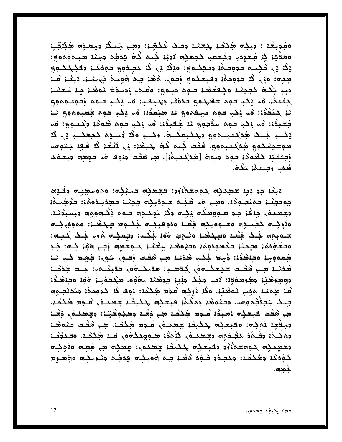ەخبېغە : دېگە ھككى كتنىد دېگ غكھد: دھے شىگە دېيسىدە ھكتېد ٥ﻫﺘَ؋ٳ ۮؚؚڒڣؾڿۏ؞ٜ؋ڬؾڡڋۦۮڝڡۮٟۄۦڒۥۮۭڹٳڂ۪ٮۄۦڬۄ؋ڋۿۄ؋؞ڹؽڒ؋ۄۄۄۄڹ يَقْدِيهِ حَكِمِـمَ حووجِمَة وحقِكَـومِ: مِيْقَدِيهِ قَدِيمِهِ حَمَّدَهُـة وَفَيْهَكُـومِ هِيهِ: 20 رُمُ تَدْمِدِهُ: دَفْعِيْدُومِ وَتَوْبَى هُمْدَ تِيهِ هُوَمِـهُ بَعِينِهُ. 24 نُقْمَ قَبْ جبب بخْدة كيجنة وكفخفخة تبوء جبوي: وصْحم يجمحك نوفظ مِع شعشة بِيَعْمَةَ. فَمَا يَكْبُ فَمِمْ عَقْبُهُمْ وَهُمْ فَهَا يَكْبُدُ فَمَا يَكْبُدُ فَمِنْ وَقَوْمَتُومَ نا جَعَفْنَا: مَد يَكِ حوم حيكموو نا هنصدًا: مَد يَكِ حوم جَعبوموو نَا جُعبَدُهُ: فما يَكب حوم سَدْحِوِي مَا جُعبَدُهُ: فما يَكب حوم هُدهُمْ وَيُعجوِي: فما يْكَبْ جْنَدْ هُدْكْتْبِمُومْ وَيُحْكِبْطْنَاهْ. وَكُبْ وَكُدْ وْسَدْهْ كَمِعْكَبْ يْهِ كُرْ هوعَهِندو؟ هٰذكتبهو؟. هَتَت جُنم كَهُ جَبَعْد: إِلَى نَتَـٰتُدْ كُنْ هُـهِدْ جَتوهم وَتِغْتَبِيْنَ كَشُوءُهُ تُومَ دِجِودَ [مَجْتَكْتَبِمْهَ]، مِنْ هَتَتْ دِيوَى الله تَدْمِينَ دِبْعَوْت هده وجععهْ: ݣُحْت.

1بنْدْ جْدِ بْبِدْ حَمِيحَكِم كِمِمْدَهْرْدِ: فَجِمْحُمْ فَسْبَحُوا مَمْمِيْصِمْ دِفْيْعَا حِوِمِحِينَـٰ، حَمْنَتِـوِمُ،. وهِـ هَد هُنِـم حَـوِدْبِدْ = حِمْـْ، حَجْدَبِـدَوِمُ،: حَدِّجْــمْ، جيھدە، جِنقْفْ جَدِ سَعِفْعَدْهُ يَجِّهُ جَدْ حَدِيدِهِ سَعِمْ بَكْلُومِهِ جَبْحِبْدَدْ. هُدُوجِه كَجَمِيهِ مَعْمُومِنِيَّة هَتَمْ وَدَوِقْبِيْتَة جَمْعَةٍ فِي مَدْمَةٍ وَجَمِيْتِهِ حـوبوه لجـد هغه وطبحغد ونحوب هوء لجفـد: وجعفِـه هُوب لجـد لكعِـه: مَتَعْجَمُهُمْ مَتِحِبْهُ تَكْتَدْمِهُمْ وَمَيْوَهُمْ بِتَعْمَلُ لِمُتَعِمِّدِ وَبِي وَوْمُ كِلَّةٍ: فَج جُعدومِيد وجِنفَخْدُ: فِيت جَمْعِي هُدَمْدُ مِن هُفْت وَسَوِي حَوِي: خِهِت كَبِ مَدْ هدند هب هلت ميمكن من بعدها و متبل هو الله من الله عنه الله عنه دِوِهِدِهْتِهِ دِهْدِهِدْهِ: لَاسِ دِخْكَ دِنْبِهِ يَدِهْدُهُ بِوَوْهِ. هَجُدَهُ بِهِ وَوْهِ وَيَاهْدُهُ هُمْ هِجِيْدْ جَذِبِ نَوْهُتِهْ. وَلَا يُوجِّد هُجَة هِجُدْهُ: دَوِك لَا حُدِوجِهْ: دِيَكِنْتِجِيد جىد شجةْتجمومى وحنوفد ومكمد فبعده مكدبت جعدة فحكم فكحد. هِي هَتْد فَبِعَدِهِ نَعْبَدُ، شَـذِم هَٰذَهُ، هِي ذِيْحَة دِهَدِهِيْتِهِ: دِيهَندُهُ، ذِيْحَة دِيَتَيْتِهِ نَبِيْهِ: وَفِيعِيْهِ جَدَيْتُهُ يَعْمَدُهُ, شَيَعَ هَٰذُكُمْ. هِي هُثْتُ تَنْوَهُمْ وهككة وشكة لمشدوم وجعده لأهدد مسوولكموه فله محكمه وصلاوته بتعيديه حومتمثنو بعبتيه لمكبث يعدده بيعيه مب هصه منهيمه كَجْدَعْدْ دِهْكِكْمْ: دِحْتِـەْدِ شَهْدْ مُهْدْ يَـِمْ هُوَبِكِـهِ فِدْهِمْ دِسْوِيكِـهِ وَجُعْدِي خمحه.

حد # بِكِبْعد جِهْدُهُ..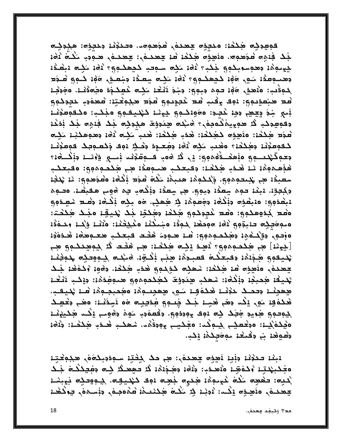Bọng (Alia) محددة جعدة فكودوهم. وحددتن ومحددة: هجوجه لَجْكَ فِيهِم مُحَمِّدٍ. وَيُعِدِّم مَحْكَمُ مَا يَحْمَدُهُ : يَحْمَدُهُ , مَحْبَوِب لَكُلَّة ثَقْهُ بيومة وحوسوبكوم بنكبر نفذ مكت سوحب كجعكوم ونفذ مكت وبصفد جعب الله عليه الله عليهم والله عليه الله عليه عليه الله عليه عبد الله عليه لموقيب: 20هجَر 1964 حمِم دِبومِ: دِجْدَ نَيْتُهُ مَكِنْ هُشْكُدُوْ وَجَاءَتُنْهُ. وَجَدِيْمُ مُع هنِعدِمِ بِنِهِ وَقِي اللَّهِ اللَّهُ عَلَيْهِمِ وَاللَّهِ هَذِهِ اللَّهِ عَلَيْهِ مَعْدَدِهِ مَ نجب بندَ وِجِعِبَ دِجِرْ مُحِدٍ: 2000هـوم بِيَوْنَا ذَهْدِهِمِ وَمِنْدَبٍ: 2000هَ وَمُحِدَّدُ جقوصوحب قد هوي يمكومون، ومنحو هيئودية مجوجه لجك فديوه لجك بمفند هُدَ جَلَكُمْ: ٥١ُجِدَة كَجَلَكُمْ: هُدَبِ جَلَكُمْ: هُعِبِ حَكِم آهُ، دِهِ مِعْكَبْ حَكِم كقومذنا وهككا وهيب كك أاها ومعود وككي لوق وكموبك فومذنا جعوقهمو وأهفاء والمعاري والمحافظ والمستوقف المسابر والمستوات والمستوى هُذِهِجُوبُهُ نَارُ هُدَي جُدُحُهُ: وقبعدُب حَنوفُهُ فِي جُدُمُومِونَ وقبعدُب سعبدُه بع حُمِدهِموم بِكَنْدُهِمْ هَنِيمًا مَكْتَ هُجَة بَكْتُهُ، مَعْمَدِهِ: ١٠ جُنْبُه دِكِجَةٍ. يَبْنَعُ حَوِمَ سِعَدُ يَجِوبُ فِي سِعَدُ دِيْكُوبِ جِمْ وَوِجِ هَجِيعًا. وحَوِمَ ينطفوو: 20بطوه دنكفة دفعفها في مجمعي. ٥٥ بكِ ذِكْتُهُ، دَعْتُ حَيْمِي مَعْدُونَ ەقىم كەۋھكوي: ەقىم ڭىيەكوي ھىككى وھىكتى بىك تىمپقىن مېكى ھىككت 0مواصِّدِه حَدْبَة بِهِ مَالَهُ مِنْ مَالِكُمْ مِنْ مَنْكُمْ وَالْمَحْتَمْ: وَيُدْ بِكُمْ وَالْمَادُد ٥وقوم ووَيْحَدُوهِ وَهِجْحَدِهِهِمِ وَجَ: قَطْ هَدِهِ وَهُدَ قَطِعَ هَجْحَدَ وَهُمَ مَعْدَوَةٍ وَقَد [بيونة] هي هُلدموهو؟ أُنهِدْ إِلِيهِ هَلْدُمْ: هِي هَلْتِ لَا لِيومِعِنْدُومَ هِي يُحيقون مُجِدِمْ، وقبعكُم قَصبحِمْ، مِنْبِ بِكُوْ، مَيْنَ جِبِهِ جَمِعِيدِ جَبَيْنَا بَعْدِينَا بَعْ جعدهُ, ٥٤هذِه م جَدَد: شعدِه دَدِدوم هٰذَب جَدَدْ. دَهْوِ: وَدَهَفْ: ذِدْ نحيف جحبف دفكم: شعك هندوة كجكحوهو محوطفة: ديكب تَثَعَـد جعجنه وحملك لمذنه فكفهه كوي جعجبوهُه مخميصوهُ فسه يُحيقب هَٰذُهُ فِي ذِكْدِ دِهَى هَٰجِي جَنْدُ خِتوجٍ عَذْتِيجٍ ٥٥ نَجِدَتُنِ: ٥٥ - جَتِينَدُ جودو وجويد وحك جه دوك حودوم. دفعفود كوه دووب يك محكيونه ەڭكەنچە: ەەخمىكى كەمكى: ەجْكىسى يەدەڭما. شەكب ھىدى ھككىد: دەۋە وقوهد ب وفيعد بووكودة يكو.

تَبِنْدَ حَكَوْنَدَ دِبْنِدَ نَصِدِهِ جَعَدَهُ ۚ: هِي حَدْ لِبِخْتِهِ سَـهِدَدِيدَةُ مَنْ هَجْهِ جَتِ ەجْكېپْدېز وْكەھدە ەلاھىدې: دْلاھْە دِھْجْدْدُە ݣْد حْھِھىگْدْ كِلّْ دِطْحِكْحْلّْ جْبْكَ لْكِتِهِ: تَقْصِهِ مَكْمَ خَيْمِهِمْ: هَنِيْهِ بَصِيْم دَوِكَ كَيْتَنِيْهِم. كِـوِوْتَنِيْم بَيْنِهُمْ <del>ي</del>عدد من منهج علي الله عليه من الله عليه عليه عليه عليه من الله عليه عليه عليه عليه الله عليه عليه ا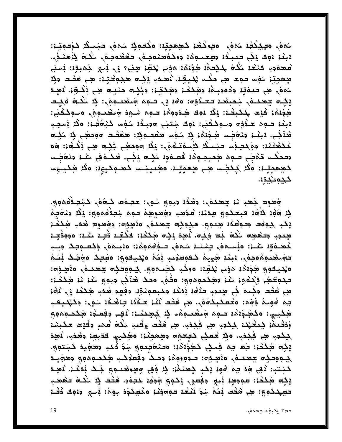مَمَنْ وَجِكْتُهُ مَمْنَ وَجِزْكَتُهُ كَمِعْمِيَةٌ: وَكُتُوبُهُ حَمْقَ تَجْتُدُ كَوْتُوبَةٌ: 2بِنْدْ 2وَكَ إِجْرِ تَعْبِخْهُ وَسِعْتَهِمْ وَوَحْدُهُمْ وَهُدُوجَةٍ لِلْحَامَ لِلْاَهْتَجْيِ. فعفوب فنغد مكة لمكتحمة هذهنه هوم يحقد هنيء في نصبر بمجدد: نسبى هِهِجِبْنَ مَهْسَ حَمِّدَ هِيَ حَكْمَتْ يَحْيَقِيْتْ يُعْجِبُ عِجْمَةٍ مِجْمِعْتِيْتِ: هِي هَخْتَ وَكِر مَمَنْ هِي حَتَمَتِهِ مِمْعَدِيمَةٍ مِعْكَمَةٍ مِعْكَمِّةٍ: مِثْلِي مَنْتِي هِي يَٰكُونَ. يُصِد يَدِه يعده بنمبغد تعنفون مهد إلى حقه الله عليه: لِهِ مَكْتَبَ وَالْحِيدِ هُذِهُ، فَيْدَ حُكْبِتْ: يَكُدْ دَوِكَ هُدَدَوِهُ، تَدْمِهُ شَيْءَ وَمَقْتَلُوهُ، وَسَوَكَفْتِي: لْبِغْدْ فِيهِمْ عَنْدُوْهِ وَسُوِكْفُفٍ: وَوَفْ شِتَبَعِ هُوَبِنُوْدَ شَوْمَا كَيْهَقْدْ: وَكُلّْ يُسْجِب هٰتَفٍ. 2 بَعْدَ دِمَاصَــد هُـذِهُدَ فِي حَوْد هَفْتــوِفِي: هَفْتَــد ٦٥مِحَهِـ فِي مَحْــه لْمَحْتَمْعْنَدْ: دِجْكِتِيْتُ تَسْتَكْثَرُ حَبْسَفَتَنْهُجُي: يَكُرُ ٥٥مِحْضِي جُكِلُو صِبِ يَكْشُهُ: ٥٥ وحفقت قميا حوم مجميعة والمقود كيل وفي فقلال المخرف في الله ودوجا كجعجتِهِ: ٥ذُكْرِ جُعْبُـس جب جعجِتِـه. ٥خُعِيبْـس كحـوكيوِّهِ: ٥ذُكْرُ جُكيبوْس كجو خجة 1.

جَعِيدِ لِمَحْدِ مَا يَتْحَدَمُ: وَهَٰذَا دِبِهِمْ شَهْرٍ: تَعْبَدُهُم الْمَوْمِ لَا يَجْعَدُهُمُومٌ فِدِ 1964 كَلْمَة فِبْعَكُمْ جِدْمَة: تَعْبَصُبْ دِجْعَيْهِمْ فِمِمْ شِعِدْهُمُومٍ: يَكْدُ دِمْحَقِيمَ يْكِبْ كِفِقْتْ فِتْفِقْتْ هِيْبُوبْ هِجْدِكِمْ يَتْحَكْفُ مِنْهِذِهِ: فِقْصِيْحْ هَٰذِ هَٰذَكُمْ هددب دحفهم كمه لجد وكها تمعد يكه هككنا فكتجة قبة كمة: ٥دوقعة لْمَعْدَةِ: كَيْـ: وَيُسْمَوْنِ يَشْنَـ: مَـهُنْ تَـذِهْمُومُ:: وَيَبِيدُ وَلَقْدِهِ وَبِيدِ حَجَمَعُمِهُمِ مِنْهِ. يَبْنُهُ هَيْ بِهِ كَعْمِصِدْتِ بِّئَمْ مَهْدِيْهِمِ وَجَعْدِ مَجْتَحَدُ بِّئَمْ ەندىھە جېنىن مۇجى نىشىن مەگب كېمموم. كەھەدگە چىھىم مەھبەت: تجمِعْضِ وَيُحْمَمِ مِنْدَ دِهْكِجْمِمِهِ: مَتَّجَى مَحْكَ هَدَكَى دِجِمِ ۚ شَدْ نَدْ هَكَخَدَ: مِي هَتَت وَجُنه فِي هِيجِي تَنْقَدُ بَدَيْدُ وَجَبِعْدِيْدِ. وَفِعِيدِ هَدَي هَكَتْدُ فِي آلَاهُ، يم هُومَهُ فَهُمَ: • مَعْطَدِحْهُوَم. هِي هُفْتَ لَامْهِ حَدْثَهُ يَاهْدُهُ حَوِي: • حَيْدِيقَتِ جَدِيبِي: ٥ كَجْبَهُمْ توم جَمْعَيْهِ مِنْ حَمِيدَةٌ: ثَيْبِ دِفِعِيْهِ عِدْمِهِمِهِمْ وَدَفَعَمْهُ يَعْتَبُهُمْ يَهْدُدِ مِن فَيْدَدِ. مِن هَفْت وَفْعِدِ حَكْمَ فَمِن دِفْيَت عَكَبِتْ ا لِيَكْدِي هِي فَكِدَي. وَفِرْ تَحْصَلِي كَتَبْعَيْهِ مِعْهَمِيْنَا: وَهُدَيْتِ فَقَدْتِهِا وَهُدَيْ. ثَعِيدَ يَكِم هَكَمَا: فِيهِ فِي فِسِكِي كَهَٰذٍيْهُا: وَفَدْوَقِيدِهِ مِنْهُ ذَهَبٍ وَهَجَيْدٍ كَشِتْوِي. جِمِهِ حِمِدِم جِمِدِمَ وَمَحِدِهِ: حَدِهِ وَوَجْهُ وَصَدْ وَفِعِدْكَتِ مُحِدَمِهِمْ وَمِعْ وَمِعْيَد كَجْتَبِ: ثَيْبِ وَمَ يَمْ وَوِءٍ بِكَبِ كِعَنْكُمْ: كِنْ ذَيْبِ وَهِدِفْعَـٰهِ وَلِكَ بَدَنْكَ. ثَهِـدَ يَكِم هَكَمَا: مودِهِمْ بْنِي دِفْعِي يَكُومِ وَذِهْ حَجَمَةٍ. هَتَت فِي حَكْمَ حَقْعَبِ تيهككوي: هِي هَتْت بْمَمْ شِدَ نَتْتُمْ تُوْمِيْنَ مَكْتِيْكِذِهْ بِهِمْ: بْنِي دِيْفِكْ ذَتْمْ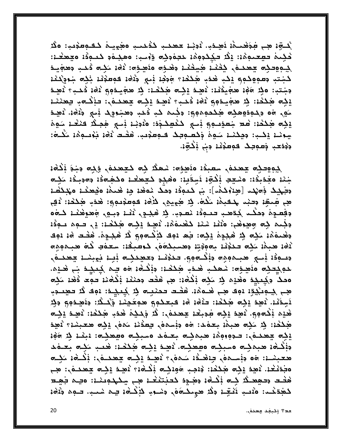لْكَتِهِ مِنْ شَوَقْعَتْهُمْ يَصِدْمِ. يُوَجِّعْ مَعْجَبِ ذَوْجَتِ مَجْمِيدَ أَنْ مَنْ مَنْ مَنْ ْحَكِيمْ فَقِعْتُوهُمْ: إِكْرُ فَكَكُوهُمْ حَقَّوْدِهُ وَرُسِي: مَعْجُدُو كَعَنْوَهُ مَعْجَلَا: جِمِهِدِم يعددُم، ذِخْنَدْ هُيِخْنَدْ دِهْدِهِ مِنْصِدِهِ: لَاهْدُ سَدِّهِ ذَهَبٍ دِهِجْيِدَ كَبْتِبِ وَصِوْمِهِمْ يَكْبُ هُدْبِ هَٰذُكُمْ؟ وَوَفِّهُ يَدْبِي وَلَاقَهُ وَصِحْفُهُ بِنُوْجِرُكُمْ دَ اللَّهُ وَجَدَب: وَجَدَّ مِنْ مَاجَاتِ اللَّهُ عَلَيْهِ الْمَسْتَمْرِ مِنْ اللَّهُ وَجَدًّا وَاللّ يَدِّم هَذَهُ: ذِرْ هَجَيْدُهِ مَ ذَهْبُ ذَهَبٌ \* نَصِدَ يَذِلُّم جَعَدَهُ ; تَذَكَّمَتِ جَعَنْنَـ } مَهِي ٥٥ دِكْمِدْهِهْدُهِ هُكُحْمِهُمْ وَجْعَةٍ حَبَّ دُخْدٍ دِهِنْعَ وَجْمَعٍ ذَاهَةٌ ثَهِيدً يَكِم هَكَمَا: شَعَ جَعَيْدِهِ بِمَجْدِمٍ كَكْتِيكَ ذِي 10\$4 فِي 10\$ فَيَعْدَ حَوِي يبونا إكبر: ومِكنا سَاوِمَ وَكَسَامِهِكَ فِيهِموْمِينَ هَفْلِكَ لَاهُ، بَوْمَنُومُ، مَكْنَةَ: دِدْمَعِب ذِصوحِكَ فَوَصَدِّعْ دِبْ بِكُثْرَةٍ.

جِمِهِدِمِ يَعْدُمُ سَعْبَةُ مَنَصِدِّهِ: شَعْكُرْ كِمَ كَيَعْدُمُ، ذِكِمَ مِنْدَ بَكْمَ جَنْهُ وَجُدْدِهُ، وَشَجِّدٍ بِكُوِّهُ نَبِيدَيْنِ، وَهَجْدِ كَجِعْدُهُ وَكُلِّمَةٍ وَالْحِدَةِ، حَكِم جَبَيْدُ جَمِيْدِ [هِدَوْكَمَا]: بِي كَعَمِدُهُ حِصَدٌ نَمْعُهُ فَصِيرًا مَعْدِدُ عَبْدُتُكُمْ مَعْلِ هِم جَمَعَ، وَحَبْد لَمَحْدِهُ، ذَكَرَهُ، فِي الْمَعْدِمِ وَالْمَعْدِمِ وَالْمَعْدِ وَاللَّهُ عَلَيْ وَالْمَحْ دفصيد ومكب كتصب تتودد نصوب في هجيجي لانشه وبي وصوهنيه كوه وَجُنه كِم مِعِوْهَا: 211 شَنْدُ كَهْنُوَهُ: يُصِدْ يُكِم هَكُمْ: يُنْ فَنُوْدُ عَنْهُ وَذَا وضَعفَهُ: حَكِم فِي هَجِعِهُ يَكِم: جَمْ 192 كَيْكُمُومِ كُلِّ هَجْجِهُ. هَفْتُ هُ: 192 ثقه هبمه ككه حكفه بموفقة وهسبكة في كوسبقه: سعفت كم هبمومِه جسودُهُ بُسبِ هيمومِ جَبْنُسومِ . تَعْذِيْبُ جَعْمِيْنِي بَيِّيْ بَيْنِيْتِ جَعْنَاهُ ، لدوكِتِدِه منَهِيةٍ شَهَدُب فَيَدْمِ بَعْدَمَ: دِفْكُمْ: ٥٥ يم كِتكِيدَ بَي فَيْمَ. همكَ وكِعِجِد مَغْيْمَ فِي حَكِم بَكْمَةٍ: هِي هَتَت وَمَنْعُةٍ بَكْمَةٍ تَهْدِ مَكْلِم ھے نچمنچیّة ہوک ھے ھے 146. ھفت تحنیہ بِر کینچے: 402 قُر تھنے ب لَاجِدَنْدْ، نَاهِدْ يْذِهِ هَٰذُهْ: تَأْمَدُ هُمْ فَبِعَدُومٍ هُوَعَكِيْدْ وَبُحَدٌّدْ: وَلَاهِدُومٍ وَذِرْ هٰذِهِ بَكْسَهُمٍ. نُصِدَ يَكِسَ جَعِيبُهُ جَعِيدَهُ،: كُلُّ جَكِيدَ هُدَبٍ هَكُمُهُ: نُصِدَ يَكِسَّ هَٰذُهُ: إِلَى مَذِهِ هَذِهُ: بَعْدُد: ٥٥ دِنْسِمَهُ, يَعْدُدُ مَمْهُ, إِذِهِ هَـٰبَسْدُ؟ لَاهِدَ يَدِّم جَعَدَهُ : تَجْوَوُوهُمْ عَبْدَهِ جَعَدَتَ مَسْبِدِهِ مَهْمَدِهِ: يَبْعُدُ فِي هَوْمُ دِيْكُوْ، هِجِمِيْتِ مَسْبِيْتِ مِيْهِيْتِ، يُصِدْ يِيْتِ هَٰذُكُ، هُنِتِ حَيْتِ جِعْدَهُ ذَ هكِ الْمَاعَةِ : وَالْمَسْمَعِ بِالْمُحْمَدُ الْمَحْمَدُ وَفِي الْمَسْمَى الْمَسْتَمَرِ الْمَسْمَدِي ەجْدَىْتْدْ. ݣْمِيدْ يْكِم مْكْحْدْ: دْدْجِب مْوْدْكِلْ يْكْلْمْ بْكْشْدْ يْكِلّْ عْطْحْلْهْ، مْعْلّ هْفْت دِحْهِمْكُرْ كِلَّهُ فَجْدَةٌ دَحْبَتْنَكْ مِن يَحْكُمُ نَنْهُ وَجِمْعَ الْمَحْسَمَةُ وَجَمِيح لمَجْدَنْــد: 20ْعَــدِ ثَفَـٰتِــدَ دَلَّا مَعْبِــدَــهُ) دِسْــودِ لَأَنْحَــهُ، شِــم، حَــوه دِنْهُ،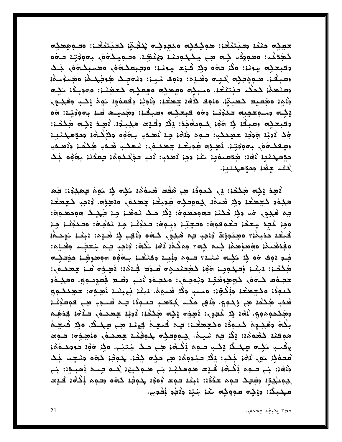حصِبُه مِنْنَا دِحِبْتِنْتَا: هويُعِبُه مَنْجِدِبُهِ يَنْجُمْ} كَحَبْتَنْتَا: ٥دُوهِهْلِه كَجْدَعْد: ٥هدودُه كِه هِي يَكْكُونَنْدْ دِيْمُقِيْدْ. ٥دُويْكُوَهْ، بِهُوَدِيْدْ دَيْوَهْ وكبتكت سونة: ولا توه ولا كَيْت سونة: ووتبعد وَهُ، وهسبك وَهْ، فَكَ وصبقة. مدوديده كيبه دهيد: دووك شيئ: دنهَ جدوجَهدهُ: مَجْسَدُ وَمَسْوَسَهُمْ ومنعذا كمكد حبتنغا مسبك معمده معمده كعجنا مصوبدا كده دْيْهِ، مَجْعِيد كَمِحِيّةٍ. مَنْهُد يُحْمَدُ جَمَعْدُ: دِيْدِيْدِ دِفْعَمْوِدْ حَوْمَ يَكْبِ دِهْكِـوِي يْدِّه مِسْمِعْجِبِهِ تَحْفِيْهُ مِهْمَ فَبِعَدِهِ وَسَبِقْهُ: مِجْتَنِسِي شَهْ بِهُوَفِيْهُ: ٥٥ وقبعده ومبقة في 106 كـودةدفو: إِكْرَ وَقَامِدَ هَذِيدَ. نُصِدَ إِنِيهِ مَحِكْدَ: وَدْ آدِنِهِ وَجِدْ حَمِيحَكِي: سَمِمَ ذِيْقَةٍ مِنْ يُصَدِّبِ سِوَةٍه دِكْرُكُوهُ، دِحَدِّهِكِنْبِهِ وجعدهم بموجية أعيده محبحة جعده المعدب هدب هذكنه داهد حَدِّهِهَدَبَةٍ ثَامَةٍ: هَدَّهَـمَاهَـدِ ذَهَبَ لَاحَدِهِ: ثَعب حَدِّكَـكُمِمَةٍ حِعدُنَةٍ بِمَوْهِ خَك لاغم يبغد وحقهكنبد.

لْاهِدْ يْذِهِ هَٰذُمْ: يْهِ كَعَوْدُ هِي هَٰذَت هُحَدَهُ، حَذِه ذِرْ حَوْمَ يَعْجَدُهُ: فَع هدەد كېمىغا دېر شىما، كەھەك مدېغا چمىدە، ەئھدە دادې كېمغا يه هجدي مد ددد خديد حمومحموم: إلا مد نمغد مد خهد مومعوم: ەمِنى كَتِبْ يېكىنا تىخمەمە: ەتچتىنا دېلەت: تىندىنى مِنا ئىدىشا: ەتىندىنا مِنا فَتَحْدَ حَدْبِكُنْ؟ وصِحَدِيْتَ دَاجِبِ يَمْ هَجْدِي حَامَو ذَلاقِي لِهِ هَدِيمَ: يَبْعُدُ حَدِيدُه ٥ڣذفعـۿ: ٥وَهِوَهِهُ: فِيم ذِيءَ وِمِكْمُ: ثَقْ: ثَلَامٌ: ثِدْهِبِ بِيم شِعِبْتِ وَهْـيْمَ: جُدِ 192 هُ٥ ذِرْ مَدِّـهِ شَنْعٌ؟ تَـهِمْ دِبْيَـةٍ دِقْنَعْـةٍ بِـهَٰهِ٥ هِمِعِيقِـةٍ حَذِّتَـهِ جُكْحُهُ: يَبْعُمُ وَتَهْدِمِيهُ هَوْهُ كَجُدْعَتِهِ هَاجَدَ فِيهَةٌ: يَصِدِهِ هَـ جِعَدِيهُ: حجف كمفى كوموهيته ونوجفي محجفو لايب وهد فعويلوي وهجفو كعودُ، وكَجِعجْ، دِبْكَةٍ: وسعب دِكْرُ هُجِهَا. دَبِنْدَ نَبِيجْتَ نَصِّدِهِ: حَصِّدَكُومَ هٰذَا هٰذُمْ هِي وَجْمِهِ. وَيُهَي حَكْمَ جُدِّهَنِي تَعْبُوُهُ فِيهِ قَصَدِي هِي قَوْمِتَهُمْ فَيَ دَهْبِكَحْمِهِمِهِمْ. يُهْدِيْ يُحِجِيْ يَضِدِّهِ مِجْكَمْ: يُدِيْدِ جِعْجَمَى حَنْفَهُ فِدْهِمْ بِلَاة وَهَبَدِهِ كَتَوَدَّدَ وَكَيْعَيْدَ: يَمْ فَتَيْمَ فِي نَا هِي سِكِنْدَ. وَفِي فَتَيْمَ هوفنا كغومْا: إِكْرَ يم شَيْمٌ، كِوْوَدِدُه جُوثِنْا يَعْدَمُ، وَتَصِدُوه: فَعِدَ يفتب ككت يهنك إكب بعد فكفه هي مك شتني. وفي 10% بومكمة مُعَمِّدُ سَيْءَ ثَمَّةَ جَلَمَ: إِنَّدَ حَبْدِهِمْ: هِي حَيْثَ خِدْءَ. جَمِعْ: حَمَّه جَنْجِس جَدَ جَنْهَ: جَم =جمِم بَكَـهُ: فَـيْـد هوهكَنِـ: جَم هـوكينِي: كَــو جِمـم بَعبـِيْ: جَم جومنكة، دميك حوم حدَّدُ: يَبْنُ حوح وَوَدٍ جُوخْ، كَمَو دِحوم نَكْمَ، فَلِح مهبكُ: دِيْدِه مووِدِه مَعْهُ جَتِه دَٰقِهِ بَقْدِبٍ.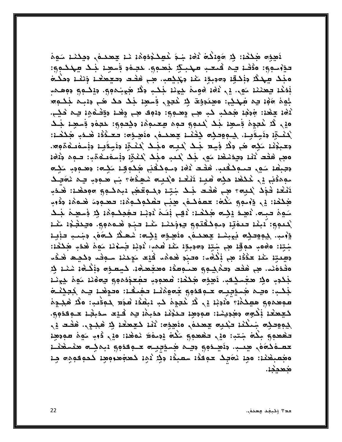لَاهِدِهِ هَٰذُكُمْ: ﴿ هُوَلَاكُمْ نَهُمْ شَدِّ نُصِدُخُوهُمْ نَا جِعْدَهُ، وَحِدْنَا سَوْمُ تَذْوَسُومِ: وَذَكَرَ يَنْ قَنْتَبِ مَهْنِيٌّةٍ بِفَعْنُومٍ. بَعْدَهُمْ قَسْعِيْهِ بَعْدُ مِهْدَبُومٍ: ەبْك سِهِكْ دِبْكَةٍ دِٯدِبةٍ، مَمْ، دِچْكِسِہِ. هِي هَتَـٰت دِتــِيحِتْـ، ذِنْتَـٰ، دِحَكُـهَ بَدَعْدِ جِعِنْنَدِ سَيْ. إِنْ يُهْدِ هُومَهُ بِيَنْدِ بِذَكِ وَكُرْ هِٰجِيَـٰمومِ. وِيُكْـُومِ وَوَهْـمِب جُومَ وَوَءَ فِي فَهِدِي: مَعِيَدِدِيدَ فِي كَعِيبٍ فَسَعِدٍ جَدِ حَدٍّ هَبِ جَدِيمٍ جَدَمِهِ ثَهُ، جِغْد: مَءِنْدِ، هَدَكَبِ كَبِي هِي وَهَدِمِ بِنَ وَهِ هِي وَهْدِ وَوَفْتُوهِ، فِي فَكِي. هِي لَا نُعِجِمَ قِسِعِدِ نَجْدُ يُحْدِمِ حَمِمَ صِحْدِهِدِ: بِهِ عَجْمَةٍ قِسِعِدٍ نَجْدُ لْمُعْجَةِ دِنَسِتَيِبٍ. كِمِهِدِيهِ كِثْغُمْ يَعْمَدُهُ, مِنْصِدِهِ: تَعْمُدُهُ، هُدَمُهُ: بَعْبِدِْنَا مَكِنَّ هَيْ بَكْرَ فَشِيعَ جَلَّكَ لَكِيتَ مِنْكُمْ كَنْكُمْ بِهَشِينَةٍ بِهُشْمَعْتَهُ مَوَرَّب 1023 مجم هَتْت لَانْدْ دِيهْشْمْدْ شِي بْكُلْ كَعْبِ مِذْكُلْ كَثْمَةٍ دِيْسَفْعَشْهِ: تَعْمَدُ ذَلَق وجبعة كور فحوكفيت هفف 102 وجوكفني هكوفية ككام: وهنووي ككام موهقني في شكفته حكِم نُعيِّد مَكْتِب مَيْدِم شَهِدُه؟ بَبِ هـودِ يم نُمَاسِكَ لَاَفْعَا فَذِكَ يُحِيهِ؟ هِي هَفْت بَعْدُ جَيّا وَكِيهِتَمِي الْمِكْتُومِ هُوَهَا: هَنَّفْتِ جُكْمُ: إِلَى يَوْسِمِ جَكْمَ: عَمْقَكُمْ هِنِي تَعْكُمُكُمْ: تَعْدُونَ هُدَفَقَةٍ وَدُوبِ كومَ حبِّ : لاَهِـدَ يَكِـم هَكَـدَ: لَاقِبَ بَعَـدَ لَادِيْـهِ حَهْمِكُـوِمَةٍ لِهِ ذَهْلِهِـمَ لَيْـك لْمَعْمِئِ: آبِنْنَا فَعَمْتِنَا دِعْمِكَفْتُمِّي فِيْجِدْنَا مَنْنَا فَيْهِ هُدْمَهِمْ. وَفِيخَتْهُا مَنْن وْوْمِهِ. كِمِهِدِمِ بَعِينِهَا يَعْمَدُهُ، مَنَصِدِهِ يَدِهِ: شَهْكُدُ كَامَهُ، وَشِعْبِ فَنَهِمْ جَيِّبْ: ٥٥٥م، حوقِّدْ هِي جَيِّدْ وهوجِدِّدْ مَعْدْ صَحْبٍ: لَادِيْدْ جَمَعْنَدْ مَعِجْدُ هَجْكَهْ: بَصِحتِهِ مَعْهُ حَدْثَهُ هِي بَكْشَمَ: وَصِبْدِ هُدهُمَا فَيْعَا مَجِمْنَهُ مَسْوَفْ وَكَشِهَا هَنْد مَقْدَمَنْد. هِي هَقْد دِحَكَمِيمٍ هَنْمِعَدْ مَعْجُمْدَة. كَيْسَدِّهِ دِنْكَاهُ، شَنْدْ كِهِ بَلْدِدِ، وَلِا مِعْمِلِكِي. يُصِدِّم مُحِكْدُ: تَعْمَدِدِ، تَعْمَدِدِهِ وَمِنْ مَنْ مَعْهُمْ لِحِينَة بْكَبٍ: ەڃم مُسوِّبِي حـوفوق جَموهُنَـْ تَمْعِنْفَـْ: ەتّْفِحْـْ يـم بُبَيْنَـة مَعِموم مِعْدَةٌ وَأَدْنِهُ فِي كُرْ نُحْجِجْ كَبِ بَغْدُهُ فَجَعَ حَوَقْبٍ: وَكُرْ هَجْجِمْ كَجِعْتُهُ بْكُوم مِعْدِينَهُ: صَوْدِهِهُ حَكَيْتُهُ حَمْيَهُهُ فِي كَلِيحَ سَمْبِتْهُ حَلْوَهُومِ ك لِيوِ وَاللَّهِ مِنْكُمْ لَا يَعْدِمُ مِنْهُمْ وَاللَّهُ مَعْدُمٌ فَيْشِي. هَنْدَ فِي تغمدوج بلكة بنتبا وإلى تغمدوج للكة إدلمة نمغدا وإلى ذوبا للها صودهد معصفكةف هيب وأهدوه ويك هموجيت محبوفوه وبمكت منمشنة مغصبغند: مدٍ نصَدِك عوقدُ مصبدُ وذِ ثَمِنٍ كَعَمَهُ حَمِهِ كَحَمِقُومِ مِنْ خعددد.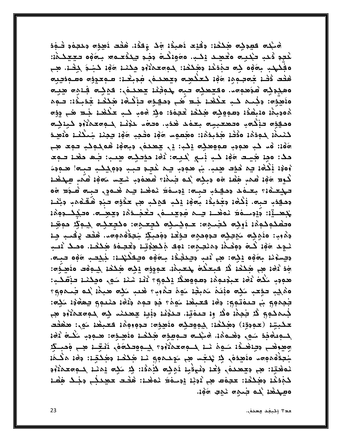هٰنكت فعددك مجكد: دِفْيَت نَعبدُ، مِكْ خِفدُ، هٰنت نَصِدِه دِحتِمْدِ نَسْوَدَ نُدِدِ ذُكِبِ تَجْبِيهِ مَعْصِكِ بِكَبِ. 2000كُتْ دِجْدِ بِيَخْمَـهِ جِبَهُمْ تَجِيَكُمْ: مَقْتَلِهِبْ بِهَوْهِ فِيهِ تَجْدَيْدُ وَهَكُمْ: جَمِهَعْمَآهُ وَجَدْدَ هَوْهُ تَجْتُبُ فِي حَفْرٌ. هِي هَتْت دَٰثَـْ جَامَعِهِمْ هَهُمْ كَعَكُمِـه مِجْمَعَـهُ مِجِبَـٰمْ: سَـهِعَجِفِه مَسْوَمَحِيه معددكه عدَهوم العيصري حبه لمحوفي يعدها: في كِم فِنمِه مِيه هلَهِيْوَاء: وَجُمِيمَ كَبِ حَكْفَظٍ فِيدٍ هَي وَمِهِيوَا فَإِكْتُهُمْ هَكْفَظٍ جُوَيِّدُهُ: فَيهِمَ هُوَدِيمٌ وَيَعْتَدُهُ وَسَوْعِهِ هَٰذُكُمْ تَحْتَوُدُ: وَذِهِ هُوَيِ ذَبِّ حَذْهُدُ جَبِّ هَذِهِ محيدة تذكمه متعتبيبه بتفد هدب متغد بخذا لموهته وبدلجه لنعمة لموذه: ودُفَّة هُدَيدَهُ: وهُعوها 10\$، وفحد 6\$، جهدة شِعلَكْمَة وثَهِـدَ ٥٥;; قد كد هوجد مووهكِ يكد: 2, جهدف, جمافه همكوكد موعد هي حد: مَضِ هَيْت ١٩٥٠ كَبِ بَسِمٍ يَحْيِسُ: نَهْدُ حَفِصِيْتِ هِيَتِ: خَلَّفَ حَفْظِ صَمِّد `وَهُذِهِ بَكْشَهُ لِيمَ كَذِلِكَ هِيدٍ. بَي هُدِدٍ لِيمَ غُلِيدٍ لَهِيبٍ دِدِهِ لِيكِبِ لَهِيبِ الْ هَدْوَدَ نَكْبِهِ صَهْدِ هَاءَ مِنْهُمْ وَجِدِّهِ بَعْدَةٌ وَالْمُدَةُ وَالْمَدِّينَ مَا مَعْهُمْ وَالْمَدُّم تهيدة بعدة وديدب تبدئ يجمدهُ مُعَفِّد يم في الله على الله عليه من الله عليه ومهذب حبه. بْكُلُو، وَجُدْبِدُ، بِهُوْ، يَكْبُ فَجْكَبِ هِي حَدْوَاهُ حَبْدِ هُقَـٰهُمْبِ وَبُنْــ، بَبْعَدِيَّةٍ: ذَيْدِحَاهُ مُعَصَّدَ بِنِيمَ جُدِيدَةٍ حَتَّجَاجَةٍ دِينِجِيدٍ. وَتَكْلِمُ دِوَمَةٍ محفكوكوهُ، أوجِه كجُمِهِ: محوكِمكِه كَجَمَهِهِ: مَكْتِمِكُمْ كِوَكِرْ حَوَضِهِ دِمُوْدٍ: وَكَمِنْهُمْ حَمْدِيْهِ حَدِمِيْهِ حَدِيْدَ دِمْجِيْدٌ شِجِدَّهُمْوَاهِمْ. هَتُت يُحْصِبُ جِبْ نيچد 104 كُـة دِمِكْمُ، دِمَنْتِـمِهِ: 202 مُكْمِنْدِتِـ، دِتْتِـمْدَ مُحِكْمَـ، 20كُـ نُنـب بِيَسْوَنْهُ بِهَوْهِ يَذِهِ: هِي ثَبَبِ بِيَحْتِيْهُهُ بِهَوْهِ وَيَعْذَبُنَهُ بِذَلِكِتِبِ هَوْهِ تبِيهِ. ِّهِ: يَهْدُ هِي هُدُخْدُ كُرْ فَبِعَثُمْ لِمُعْبِثَةٍ. عَمِيقِهِ يَذِه هُدُخْدَ لِحِمِقْتِ عَنَصِيَةٍ هودب حَكْمَ نَهُ، حَبْدُمُهُ، وصوهِهِدْدُ يَكُوبُ؟ ثَقْدَ شَعْدَ حَقٍّ وَحِكْمَةٍ حَبَّصَكَب: هڤلِيا فَعِقِب مَنْهَ مَهْتُمْ مَمْبِقْدْ مَهِمْ فَقَاوِياً هُعَيِّدٍ مَنْهُمْ مَنْ الْمَحْمُومِ؟ بجموي ب حدة توي: وهُمْ كَعَبْغْدْ سُومُ؟ جُو حوم وَلَاهُمْ حَنْعُوي حِمْهُوْدْ سَكِم: لْمِمْدُومِ لَا تَجِمْهُ وَلَا وِهِ تَتَوَيْهُ. تَحْذِبُهُ دِفِيهِ حِمْدَتْ ذِم لِدُومَحْمَلَاهُ مِن x4بِتِدْ (عودةٍ2) دِهْكُدُهُ: جِووِدَجُه مَنَهِذِهِ: تَدِوووهُمْ قَعْبِهُدْ مَوْلَ: هَهْتُت لمسافر منكد منها وهده من المنابس والمستوى المستورين من الله عليه من الله عليه من الله عليه من الله عليه وسلم ع وَهِوَهُمْ جَدِهُمْ ذَهُ مَا بِهِ مَعْ مَدْوَدٍ ﴾ [الله عمر 2014م ] مَسْتَمْدُ مِنْ وَجَمْعَةِ بَيْتِقْهُمُوهِ مِنْصِدَةٍ ۚ ذِلا يَكْتُسُ هِي مَجِمْحُمْ وَجُمْدَةٍ وَجُمْحَتِهِ: وَهُمْ مَكْمُهُ نَعْفَتِهِ: هِي دِيجِعْدَهُ، ذِيْرُ دِيْجِيْدُ لَاهِدُه ذِيْهِدُ: ذِي سَدِّم يَهْنُمْ لِمُوَمِّعَةُ وَدِ كَجْدَعْدْ دِهْكِفْ: حَجِمَه هِي لَادِيْدْ يْدِحْمَهُ مْمَعْدْ: هَفْت حَهِدَبُبِ دِجْكَ هِمْدْ مصحفة بحه جبهه نهب وفه.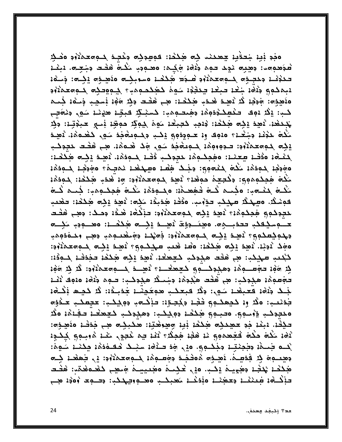هِجْدٍ بَيْدٍ جَعِيْدٍ جَعِيْدَ، جَامٍ هَٰذُهُ: فَوَصِدِدُ ۖ وَخُتِيدٍ حَقِيدٍ مَحْدٍ وَضَلِهِ لْمُجَمَّدُونَ وَهِيتَ يَجِدُ حَوِمَ ذَرْقَةٍ وَيُحِمَّ: وَهَدُودٍ يَكُنُّ هَفْتَ وَشِعِلَةٍ. يَبِغُك تحذفنا دحتوه كومتمن وبتوت محكما مسوبكت مقطوم يكدا فسفه يبمكوو ودوم بغد حبغد جخود كوه كغكدومب كعوودك كووحدود مَنَهِيهِ: وَجَدِمَ لَا يُصِدْ هَدْبِ هَٰذَهُ: هِبْ هَذَا دِلِهِ وَهُمْ يُسْجِبِ ذِحْقَةٍ ذَخِمَ كَبِ: إِكْرَ 209 فَكْتِيْخْدُوْهِمْ: جَمِّيْتِ مِنْتَكِرْ فَبِقِيْدَ مَنْهَنْدَ شَهْرٍ. وَنَقَصِّحِ للمنفع ينجد وجم محكم: وَعجب كجبع مَهِمْ جِمِكِ حمِقِهِ فِي حِبْدِتِهِ: وَكِنْ مَكْمَ حَذِيْهِ دِجِنْعَةٍ 2000 وِلا حَـوِدِهِمْ إِحْبِ دِحَـوِدَهُنِدَ مَـوِي حَقْحَقَةٍ. ثَمِيْدَ يَكِم كِمُوسِعِمَيْهُو: تَنْوَوُومُهُ كَيْمِيْشُوْمُ شَوْمٍ رَضِكَ مَعْهُمْ. مِنْ هَتْبَ حَيْدِكْبِ لحنافه مدخم ببعند: مفحك ودُه لحجوكب دُخْم لمسودة، يُصِد يكِلّ مُحْكَم: وَجِدْتُهُمْ لِمُؤْمِنَةٍ لَمَنْهُ وَجِدْتُ مِثْلُكَ فَقْدَ وَصِيحَتْهُمْ يُحْتِجُعُ وَجَدِيدٍ لِمُحَوَجِّدَة مَكْمَ هِجِكُمِمِمِ : دِكْتِـِيمْ حَمِّعْةِ ۚ دَهِيدَ حَمِهِ مَعْدَوْدِ: وَلَا تَعْدَبُ هَذَهُ لَا حَمِدَهُمْ كُلُّهَ كِنْسَهِب: وَجُنبِهِ كُلُّهَ فَهِعِيمَةٍ: وَكِلُّوهُمْ كُلُّهَ هُجِكْلُوهِ بِهِ جَنبِهِ كُلُّه قوشكْ. وصِهْكُ صَهْيَكُبْ فَوْسِبْ. وَذْفَهُ هُذِيدُهُ حَكِم: لَاهِدْ يَكِم هُكُمُهُ: فَقَعَب للجوكوم فحكومي أنعد يكبه كومعملاود حاكمة هذه وصك: وهي هفت <del>ى</del> مېغىلاب تىنېبە. ەھئىبېق نمى ئېلە ھىنىنى: ەھىبېبى كېسە دَمِهِ فِصْحُوجٌ ۚ زَيْنَ مِنْ مُحْمَدِهُ وَ: ذَوْمَهُ دَوْمَ مَعْصُومَةٍ وَهِـ وَمَعْمَدِهِ وَمَا م ٥مِنْدُ يُدِيْدُ. يُعِيدُ يَذِي هَذَهُ: ٥مَنْ هُدِبِ مَهْدَدُومٍ؟ يُعِيدُ يَذِيهِ حَمِمَتَهُوْدِ: لَبُعَبِ مَهْلِكِينَ هِي هَتَت هَجُدِكَبِ كَـتِهَتَعَدَ. ثَهِدَ يَكِمَ هَكَنْدَ تَجْدَثُمْ كَـهِدْدَ: يْدِ 1464 حجّاجها وهجدكَـــمِ جَمِعْتَـــــمَّ يُصِــدُ حَـــمِهِ مَثْنُودِ: كُثْرِ مَثْبَةٍ مَثْبَة تجْعِمِهُمْ هِجُدِكَتٍ: هِي هُتُت هَجُدِهُمْ دِشِيكُ هِجُدِكَتٍ: تَنْهُمْ وَلَاهُمْ وَاللَّهُ لَائِنَا لَجِنْدُ وَآةَ، فَعَنِقْنَ سَوِي: وَقَدْ فَبِعَنْتِ هُوَعَيْشَنَا جَوَيْتُهُ: قَدْ نَشِيهِ ذَكْرَهُ، بَدْنَعَبِ: وَكُرْ وِمْ كَجِهْكُومٌ قَفِي دِكْتِجَةٍ: فَإِكْتُوبِ دِوِكِكِبٍ: حَجْعَكَبِ حَنْدَوْهِ مدجوكب ووصوى محبوق مجكدة وويكب وهجوكب كجمعت تفنفناه בَكْنْدْ، مْبْعْدْ جْمْ حَجْدَكُمْ فْلِيْدْ وْجِعْفْتِيْهْ: ھَكْبِكِـٓ، مِجْدَتْـْمْ مْثَجْـةِ، لْهُ، حَكْمَ حَكْمَ فَجْعِدِهِمْ مَا هَجْدْ مُحِكْدٌ؟ لَمْدْ بِم خَدِيدٍ حَمْدَ دُوجِهِمْ كَمِحْدِد لُمُــهِ جَمَعْهُ وَجَمِيْتِهِ وَجُمُــهِ وَ وَفِي وَفَقَادَ مِنْهُمْ فَقَادَةً وَجَمْعَةً وَجَمْعَةً وجعلوا في فحصة المحلول مُوفقية والله على الله عملان والله على الله على الله على الله على الله على ال جُكْفُمْ يَكْتُمْ وَجْعِيْهُ يْكْبِ، وْيِ كُكِيْهُ وَجْعِيِيْهُ وَمِعْيٍ كَفْحُوَفْهَا: هَتْـَد حَذْكُـ هُ: عَيْنَنْـ : حِمَعْنَـ: هَذِكْـ: مَعْنِكَـب هَعْـهِ وَجِهْكُب: دِحَـٰهِـد وَهَٰذِ: هِــ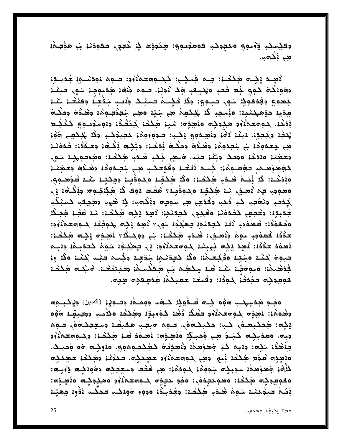وقيسكب ووجوم محجوكب فوعدوموا محدودة في غجول حقودنه بي هؤجهه م نذهب.

لْمَصِـدْ بِكِــهِ هَكْسُـهْ: كِــمِ فَسكِــنْ كَــمِهِمحَمْلَاتُودِ: كــمِم 10ذنبِــمْ تَحْدَبِــدِّه دِهَ وَدَكْتُ كُمْ جَادِ خَدْبِ وَجُحْيَفِ وَذَ يُدِيْدِ. فَيَمْ ذَاقَةَ هَذِهُ وَعَلَّمَ حَبَيْدَ و لجُعوم وفِدَعودٍ سَوى حبومٍ: وَقَدْ حَدِّجَةَ حَسَبَكَ وَيَدِبِ شِدِّيَةٍ وَعَنْعَـٰهُ مَثْـَهُ هِدَيْدَ مَدْهَهُدَيْدَ: مَنْسَجِب كَبْرُ هَذِكْهِمْ هِي شِيْدَ مَعِي شِعِدْتِهِمْدَ وَهَدْهُ وَمَكْت ففند. كومعمالأود هجدكِم ملهجه: شبه هكفه كتفند دوسومبوم كنكب بْكِتْهُ وَكِتِيْهِ، مُبْعُمْ نُوْمُ وَنَصِدُومٍ يَكْبُ: تَدْوَوُوهُمْ حَتِّبْوُكْبِ وَكُرْ يَجْكُسِ وَوْمْ هِم يعدوهُ، بِ سِبدوهُ، وهُنْوَى وحكْتِ بْدَعْدِ: وجُكِت بْكَاهَ، وعَنْدُهُ: تَدَوَيْهِ بِعْضِيْنَ وَيَدْعُنَ وَجِمَدٌ بِثَنْتَ تَجْبَى وَبَيْضٍ لَجِدْتِهِ شَدْءَ بِهِ فَكُمْتَ وَالْحَقِيْ وَالْمَجْ كَجْمَدِهِمْ حَجْمَةٍ وَمَاءٌ: كَنْصُمْ لَاَعْتُمْ وَقَوْعَكُمْ هِيَ شِعْدُوهُمْ وَهُدُوهُ وَعَجَبْت هِبْدَعْـٰ: ݣُرْ بْشَمْ هْـدْبِ هِٰدْهْـٰ: هَكُرْ هِٰدْجِـْ: هَدُوَّنِـْ: مِيْدَبِّـْ: مَعْنَا هُوَهِـوِي ٥ﻫﻴﻮﺩﺩ ﺟﻤ 2ﻫﻴﺪﻱ ﻧـﺪ ﻫﻴﺪﺟﻴﺪ ﻩﺟﻤﻮﻗﺒﻴﺪ؟ ﻫﻐـﺪ ﺩﻭﻙ ﻛﺪ ﻫﻴﺠﺮﺗﺠﻮﻫﺮ ﻭﻧٜﻛُـﻬﻨ ﻳﻲ كِذِيب وَنَسَاجِبِ كَبِ ذَهَبٍ وَقُدْتِي هِي سَوِيتِهِ وَنِكْسَبٍ: لِا شَيْءٍ وَهُنِيكِهِ كَسَبْكَدٍ بَدْمِدِنِ: وَتَعِيبِ كَتَدَهُنْ وَهَكِدٍ كِيدَنْهِيْ: يُصِدْ يِكِم مَكْتَدْ: مْدْ هَٰذِهِ هِجِكْهُ ٥ﻛْבּצּסֹצۡנ׃ ﺗْﺳَﻌﺪْﻣَﺩِﺏ ﻛْﺘِﺪْﻧَﺪْﻳِﻧِ ﺳِﻌَﺒْﺪْﻳَ ﺑَﻮﻥ ﻳَﻳَﺮْﺩْ ﻳَﺪِﺕ ﭼَﻮﺗّْﺘَﻨَ ﻛِﺴَﻮﻣَﺘَﺪْﺗُﻭْﻭ: حَدّْدُ لِمُعْمَدِبِ مَهِمْ ذِلْاصِحْہِ: مُحِدِّدِ، جَبِ دِوِحِكُلا؟ لَاصِحْهِ إِجِلِهِ مُحِكْمَةٍ: لَاصِفَة تَذْذُرُ: لَاصِدْ دِكِم فِي بِنْدُ كِمِمْكُمْرُو: فِي سِهْكِـدُ دَعِمْ كَتَدْمِـمْ وَدَبِـم تبوه بَعْدَ مِنْتِه مَذْكِـَـدَةٌ: مَكْرَ حُـيّةنَـدِة شِقِيّة وجُـد تَبْت بَعْدَ مَكْرَ وِهِ فِدَهْدِهُ: ٥ مِهِمَتِهِ مَعْهُ قَدْ سِكْعَهِمْ بَبِ هُكُدْهُ، وَحَبَّتَهُمْ. وَمَبْكِتِهِ هَكَدُهُ كومدكه حجدثه كود: وكيغه مصبكة مدمكهم معبه.

ەخە مخەسىكى سەۋە كە سىۋەك كىھە دەھم، دىلەنى، (كمين) دىكىبە وهده ه:: نَصِدَه حِمِهَعَهْنَوْدِ تَشْكُرُ ذَهْدَ كَمْوَمِدَةٍ دِصَكْكُمْ وَكُنْسِبِ دِدِيجِيتِهِ وَوْه يَكِه: هُمَكَبِعَيْهِ كَبٍّ: مَكْبِكَهُمْ. تَبْهِمْ هِبِيبِ هَقِيفْ بِسِيِّتِكِهُمْ. تَبْهِمْ مِبِهِ. وصديقِهِ كَبْحَ هِي وَحِبِيْنِ وَيَهِيدِهِ: يَهدفُ صَدْ هَذَهُ: وَكِبْهِ مَدَيْرُودِ بِنَغْدُهُ مَدِه: دِيمِ كَبِ هَعْوَهِمْ: دِهْجِيْتُهُ كَهْكَمْمِمْمِهِ. مَلَوِكِه هُم وَجِيدٌ. ملَهِيهِ عَجَدٍ هَذَهُ بَنِي وَهِي لِمُوامِدِهَ وَوَجِدِيهِ. فَذَرَهُا وَهَذَهُا مَعْيَدِيهِ لِأَرْهُمْ وَمَدْوَهِمْ سِجِيلِهِ شِجِهِمْ لِمُحِجَمْ: مِنْ هَتُت جِسِيِّتِهِم جَوَّوِيهِ جَوْمِيهِ: okomeću akat: odpateo,: ode atem Apradije odprćam odatu: فْضَمْ فَجْفِيْنَا مَنْهِمْ فَقْدَبِ فَقِدْمَا: فَقُدْبَدْهُ 1900\$ 1960 فَقَامَ الْقَوْمُ فِقْتِهَا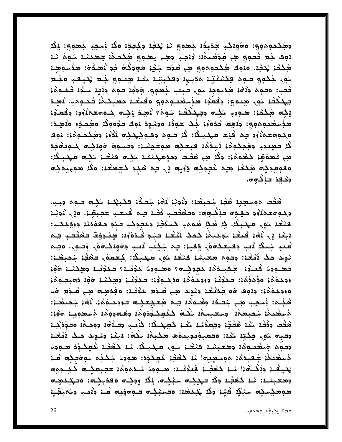دَهْكَتْمِهِمْوِمْ: 1400هـِ جَدْبَدُهُ بِمُعْمِي مَهْ بَدْجَةٍ وَكَبَعِيْهِ مَكْثَرِ بِمَعْدِهِ وَكَ 192 لَبِد تَعوِّمِ هِي مُحَمَّدُ: يَدْهِب حِصِي بِهِدْمِ هَذَهُ لَا يَحْدَثُهُ شَهِمَ مَدْ هَٰذَهُ، يَكْتُبُ، 2000 هَٰذُدُوهُومٍ هِي تُعدِّد شِيْهِ هَوِدِذُهُ فِدِ نُصَدُّهُ: هَذَهُ وَهِدْ مَهِي جَمْعِهِ حَـهِمْ فِكَمَعْتِهُ مَقْبِهِهُ وَفَكِيتِهُ مَعْهُ هِعْمِهِ بَعْدِ فَجْلِهِ وَجَدَّ فَتِي: ٥توه دِ١٥هُ، هَذِهُ مِهْدِ مَهْدٍ تَجِيبُ جَعْدِهِ وَجَدٍ حَوْمٍ وَبَيْدٍ سَنْوَا فَحَدِهِمْ، يهذَنْهُ مَهِي هِعوى: وَفَعَنُهُ مُؤْمِنُهُ عَوْمِهِم وَفَعَنْهُمْ فَعَظِيمًا فَحَـوِهِمْ. ثَهِـدَ يَدِ جَدَمْ: محودِب حَدِّم دِيهِدَٰنَدْ، حَوِيْ؟ يُصِدْ يَدِم حَصِومِحِينَهُو: دِفْعَذِ، هذِ الْمَعْدِمِهِمِ وَيُوسِ حَدَهُ فِي حَدِيدُ وَجَدْ وَجَدِ وَاللَّهِ حَدْوِهِ فَيُصِدِّرُ وَيُصِدِّد ٥ﻟﻤﻪﻣﺘﻤﻨﺰﻭﻭ ﺗِﻤ ﻓَﻴﺘ ﺳﻬﻠﺒﻠﺪ: ﻛُﺮ ﺗـﻮﻡ ﻭﻛﻤﻠﻠﻬﻠﻪ ﻧَڎْﻭْ; ﻭﺟْﻟﺤـﻮﻣْ;: ﻳﻪﻛ لَا تَقِيدِهِ وَهَٰذِكُمْ لَاسِدُهُ، فَبِعَذِه مَعِيَّدِيْنَ، وَتَبْدِهِ مَوْلِدِهِ كَلْمِيَةَ فَذ هِي نَعْدَهُمْ كَفْدَهُ: وَكُرْ هِي هُتُت وَدَوْهِهُنَّذَ لَكِيَّ فَنَعْدُ لَكِيَّ سَهْدِكُ: ٥ﻗﻮﻣﻴﻮﻛِﻪ ﺟﻜﻜﺪ ﻭﻳﻢ ﺧﻴﻮﻛِﻪ ﺯﯗﺑﻪ ﻳﻰ ﻳﻢ ﻓﺠﻮ ﻛﻴﻌﺘﺪ: ﻩﯕﺮ ﺣﻮﻳﻴﻢﻛِﻪ دخيد دنگوه.

هْتُد هُمِسْعِيدٍ هَٰذٍ بِمُحِبِعْدٍ: وَيُدِيْدُ يُهُمْ بِدِخْدَ فَكَبِهْدَ حَكِلَّهُ فَلِيهِ وَبِبِ بكوومعم أبونه والمستقوم والمتفاوي والمستمر المعالم المتحمل المعالم أوجب فنغد كور مهبلا. في هٰذِ هُمم، كَسْوَيْدْ وَجَدِكْ بِيدَ صَفَوْدَة وَوَجَحَدْ،: لابنْهُ إِلَى أَمْنَهُ لَا حَدِيبَهُمْ لَحْمَلَ لَا تَكْتُلْهُ فَالْحَدَةُ وَالْمَسْتَقِيمَةَ فَقَالَتَ فَلَا ف فَعَبَدِ شِمْلًا يُعْبِدِ وَفَجِعَلَهُ مَنْ يَقْبِدِ: بَيْمَ شِيْخِيْدِ يُعْبِدِ وَهُوَدَلِهُ مَنْ وَفَيْ وَفَ نود مد أنتع: وحوم معينا فنغا مَور مهيدُ: تجعمه حفظ شميغا: تعنودة فيندد لجعينده لمجوكت ومنودة لمدنيه تمددني ومحمينا وف وجدعكم وجمجكم: تحجيد جوجدعكم وعكبوجه: تحجيب جميحين وكه ذويت وكف ه وجدهُمُ: جِدْمِكَ ٥مَ جَدَيْتُمْ جِدْجِدَ هِي تُعْجَدَ بَنْجَتْهُ: هَفِدْهِيهِ هِي تُعْجَدِ ٥مَ هَجُم: بَسْجِبِ هِي شِعْدُهُ وَهُدُهُهُ فِيمْ هُعَجُعَجُلِهِ فَوَجَدَهُمُ، ثَاهُهُ شِحْبِهُدَا: جَسفْعِيمَة سَعِيمِهِمْ: حِسِعَيْمَةِ مَكْتَ كَكْتِيكَ دُومَةٍ وَهُسَامِوِهِمْ: مَوْمِينَ وَوَيْ: هْتُت دِدْتْ، مَنْ، هَتْتِهْ دِيمَدْنَا، مَنْا كَمِهْكُرْ: كَأْسِب دِسَنْهْ، دِهِمَــهْ، ەِبْدِدْكِــا وَفِيهِ مَوْلٍ كِلَّةٍ مُنْهُ: وَفَعْدِوْبِعَوْهِ هَكُبِمْ مَكْرَةٌ: يَبْعُهُ وَنَبِيدُ مَنْ يَثْغُر ودوم ومغدوة: ومعينا فنغا مَوى مهينة. نا كففا غيكوة محوود مَسْعَدِهُمْ جَعِبِدَهُمْ مَوْسِعِيهِ ۚ مَا ذَهَبُهُ غَطِيحُودُ: هوودَ شَكْبُه مُوَصَحِبُهِ شَهْ يُحْيِفْ : وَبِكْتُوْ: يَدْ كَعْفِي فِيَوْتَدْ: هـودَ يَدْهُوَهُ: حَجِيعَكِلَّهِ كَجَدِهِ ٥ بمعبشة: نم كَفْشِمْ وَكُرْ تَحْكِيم سَبْكِيم. يَكُرْ وُوَكِيم مَقْدِيكِيم: مَتَجْكَمِيم ھوھكىكە سېڭ فتا دڭ ئىكھە: ەقسېكە قەمۇبە قا دەب دىمېقى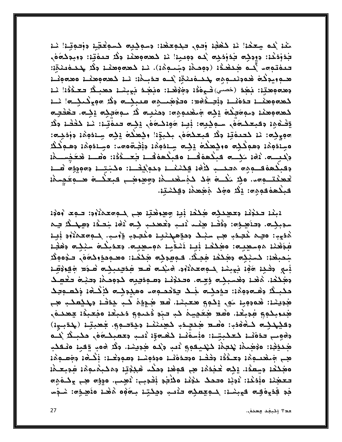مَعْدَ بِدَهِ سِعِجْدَ! مَدْ ذَهْبَدَ وَحَمِي حَجْمِعَهُدَ: وَسَمِحْيَةٍ حَسَمَعَتِهِ وَوَحِمِتِهِ! مَد جَدَوْدَهُ: دِوِدِكِ جَدَوْدَكِ ﴾ دوميدا نه كعمومِعند دِكْرُ حَمَمَتِهِ: دِوَجِدَكُوَهُ، تتفقوهم أَحْد هُجُدُهُ: (وَوَحِجْهُ وَشَعْبُهُمْ). يَا خَصْبُوهُمْنَا وَلَا جُحْدَفَتِيْةٍ: مدويدكة فعودنتهمه ملكتفتنق بمد تدبيقا: نم كعدوومنه محدوفنه وهوم وهدِّه: يَهْدَ (حَصلِي) تَسْوَةُهُ وَوَجْعَةٌ: وَيَهْدُ يَوْمِنْكُمْ وَهُدَاهُ اللَّهُ وَالْقَاشَةُ وَالْ لمعمومخضة حدة فيا وإجداده: محدود معبد محمد وذكر موي كميل الله المنا كعەومنى مىوەبكە يېە ومغىومە: مىنبە گە مەەبكە يېە. تەنبە يْتَعْمِهِ وَفَجِعَكُمْهُمْ سَعِيْهِا بَيْنَ هُوَ دَخْرَهُ وَجِهَ فَعَفْتِهَا ۚ يَا كَتَفْسُ وَكُلَّ هويده: نا كَتَتْمَتّْنَ دِكْرُ فَبَعْكُمُو بِكَبِيَّةُ! وَكِعَكُمْ يَكِمُّ سِنْدُوهُا دِوْدَنِيَّةٌ: مَسْنَدْوِهُمْ دِهُوكْكِم وَوَحِمْكُمْ يَكِم سِنْدَوِهُمْ دِبْتِهُومِهَا وَسِنْدَوِهُمْ دِهِ وَكُكْر دْكْبِــِم. آهُ، حَكِــم فَبِكْهُهُفْــ، وفَبِكْهُهُفْــ، جَعَــدْدُهُ: وَقَـــ، فَعَجِمَـــمْ، دِعَبْكُهُ فَــوِجِهِ مَتَّـبِ كُثْمَةٍ فِكَشَعْــةٍ دِكْوَكِيْتْــةٍ وَكَشَيْــةٍ وَهُوَجِهِ قَـــة تمعنتـومد. ولا يَكْـــهُ مَنْ كَجْمَعْنَـــمْ، دِمِعِبْوَضِـــ فَبِعَنْـــهُ مَـــوعَكِمِمْ، <u> فېكھە قوم ہو: يَكْرُ مُوَكَ مُوْھِمْ; دِقِكِنْتِ:</u>

لبند حددتد معصدكِه هكمد نجد وهوهته هي كومعملانوه: حوم وهذا سوبكِم. وداكيخِم: ودُفْسُ هِنْت أَنْتَبِ وَيُحْمَدْبِ كِلَّ أَوْمَ شِعْدُهُ وَجِهْدُكُ فِيمَ *ۿ*فعِين وَصِم نُعِيدِ هِي سَبْكَ دِمَةِهِكْنَبِيْنَ وَنُعِيدِ وَوَسَبَّى كَلِمُ وَمَعَمَلَاتُوهِ فَبِينَ بغفنه هوسعيت ومجلحه نبه نشقيه هوسعيت بتدبلت سننت وهثه جُحبِقْدْ: كَسَبْكِهِ دِهْكِدْ، فَحِكْدْ. فَـوِسِدِكِهِ هَٰكِدْءْ: وَهَـوِمِدْهُوَمْ حَدْوَوِكْدَ نجمي وفيه وأوه فيحبسه لمواصلاة ودفعت فمست فحالي فمستحد والمحافية وفقيه وهككه. هَهُد وهُسبِكِي وِجِي، وكَدَوْنَدْ وَسَوَدَتِيهِ كَوْوَجَدْهُ وَكَثِيرَةَ كَتُعِينَكَ مكبلاً وهْـπووهْ: تومكـπ جَـدُ يَوْمُصـوπ، معكوكـπ لأَكَـدُه: وَكَسَوتِكَ هُدِيسْهُ: هُدْدِهِيا سَهِي إِحْوِي هُتَبِسْهْ، قَتْ هُدِيدَةَ كُبْ جُدَفْ وَجُحْفَظِي هِي جُدِرِبِكُمِ وَجِيبَةٍ. وَقَدِّ جُعَجِيبَةٌ كَذِ حَبَّدٍ وَحَمِيقٍ وَحَبَّدُ وَجَعِيدًا جَعَدَهُ ﴾ دِقَيْهَدِهِ دَخْوَوْدِ: وَصَع مَجْعَدِهِ دَهْبَنْنَدَ دِيدَتهِمٍ. جَعْبِتِهِ (جَدَبِيهِ) وةومع حدة فككبية: منصفضة كفحقة لادب وعصبكحة مكبكة لمك هَدَفِيْهِ: ٥ذَهَبِدَهُمْ يَكْتِدُهُ كَيْكِيفُومِ ثَقِبَ دِيْدُهُ هَٰذِيشَةٌ. دِكْرُ ٦٥مَ وَقِيدٌ ٥ثَقكب مِبِ فِيمَحْصِمِهُ بِعِيقَةُ ۚ وَذَٰفَتُ وَجَعَفَتُ وَوَدَوِيَنِي بِعَامِدٍ ۚ وَذَٰفَ وَفِقِيمٍ وَذِ وَهَٰذُهُ، وَسِعِدُ، يَذِه خُدِّدُهُ، مِن قَوْمَة دِحَكَت هَٰذِتِهِ دِمَكِيمَٰتِهِ، عَذِيمَةٌ، تعجَّن مَنْدَنْد: نُدِبْ وَتَحْكَ حَذِيْهِ وَكَزْجَدٍ بْتَدِيبٍ: نُصِبٍ. وَذِي هِبِ وَحُدَوْيَ جْدِ فَجْمِوْفِـِّ فَمِينْـد: كَـوِجِعْدِ ۖ تَنْعَبُ دِجِكْتِـدْ بِـ٦٥\$ هُغْـدْ ٥٥َهِـدِ٦٥: شَـذِس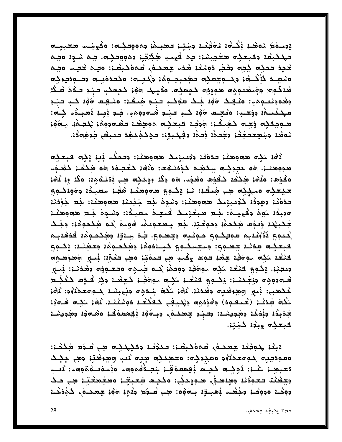إدحافظ نمفحه بكثره نماجنه دخته فمجتمع دمووفكات وفيخصا معجبت تهديبها وقبعده معكمينا: يم فيسب مجكرتيا وموودية. يم شوا ميم تحدِه حمدِه ذِجه وَفَجْع دَوِمْنَهُ هُدَءَ يَعْمَدُوْنَ هُدَهُ حَبْصَةٌ: وَجِدْ كَجِسْ وَجِدَ ەمىيە دۆكە: دېمىيەنە تەدىبېۋە: دېمبە: ەكتدەبىر دېمبەنيوك هَدَكُواتِهِ وَالْمُحْمَوِدِهِ هُدِوِدِهِ كَجِعَدِهِ. وَذَينِها الْمَوْمُ كَجِعَدْبِ فَجْدَ شَخْمَ فَسَخْد وهُدوند ومِدِ: وَنَـهِـدُ 196 جَـدُ عَنْدَـبِ تَـنِـدِ هِٰـدُهِ: وَشَـهِـتَ 196 كـبِ تَـنِـدِ مهنمله ووحيا ونجعه 206 كب فبد هُـ200، فِـدِ بَيـدِ نَصِيدُ، كِـ20: هـوهكله فتحام كهنفه: ودخل فبعكام موهفن حفاء ومذه يحجمه. باووْه نمغد ويععد فذهن وغده وخمد وفهدوا والمكم دهد حديقى فوهودا

لْهُ، كَلِم هوومِعْدْ حدَوْنْدْ دِجْعَيْدِكْ هوومِحْدْ: دِحْكُمْ بِْبِدْ يِكِمْ فَبِعْدِكُمْ لَا يَج هدوهند. ٥٥ مجددك يكهم كذذنفت: ١٥٤٥ كغجفة ٥٥ هككن كغخت مَقْدِهِ: هَٰذَاهُمْ هَٰذُكُمْ كَفْدِهِ مَغْذِمٍ. ٦٥ وَلَا وَجِدَبُهِ هِبْ يُدَخْدُوهِ؟ وَلَا يُوْمُ حيحكِ مسكِنِه معالَمَ بِمُنْفَذٍ: نَدْ يَكْمِمُ هَ مَوْمَدَة هَذِهِ سَعْبَدُهُ مِهَوَدَكُمْمٍ تدَهْنَا وَهِوَدًا كَوْتَبِيْنِكَ هَجَوْهَنَا: وَشَوِهُ بِذَكَّرٍ شِبْعَنَا هَجَوَهَا: لَذِّمْ بَوْدَنا موبدة كوم وفي يمان لجد محبدينك فتعلم سعبدة: وشوم لجد محمومنه جَدَبِهِدَ ذِينَة مَجْدَهُ، دِمِعْتِهُ. بَع سِعْدِهِيمَ، ٥٩ مَ مِحْدِمِهُمْ: دِبَكَ لمعوى أذوننبم سويكوى مونيه ويعموى بذ سنق وجكموه فذهنبم فبعده يدند يعصوى: دستسلام وبالموهد دهدماه وحمده: وكموى فنغد ككه مواكب يبغد حوي يأفي هي حيدته وهي حنتي: نسع المعرهي جدبنه. يمكم ونخد كيه مواكبه جوجمة بمك وجميده وحدوبه جمع المنابي هَـπومِهِ مِبْعَدَـن: يِكْـمِ كِنْعَـنْ مَكِـس مِهْتَـنْ كَـعِهْـنْ مِكْرٌ فَـفِسْ كَـدَكِــم لْمَكْتَحِبِ: بَيْنِ وَضِعْضِهِ وَهُدَيْدْ. لَاهْدْ شَكْتُ شِدْهِ وَجَعِيشِدْ كِـ200\$ لَاهْدْ ككاه طخف (تحملوه) دەدەھ دىكىف كەككىد دەشقنىد. ئەن ككى ھىمدد جُدَبِذَ، دِبْدَعْ، دِصْدِيسْہ: دِحبٰدِ چھحمہ دِہِمَوْ، بِقِھِمەَقْدْ ەھْمەدْ، دِصْدِيسْد فبعكه مبذه كنبته.

يبنا لموفنا يعمده فموكبقا: تتذنا وفيهله من فجع محكما: مصودييه حومعمأأود معجوجه: معجدجه هيه أيب وهوهبة دهي جيحك تتبعد تند: نَهِنِه كَمِنْ وَيَعْمَدُ فِي شِبْتُوْهُهُ وَمِنْ وَيُسْوَيْهُمُوَ مِنْ يُصِبّ بِيَهْنَتَ تَعْوَذْنَا بِمِنْهَا هَـوِيْنَهُا: وَكَيْهَا فَعِبِيَّا وَهُجُهَنَّا هِي صَكَّ دِوَهُمْ وَدِوْهُمْ دِجْهُمْ نُعْبِدِ ْ بِآوَوْهُ: هِي شَـذِهِ ذِيْهِ آوَةٍ يَتْعَمِّصُ كَجْدَهُمْ }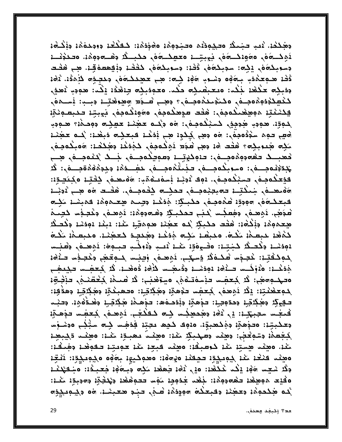وهككه. لاب حبيبك محكودله محبوهها مفودها: كَفَكْتُمْ وَوَحِدَهُمْ وَلَكُمْ وَمَنْهُمْ وَلَكُمْهُمْ 144 - مُؤْمِنِ مُؤْمِنِهِ مَعْ مُحْسِنِينَ مَعْظِمُونَ مِنْ مِنْ مِنْ مُحْمِدِّةٍ. مَسْدَوْنَهُمْ وسوبكة في يَجْه: سوبِكَةَ في ذَكْرُ: وسوبِكَةَ في كَخْفْ وَيُقِعِصِهُ قِيْ. مِن هَفْت فَظْ هُدِهِ مَدْهُمْ بِآوَهِ مِنْسُوبِ آوَهُمْ كِلَّةَ: هِي مَعْكِكَاوَهُ، مِكْتِيْرَاهِ كَيْهَدُهُ. ثَاوَةٌ دِدْبِدِهِ حَكْفَةٍ بَنْدُ: وَيَحْبَضْنِهِ حَكْدٌ. وَحَوِدْبِدِهِ جِنْفَذَةٍ إِنَّدٌ: هَوِدٍ نَهْدِي ككهكذذوة ومصفى وككد كموحفى ومجب فكوح ومجوهته وببن فسمفى يَكْشَعْتِهِ مَوْضِخْكُومِهُ: هَتْت عَجِّعْكُومِهُ, وَوَعَكُومِهُ, نَعِيبَتِهِ تَحْبِعُهِ بَيْنَةٍ لموق، هودب هُدِمِدٍّ، كَسَبْكُومِهُ: ٥٥ دِلْم عَقِيْدَ حَقِيلِهِ دِومِكْنَّةِ هَـوِدِ، هَيْ حَمِمَ سَدْدُهِ حَمْدٍ: ٥٥ دَهِي كِكْدِهُ هِي يُدَخْدُ فَيَعْدِيهِ دَيْهَدُ: كُمَّ حَهْدَةَ مَكِهِ هَنْدُوجِكِهِ؟ هَٰذَت هُ: دَهِي عَجَدَ يُهِكُمْجِمَى كَجَدَهُ: وَهَٰذِكُمْ: ٥٥جِنُحُمْجِمَى يُجْدَدُهُ مِنْ مِنْ مَسْوِيلُهُ مِنْ مُسْتَمْرِهِ مِنْ مُشْتَدَةً وَجِدَةَ وَمُتَوَسِّينَ وَجَدَّةً فذِعلَاهِجِمَ، فَسَبْلُهُمِنَ، دَهِدُ نُدِيْدَ يُسَهْدَيْنَ وَهُنْمَ يُشْتِدَ وَلَكِيَدَةٍ: ةُمَعَنَى بَعِنْكَتِنا تَوْبِتِبْوَجِنُونَ تَحَكِنَ كَثَوْجِنُونَ هَتَنتَ وَهُ عَبِيٌّ يُوَجِّنا فبعكسون وودوة فموموه وكبتر: موذعة وجب مجعمومة فمبسة ككره لْمُجَمَّى. ثَمِّعْتُمْ، وَهُمِنْتُ يَكْبُبُ مُحْكِبِيِّةٍ وَهُنَّوْدِيْنَ ثَمِّعْتُمْ، وَغُمِيَّةِسَ كَمِيْتُ هِعمومُ: دِبْكَةُ: هَتُت حَكِبِكُ بُده عَجَبْ: مِهِمَتِي مَيْ: 1بَيْن 192، دِكْتَـكُـُ كَمْعْدْ حَبِصِيْهْ يَكْتُ، وَحَبِّصْدْ يَكِتُّ هُدَيْدْ وَهَجْعَةٍ كَتَهْجَدْ، وَحَبَّصَيْهُ يَكْتُ 1921هـ: وكُتلكُ كَيْتِيا: وَفَسِوْةٍ مَعْلَمْ نُصِبِ وَلَاوِكْبِ تَجْبُواهَ: لَاهِ مَسْهَى وَقْبَسَت لموكفتيه: تُعبِّدُ عَكَمَكُ فِسِكِبٍ. ثَوْهَدُهُ، وَبِينِتِ لِمُتَعِجِّدٍ وَتُعْجِمُتُ مَثَوَّةٌ جَدَنْــ: هُوَكَــس =ـِنْقَاءَ يَوْدَسْــة وَدُمَجْــس كُلْقَة دُهَقَــة. كُنْ بُبِـحَجْــس =بِيَعْجَـح ەتىكبەرمۇم: ئۇ كىتېس تېسەتتەنى، ەيبوھىب: ئۇ سىمە كىتېتىنى، تېشىۋە لموعضنته: إِلَا نَوْهِمْ لِمَعْظِمِ لَهُمِنَةٍ وَهَذِلاَقِيهِ: وَلَعْمِينَهُمْ وَهِٰذِلاَقِيا وَهَذَٰفِهِ: تَّ فِي ذِلا جَمْنِكِنْ فِي الْمَجْمِعِينَ وَجَدْمَا مَنْ مَنْ الْمَجْمَعِينَ فَي الْمَسْتَوْمِينَ و فَتَجْسَدَ سِجِبِكِيْ : إِنْ يَاهُمْ وَهُجَعِيْجُسَدِ كِمَادَ حَجْجَاءِ وَهِعَمَةٍ وَجَعَجَةٍ مِنْ و جعكبتِهِ: ٥دَجْهَةٍ جَمْكَعَبِيَّةٍ. ٥١وِفْ كَجْعْ بَعِبَةٍ فِدْهِسْ كِلَّةٍ سَبْكِي ٥دِسْوَس لْمُجْعَمَٰ، دِسْوَتْعَيْنِ: دِهِنْد دِعْهَدِيْدِ مُنْهُ: وَهِنْدُ عَمِيدٍ، مَثْل: وَهِنْد دَكِنِهِمْ كَنْدْ، وَهِنْدَ هِجْتِهْ كَمْ كُوسْبِكْهْ: وَهِنْدَ فَبِعِهْ كُمْ عَوِيتِهْ فَقُوفُهُمْ وَهِجَفْهُ: ٥ مِيْعْدِ كَنْهُمْ كِمِعْكِدِّهُ حَجِّفْهُ ٥ يُ٥٥: ٥ مِمْ حَجِّهُ بِهُ٥ ٥ كِمِعْكِدِّهُ: تَفْتِّهُ دِكْلا سُكِس 1964 إِنْكَ خَلَقْتُكُمْ: 20 رَاهُ: جَعْفُدْ حَكِم دِجَاهُ: وَجَعِيدُ: وَجَعَنْهُ: 1 وفيت مومحمد حمودومة: بغضر جدومة موس ححومهد ونكخمة وودبوا مغا: لُم مَجْكُدِمِمْ: دِمِعْنَا دِفْعِكُمْ مِوْدِمْ: شَجْرِ فَعِيشَا مِنْ مِحْمِدِيْمِ مِنْ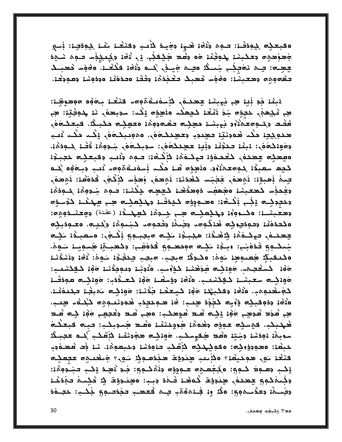وفبعده كودخد: توم دَاهْ، هٰي، دِهِيدْ لأَنب دِفَنْعْدْ مَعْد كِمِدْتِهِ: بْسِي جَعَدِهِ جَعَدَ بِنَاءٍ حَمِيْنَهُ وَمَا حَفْظٍ مَعِيْدَةٍ. فِي نَهُ، وَجَعِيْذِها صَمِمَ شَيْءٌ چھے: یہ نەبكے شكر ەیہ وینی كے ذاق فكتے. ەقوم خعبـد Eáropar carin: oron cail Erica: céts ortois octois de contres.

1422 جُدٍ بَيْدٍ هِي جَمِينِهِ حِصحتهُ لِأَسْفَدَهُمُوسٍ فَنَعْظٍ بِمُؤْمٍ مُوَضِّعٍةٍ: هِم نَجْعَهُم حَتِّدَة شِدَ نَتْخَذَ كَجِعْكُد مَنَهِذِه يَكْد: سَدِيعَهُم مَدْ جُدِيْتِهِ: هِي هَتْد دِكِمِهِكُمْنَوْدِ بَعِينِهْا حَمِيجِهِ تَعْمُوهُ، مَعْقِيْهِ مَكْبِكُرْ. فَبَعْكَمَهُمْ هدوكِيةِ مِكْد هُودِيْتِهِ تَعْمِدِدِ وَعَقِيدَ اللَّهُ مَا وَصِيدَةَ فِي اللَّهِ عَنْدَ لَاصِدِ دِهَوِدَكَهُوْ. دَبِنْدَ حَدْثَتْهُ دِبْيَة حَجِّدَكُهُوْ. سَدِبِكَهُوْ. شِـدِهِمْهُ ذَكْرَ كَـمِدْمُهُ. ەسمىك چمىدە كىمەۋە موكەۋە لاڭرە: مەھ ۋەمب وقىغكى مېيۋە كجِم سعيدُ مؤمِّد مَعِيدًا وَمَنْ مَعَامَةٍ مِنْ اللَّهِ عَلَى اللَّهِ مَا مَعْنَهُ مَا مَعَامًا مِنْ مَع جِيمَ بَعِيقِهِ: يَوْهِمَ جَجَبْسا كَعْدَيْهِ: يَوْهِمُ، وَهِذِسا كَيْݣُومْ، فَدَفْعَهُ: يَوْهِدُمْ، وجعفس كمعبس مجمعس دومذهد كيمه يكند: حوم سومه كوذه جىججيە يېخ نېشە: ەھىودە كيدند جىكىمكى ھى مىنىد كەسەھ وهعبنسة: 2010، وجديمية من بددة لمعهد ذه (عقدة) وجعندوهوا ەكتدەند بتوديوك ھدكومہ بجمند بختومہ كشىوغ بكيت متودبك جعده حيكمة لاهتفائه بالمستحد مكبنه متجبه المحافين مسعبد مكس شِيكِيهِ فَدَمَنِي: وَسِنْدَ سَكِنَ ٥٠مِجْعَدِهِ فَدَمَعَيْ وَكَعَنِيمٌ جَنِيمٍ حَقِيمٌ. هكتعبكر معتومين مهما: مكتوفى مبجب، مبجب حكفيها مكومًا: ثَمَّة بِمَشْدُمْهِ 664 كَسْتَعِيمِ، 2016هـ صِدَهْنَـة كَذِرْسِ. 2016مَـة وَمَوْنَدْة 246 كَـهِكْسْمَـبِ: 1994هـ معبسة كهكشعب. 1620 دفسهة 164 كعـدُدُب: 1994هـ مودَفْـة كَجْمَعْتِبِهِمْ، وَآَوَةٍ وَقَدْبَهُمْ وَوْءٍ كَسِعَقْدٍ تَخْتَبُ: 2046هـ مَمْتِهِ تَجْعَفْتُ: هُنْهُ، دِدْهِ فَبِيْهِ ذِرْبِهِ كَجْدُدُ هِيمِ: هُ، هُدْهِ حَجِدْبِ هُدُودُمُوهِ كَيْحُدُم هِمْبِ. مِي ثَمِيَةِ ثَمْدِهِي 104 يَذِيهِ ثَمْتِهِ ثَمْ وَهْدُبِ: 206 شَمَّ شَمَّةٍ مِنْهُمْ فِيهِ ثَمْتِهِ فهبلب فيملح عوده وفده فوودنند وصع فموبلب تبه فبعلة سوبِهْ، دودَسْد دِينِيْد وَقْعَ هُجِهِيْكَبْ. 1966هـ هَجْدِيْدْ، لِإِقْلَابِ لَكُنْ حَجِيْلِكُ لحبط: ٥صودِوْوِكِه: ٥ڡوجهدِكِه كَيْقْدَبْ دَاوِدْشَة وحَبِقُوهُة. مَا ذَكَ قَنْصَدُوبَ فنغد مود موحيفة وكأحب هنجية مخدموك مورى ومغصوه معصك يْنِبْ وَصِبْهِمْ نُبِهِمْ: وَجُعْصِبُوا حَبْوِدُوا وَثَمْنُهُمْ وَجْدِ ثُمِيدَ يَنْبُ حَبْحِوَهُ: وَجُبِهَكُمْ فِي الْمَحْمَدِ بِهِيَدِيْتِ كُمْفَ فَيْدَةٍ وَجِبَ: مُعِيدَ فِي الْمَحْمَدِ وَجَدَنَكَ وَجَدَنَك جَبْحِمْ: جَعَدْمِـجْ وَيْ 19 وَيْ فِـدْهَةْ فِي الْمَعْصَبِ تَجْدَبُ مِنْ بِذَلْبٍ: حَبَّـةَدَ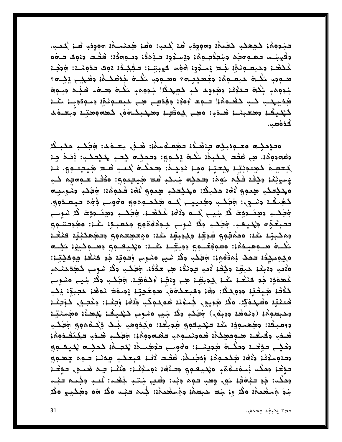تَسْدِهِمْ: كَجِعِكْبِ كَتَبْمَةُ: وَ٥وَدِمِ ثُمْ يُحْبِ: وَقْدَ هُنْدَسَمَةُ: ٥وَوِدَمِ قَبْ يُحْبِ. دِكْعِنِيْتِ تَعْتَوَاهِجُمْ دِينْتِذْتِـوِيْمَ دِيْسَنْدِدِهُ تَتَبْمَدُهُ دِيوَاهَدُهُ: هَتْـت دِهِ فَـاهُ ف لْمَحْتَفَـ : مِحْبِصَـهِنَّةٍ بِنَـٰحٍ يَسْتُوَدِ \* هُوَسٍ فَيُحِبُّونِ \* وَقَامَ عَدْهِ مَنْ يَوْجُب هجوب لكُلُّ حبصوةُ، وجُهدِيهِ وهلودٍ لَكُلُّ جُدَهَدُهُ، وَهَجِي إِجْلَامٍ؟ جُدِهِهِ جُكْمَ تَحْدُثُمْ دِهُودِهِ كَبِي كَتِيهِكُمْ! جُدِهِهِ حَكْمَ دِسْمَةٍ هُجُمْ دِجِهِمَ هُدَيِّهِبْ لَـٰبِ لَهُـٰهُمُ! تَـٰهِـد وُهُدُ دِفْدَهِــ هِــ لِمَسْـهِنْهِۚ دِسْـهِدَدِــدِ نَثْـد كَتْخِيفْ وَمَعْبَسْهُ مُحْدِّدٍ: وَهِـ جِوَدَّتِهُ وَمَحْبَدُونَ كَمَدَوْمِعْتُهُ وَبِعْدَهُ دَ 

ەدەمبە ەمىمەدىبە يىھىغا دەملەشمە: ھىغى بىلەد: مەكىب مىبىلا دِهْمُودُهُ، هِي هُتُت حَكِيمٌ، حَكْمَ يَكْوِي: دِتَحَكِم كِتب حَكِتكَب: بَيَـٰمَ مِـْ، لمعصم كعددنته لمحته موم نديما وحدكم كعب صحح مجيعيوم نه يَسِيِبْنَا دِيْتَا تَذِكُمْ سَهِمَ: دِسْمَةِ شِيحَةٍ مَعْيِسِيدِهِ وَاللَّهُ عَلَيْهِ مَعْهِ كَبِ مهجحكب هعوج لاهُ، مكبكُنْ مهجحكِ هِعوج لْاهْ، فَحُومُ،: وَجَحْدٍ وَشَوِعِيهِ لمفتقة وشيجى: وَجَكَب وَهُبِيسِي بَعْدَ هُكُمْسُوهِمْ وَوَمِي وَوَمَ حَسِسَوْوِمِ. جَبَكَــدِ وَهِيَــوَوْيَدَ كُنْـ شِـيـبِ بُـــو وَلَاحُهُ لَمَـكَـفَــدٍ. جَبَكَــدٍ وَهِيَــوِوْيَدَ كُنْـ شَوِيب <del>ى</del>لىنغې دىكيېب بېتكب دى شومې چوڭ 1986 دىمىيو كىلا: 1940-توي وهكبتنا مكنا ومهجوم فوجا وكجبق مكنا وهعصعهوم وحضعكنتن فنغل مُكُلُّ هَلْمُعْيَدَةُ: وَسَوَجْتَلُومَ دَدِيتِكُمْ مُعْلَمْ: وَيُحِيفُونَ دَهْلُوكُمْ مُكِلِّمَ ٥,دِ٩بكِڎ٤ تحك بْمَةْڤمِ٤: وَبَكَب دِكْ شِي هَشْوِي وَتَقِيدَ جَدٍ فَنَعْدَ مِهِ فَكِتِـ٤: هُنْتِ وَلَابِنْدْ حَبِيبًا وَجُلْدْ نُنْبِ يَوْنَدُهُ هِي حَدْثُهُ. وَبَكَبِ وَكُنْ شَوِيبٍ كَهُدَخَنْهُم خُعِفَةِ ۚ فِي فَنَعْدُ مَعْدُ جِعِيقِهِ مِن قِيْدَ وَكَفَقِيدَ. وَفَكِب وَكُرْ شِيبٍ مَشْوِسٍ لْخَفْسْ هِيفْتِيْ دِدِهِكْلَا: دِهْ، دِفْعِكْمَهُمْ هُدِعْجِيِّيْدْ يْدِحْمَةُ نَفْقْدْ حَتِّجَةْ يْكَب هْتَنْتِهُ وَصَٰهَدُونَ. وَكُدْ هُوبِجِي خُسْوَنَهُ هُوجُومٌ بِ ذَارَةٌ وَجَنْدُ: وَخُجِجْي خَوَجَنْد وهبعوهُ: (ونوهُدْ ووبهْ) وَجَكْدٍ وَكُرْ شِي وَشَوِي كَهْدِكْ، هَرُهْدُ؛ وهُسَنْتِهُ دوسبقه: دِجْهِسودٍ مَنْهُ حَكِيفُومٍ شِدِيعَة: ٥١٤هِمِبْ بِهَـدْ وَيُحَدُمُهِمْ وَجَكَب هْـذب دِكْتُـد هـوحمِيكِمْ: هُـەدِنْـىـومِي تَـهْـودِومْ: وَتَكـب هَـدَب تَـكِـتَـتْـدَومُ: وديب حويحة ومكسة مجويسة: وفوسح حوم محبَّدة للحكس يحيقنون وددوسود وذوه وحكمهم ووجعكه هفت لاف فبعكب بعدنا فمحم جعب للجيء بمكب فسفتمته ويحيقهم ولنفرء ومتوفيه ولأفته للما فحنبى لوحية وَهَكُد: جُو فَيْهَٰذِ ۚ مَهِ ﴾ وَهَذِ فَهِمْ وَيُد: وَهُنِي شِيْبٍ يَقْفُد: لَاقِبِ وَجُمْلِمْ فَيْت بَدَهُ جَسفَعَمَة ولَا وِلا بِنَدِ حَبِعِمَةٍ وَجَسفَعِمَةٍ: جُنمَ فَيْتِ وَقَدْ وَهُوَ وَهُدَيِنِ وَقَدْ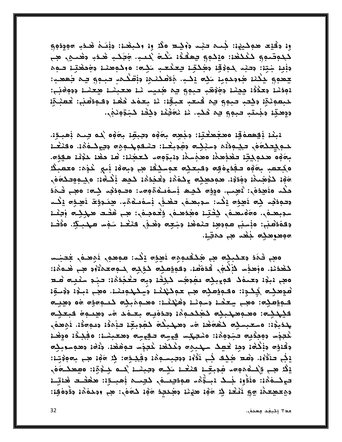وفي وفيعا معوكيها: كُنم في فوك من ولا ولا بن وكبشان وبنكم شنده الموجدوم كدوتيوي كككفا: ويكوي يعققه كُمّ كَعب وَبَكب فحد، وفحيه وجا دِنْيِهِ شِيِّهِ: وَكَيْبَ كَوَدْقِهِ وَهُكَيْبَ كِيْحَتَبِ مَكِنَّةٍ: وَوَكْمُوْتِيْ وَوَقَضَيْهِ كَوْمَ جعوو يكنه مودعويه ككو يكبن وةطكنتيه دفقكت فبوو جم خفعين 1961ء 1922ء جيند جونون جبوي جم مجعيس نـ2 معينـ1 مجعنـ2 ججوانب: لمبعونقة وجعب حبوق يم فتعب عبقة: نه بعده ذهب وفودهني: خعنجة دوهقة وجُبتم حبوق يم حُكم، نه نەَبْعُه وَكِثْه كَمِنْوَوْنَكُمْ.

لابند نجمعه قد معجَّمتد: وجُهِه بِهَوْهِ وَجِبَعْدَ بِهَوْهِ `حِم نَعْمِيةِد. للمكتكمة بحكوده وسنكت وغوبغد: تسقولهنوه وجوكنفة. وقنعد بِهَٰفِهِ هَدْعِجِيَّةٍ تَهْدَهُمْ وَهَجْسَمْهُ دِيْدِوِهِ كَعَهَدْهُ: قَدْ حَفْدُ حَذِيْهِ هَجِدَهِ. مكتصب بمؤه حفدي فهم دكبتكم تتمسك في دبحة فبي نحفه: متصبكه هَهُ، كَجْهَدِهُ، دِهِدَدُ. مَدِمِحْمِيكِ وَحَدَمُهُ، حَيْمَةٌ مَنْ الْحَامُ، وَحِدِمِهِ مَنْ وَحِدَ حكم مَنَعِدَهُ : يُعِب، مَدِمِ كَجِيعَ بْسَهْدَهُمْ وَسَدَ: مَسْوَدَجُم كِلَّة: مَعِب شَمَدَ جِدودُهِ دِم آهِدِم إِنْكَ: سُجِيعَتْمِ حَقْدَمٍ بِسَفْعَةَبٍ. هِيَجِدِيَّةَ آهِدِمِ إِنْكَتْ سوبعدة ، ه مَعْمَدة ، كِثْتِهِ مَجْدَهِدة ، وَيُعْمَدِهُ، مِن هَتْـد مَهْدِكِـم وَتِثْـه دِكْفَدْفْتِي: وَيُسِبِّي سَوِدِهِدْ تَدْوَهُدْ دِشِعِيه دِهْلَةٍ، كَنْعْلَمْ سَهْدِيكِ. وَدُبّْسُ ٥وهوهكِ بغض هي حمقةٍ.

ەھى فەَد دېكىگە ھى ھككىمەھ ئېدە يىگ سوھە ، ئەھمە جىنى كغدند. ووهده كَزْكُمْ، فدَهْتُد. وقودِهَنِه كَذِكِم كَامِمْتَدْوُو هِي هُدْهُد: مجم ديدد وعمدك كمهيكة بضوضت ككثة وبه فغضدها: فند سنبه ضع قُدِهَدُه كَكِدِ: وقومَهُ هِي حَوَكَبُنْدُ دِيكِمُونَدْ. وهي يَبْدُ دِدْسَةٍ: e patelo: od يتخد دسوند دهنكند: معاونه كعام وهوجه وهيب فيهدجه: ٥صحبهبجه حفححجة وددةبه بعدة مس وهعوة فبعده لمديدة: مستبسله كفوضة وم ومهبلة كفويتة تزهده وتووده. نَوْمَدهُ لْمَعِنْدِ دِومِدْيِهِ حَبْدِوِيْ: وشَعِيْدِ فِي بِهِ حَقِيدِهِ دِمَعِينَا: وفِيدُ؛ وَوَمَا وفدوه وذكفه ومه نحصك سكبمه ونحكفه نحجوها حوففد وذفه ومعوسوبكه يْنِي حِبْذُوْدِ. وَعْبَدِ هَٰذِي لَا يَذْوُدِ وَوَجِيمِيهِمْ وَفِيْدِهِ: فِي 106 هِي بِمَوْدِيْدِ: إِلَّا هِـ قِيْلَهُمُوهِ مِعْبِيِّهِ فَنَعْهُ مَثِّلَهُ مِعْبَشَةٌ لَمَاهُ شِخْوَةٍ: مَعْمَلُهُمْ رَ تعكــةÀ:: 20فَوْ: جَــدُ 2بِــٰقِمَٰد مودِّينِــهُ، كَتِــمْ فِعْبِــٰدٍ: مَحْفَـُـتِ هَٰدَتِــْ: دِهِ حَمِيحِهُمْ وِي لَاَغْتُمْ بِلِا وَفَهْدِ مِنْهُمْ حَمْدِيدًا وَفَهْدٍ مِنْ حَمْدِهِ مِنْ وَذُوف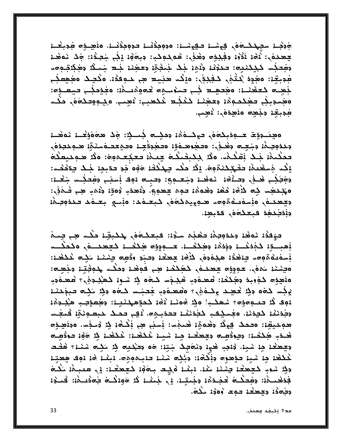وَدَخِلِهِ سِجِهِكِ وَمَنْ يَهِنْسِهِ حَقِيمَتِهِ: وَوَجِدُهُمْ حَدِوجِدُنَـهِ. وَلَاصِلَاهِ عَدِيغَـة جعدهُ، `َاهُ، ٱذْوُ، دِفْكِذِه دِهْدُهِ: هُمَكُوكُ: دِجَهُوْ، إِنِّي خِبْتُدُ: ﴿ دَهَ نَمْعُكُمْ الْ وطعكس كككنبه: حكوْنْدْ وْنْمِدْ جْلَا خِيتْهِدْ وَعَجْدْهْ جَاءَ شِيكْهْ وَهَكْهُوَيُوهُمْ فَجِبَتِهِ: مَجْدٍذَ كَتُمْ، كَفَكِبَةٌ،: مَيْكُ حَنِيْتِهِ هِي حَافِظَةٍ. مَكْتِـكَ مَجْهِعَكِي لَبِهِـهِ كَعَهْنَـة: مَهْتَهِـعَ فَبِ تَسْوُسُهِهِ عَمْهِهُنَــهُة: مَعْدُدِبُبِ تَسْتَبِهِهِ: ەھبىدىكى تەكدىۋە: دېھنىز كىكىد ئىكھىلى: ئېيلى. قطبو قىلەق مىد محبجة دخصه مضمضه نعبب

ەھتىجۈچ مىمۇبلەق بولىققا دەلى فىلا: چە ھەقۇمى ئەھلە دحدوجكة دسته دفيفي: محمدودت محمدوقية محمدحف منتة محمددة تحكيمة بك بقكمه. وقد جكبتحكم جبمة تعكعهوم: وقد متوجيعكم إِنَّد مَسْعَدَهُ، تَتَجَبَّنُدُهُم، إِنَّدَ هَنَّدَ يَجْنُدُهُ هَوْهِ فَدِ تَقْبِدِ، خِلْفُ يَقْتَضَت دَهِبَكِي هَـذِي دِسَنَةَ، مَعْهَدَ دِجْعَـهِمِ: دِسِـهِ دَهِدَ نِسِنِي دِطِعِـُمِس جَعْـدَ: مَهْدَهُ ﴾ فَيَا اللَّهُ إِلَى اللَّهُ وَهُدَهُ ﴾ وَاللَّهُ عَظِمَ وَاللَّهُ وَاللَّهُ وَاللَّهُ وَا بَصْحَدَةٍ وَيُسْوَيْهُ مِعْ مِعْ مِعْ مَعْ مِعْ مِعْ مَعْنَ وَيَسْبَعُ بِعَثْ مِنْ حَدْوِجِيْهِ. دفحلحفه كبعكه في كقبعد.

تَّوَقَدْ نَفْقَدْ مِنْدَوِيْهُمْ تَقْفِهُ سَنْدَ: فَبِعْنَدْوَهُ, جُنْبِيِّدْ مَنْتَ هِي يَنْتُمْ فعبيقة كمولها ووومية ومجتنسة لمسوووه محتضية كمعتب متحكيب بْسفْتُفْقُومِ بِبْقَدْدْ هِجْفْدِفْ ذُرّْفْهْ جِعْتُهْ دِحِبْدِ وَدْعِيهِ جِنْتُهْ حَكِمَ خُدْهَةٌ: ەڃنىنە مَمَن. حودِدِه چھىلە، كَھِٰكْفْ هِبْ فُوَهْد دِجْكَت چُوِقْتِه دِجْھِيّة: مَنَصِدِه كَمِهِيدَ دِهْكُمْ: تَعْصَمُدِ، هَجِهْد كَلَّهُمْ لِمْ شَوْءٍ كَهَجُجِمْ ، تَعْصَمُدِ، يُوَجِّس كَمَاه وَفِي يَحْصِيكَ بِإِحْمَامَةٍ وَمُعْمَدَةٍ بِالْحِسَاسِ كَلَّمَاهُ وَفِي الْجَامَعَة 142 كُد تعلُّوا مُعْمَدِ! وَجِدْ أَوْمَنْهُ لَاجْ هُوَهِهِكُنْبِهُ: وَهُمِيْتِهِ هَنْدِوْهُهُ وَجَدَنَنْهُ كَجِدْنَهُ، وَجُمِيكِهِ كَجُدَنَنْهُ حَجَدَبِهِ ۚ رَبِّي حَجَدَ حَبِصُونَهُۥ فَيَجْسَبُ هوديق: ەددد يېڭد دَهْدەدِّ: هُدهُس: بُسبَ هِي بُكُلُو: ذِرْ دِسْفِس. هَدَهُدِهِ هْـذب هَكْشَـة: دِيرْدُهِـه دِيمَعْـة مِـة شَبِـة عُكْشَـة: غُكْشَـة كِـْ هَوْةِ تَـوَدْهِـهِ بِيَعِنْدَ مِنْ شَيْدٍ. ذَرْحِبِ شَيْءٌ بِنَاصَلِكُ شِيِّدٌ: ٥٥ بِتَكْبِيهِ فِي سَيْدِ؟ هَتُـت لْمَحْمَدَ مِنْ شَيْدَ فَيُحْمِيهِ مِثْخُذَةٍ: مِثْخُم شَنْدَ فَنِحْمِهِمِيهِ. دَبِغْدَ هُدَ دَوِكَ هِمْتِنْدَ وذِ شَوْبِ كَجِعْتُهُ جَمْعَهُ مَعْهُ. مُبْعَدُ وَكِيدٍ بِآوَةٍ كَجِعْتُهُ: فِي عَعِيمَةٍ مَكْتَرَ فذهبية: دِطِعْلَم حَجَيْدَة دِجَبِيْة. فِي جَيْعَة قُدْ 10و كُلُّم جَمَدْتِهَا: فَيَجْهُ دِجْهِدْ دِجِهِنْدْ تَوْحَ وُوَدْ حَكْمَ.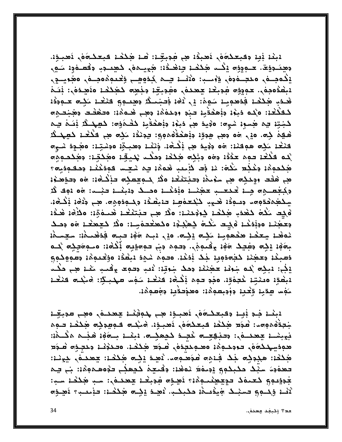لْبِنْدْ بْيِدْ وَفَبِعَدْوَهُمْ لَاصِيْدُهُ هِي شَوْبِغِّدْ: شَدْ هُدْخُمْ فَبِعَدْوَهُمْ لَاصْبِدِهْ. وجِعَدِوَجَ. حـووِدِهِ إِكْـد جَكَحْـه بِهِ حَدَةٌ: جَحِيـدهُ، كَجِعـوِدِ وَقَعَـفُوِهِ حَـوِرٍ، يكمجبه محجلاته وتوسين مثناء يسم كوهم وخمعوه محاملين مُنْقَدُومِهُ، حَوِدِهِ صَحِبْتُمْ حِعْدَهُ وَصِحِبِتِهِ دِجْعِهِ كَعَبْدُهُمْ وَعُصِدَهُ، فَتَكُمْ هُدُبِ هَٰذُهُمْ فَذَهَبِينَ سَوْهُ: إِلَى آهُمْ ذَالِبَعَلُهُ دَهِيمَ وَالْقَدْمُ سَكِلِّ حَلَّهِ دَدْهُ للكلكة: ٥ نمه دبو: دفعدةب حبد ودلمة دوب همة: ٥ حفظت دهبته لَـٰبَـٰتِنَا يَـِم مَنِـٰمِهِۦ شَـٰبِهِۦ هَذِهِ مِنْهُمْ وَيَٰهِدَهُٰنِـهِ لَـٰفَـٰهَٰذِهِۥ لَـٰهِ لَمَـٰذُ يَنَـٰهُ يَـٰم هُجِمَ ذِهِ. وَإِن هُو دَهِبِ هِدِيٍّ؛ دِيْهَدُدُهُمُومٍ: يَدِيْدُ إِنَّهُم هِي كَلَّائِمْ ذَهِيدَ ثَر فنغد ككه هوفند: ٥٥ دديد هي ذِكْتُود. ذِنند دهبتِهِ ٥دشتِد: ٥هُـدِد شـوه لُم فَكَتَمْ حَمِمَ حَدْثَهُ وَمَا وَجْدِهِ هَٰذُهُ وَحَكَّبَ يَحْيِقُهُ وَهَٰذَهِ وَهَٰذَهُ وَهِ وَ هَٰذُدُوهُ: وَخُذِرَ مَذُو: نَا فَت ذَمَتِ هُوهُ: يه شَعِّس قودَخْنَا وَدَفْعَوْنِيهِ؟ مِبِ هَتَت وَجِدِيِّهِ مِن سَوْسَهُ، وَتَبْتَثَقَدُ هَذُ لِمُتَقِيدِهِ تَذِكْتُوْ: ٥٥ وَتَدَهَدُوْ، دكتوسيوه جنة تحتحلب تعجننا وذذنب ومنك دينشنة فنسبن وه دوق كُثر يبكضه دقوهم ومودة هيء ككعفص مدبضدة وكبودوهه مجا وذهه بكافه فَكِت مُكْمَ كَفْدَ، هَكْمُا كِلَامْنا: هَكْ هِـ تَبْتَثَغْا هَـدَةَ: هَكْلُمْ، هَـدُا بَعْضِنْهُ وَدِيْدَهُمْ وَجِيدٍ مَكْتُو كِعَبْدِهُ وَكَعَنْدَوْسِهِ: وَكُرْ كَعِعْتُهُ وَهُ دِصَكَ نفغد يتخفن هذهوبن ككس يكرره . حبك مكر من المنافذ المتحدة: سيسمة بِهَهُمْ يَكِم مِطْيَكَ هَهُمْ وَقُدِمِهُم. مِنهم مِنْ تِهِمِمْتِهِ يُكْفُمْ: مَسْوَهَتِكِم نَحْتَه فصبكه فعجنه كجمفويه بخك بفكه محوه شموه بشفه مؤخدوها وصووكوي إِنِّي: يَبِذِهِ بَمِينَ حَجَبَتِنَا وَجَدَّ شِوتِيْا: يُصِب وَحَمِي وَتَحْبِ مَثْنَا هِي حَكْمَتَ لمبطق معنية لمحفق ومفقعهم فكالم فنغل كفس مهبكة: المنحس فنغل مَفْسِ عِبْدِيا وَتَحْبِبُ دِوْدِبِعِبِهِمْ: 20حَدِّتْنِيْ دِفِعِيمَةُ:

لمبغد فجو فيد وفيعك ومُونيون مع الموفق لا يعمد في معنى موجيّد جُدِدَّةُهومِهِ: تُعدَد كَبِكْمُ فَبِعَكُمَهُم لَاصْبِدَةٍ. هُنْكُم فَامِعِدِكِم مَحِكْمُهُ فَامِهِ نبيبشـنم يجعدـف،: دِحنويـِـ صَـٰحِـد دِحِعدِـ صَـٰدِين بِـِصَوْنِهِ هَـٰدِـم مَنْـمْةِ: هوديهلكة في توديدوهُ: وهويتيدوني شَدِّط هُكْفَ: وتحدُّثنا دِيتِيهِ شَدِّط جُكِفَةِ: هَجُدِجُ مَنْكُمْ فَيَدِهِ مُدَجَّدٍ. ثَمِيدَ يَجْلَ جُحُكُمْ: جِعْدَلُهُ, جِيَنْتِهِ: َتَحْدَدُ مَنْبُدُ مَحْبِحُومٍ يَقِيمُكُ نَمْغَةٍ: وَقَبَيْهُ حَيْمَجُلِ تَوْمَعُهُمْةٍ: بَي تِهِ جْدِدْمِهِ كَعْمَادْ تَدْعِيْهِنْمُوهُ: أَهْدِهِ مَدِيْعًا عِمْدُهُ، سَبْ هَٰذَهُا سَبَّ: ثَقْطِ وَلِمُسْمِحٍ فِيَسْمِيْكُمْ وَالْمُحْمَدِ. ثَفِيْدَ يَقِيْدُ هَٰذِكُمْ: فَيُنْفِيهِ فَقِيدِهِ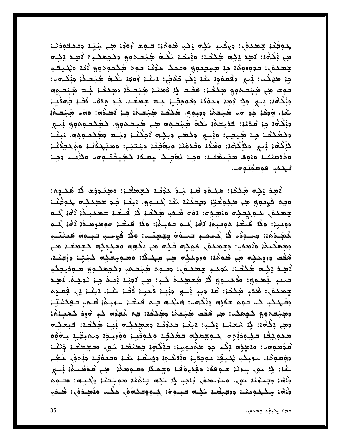لمحوفنة يعمده، ويأكب لكم يمكب فعفة: توعد وُودُه مِن شتة وتحقودنة هِجِ بَكْتُهُ: يُصِدِّ يَكِم هُكِحُدٌ: مِبْحُدٌ حُكْمَ هُنِتِحِمْهِمْ وَكَحِمِكُبِ ۚ يُصِدِّ يَكِمّ جعده،: حدوووهُ، مِن جَيِجِيومِ وحمد حدْن حوه جَدْموهومِ ثَنْهُ وَجَدِيمِي جِدْ هَيْجُسْ: بْنِي وَقْعَدُودْ مَثْدْ يْجُي فَمْتَيْ: دَبِيْدْ وْهَدْ مَكْتُ هَنِيْتَـٰهُدْ وَذِكْت توعد مِن مُخِتِّدة وَكِذَا: هَتَّد فِي دُمِنْا مُخِتَّدَة وَمُحِدَّد خِتَّد مُخِتَّدة دِيْكُمْ: بْيِ دِيْرَ دُهِدِ وَحَدْدُ دِكْمُجِيْدِ جُلَّا جِهْدُهِ. جُلَّا جُمْدُ ذَكْرٍ جَمَدْتِهِ كَنْدْ، وَجَدْ جَدِ وَمَا هَنِيْتِهُمْ دِدِيومٍ. هَٰذَهُمْ هُنِيْتِهُمْ جِبْ نُصَدُّو: ٥٥مَا هَنِيْتِهُمْ دِيْكُمْ، هِ قَدْمَا: قَدْبَعْمُ، حَكْمَ هَنْتَـهِ هَـ هَنْتِـمُومٍ. كَهَكَـمِمُومٍ يَاسِعِ وكغككنا مِنا هُبِيتٍ: ونسع وكعَب وبِكِـه لامِكْتُـنا وَجْـع وهُكمـوهِه. تَبَتْـنا لِإِكْمَ: بَي دِلاَكْمَ: هَغْدُ: هَدُهُ: هَبِمَثْنَة دِجْتَنِي: هَعْبُكُدُنْـ: هَجْكَيْدُنْـ: مفاوهنند مدمه منسفند: مجد نمجك يعذا كغيفتومه ملأسب وجد نهده ومذتوهه.

لْاهِدْ يْذِه هَٰذُمْ: هَجْـهْدِ شَـهْ سَٰذِنْـهْ كَـتِحِتْـهْ: ەهِنَـدِذِـٓةَ لَا هَجْـدٍهُ: ميم في مجمد عبد الذه العلم لا عنه العلم العلم من العاملية معمر العام العام العام العام العامل العام العام العا جعده, دوكِتكِه منَصِية: ٥٠٥ ضَدَب جَكْشَدْ كَدْ كَتَعْدْ عَعْدَبِكُمْ نَهُدُ لَكُ هَ ومِعِيد: وكُد كَمَعْد هومِعِهْدْ دُوْدُ بُحْث فَحْجِهْدِ: وكُد كَمَعْت الْمُوسِوْدِهُدْ زُوْمَ بُحْث لْمُهْـدَهُ: وسـودُه لَا لُمـمـب تبـدَة وِجِهِتـب: ٥لَا لَهِسـب تبـوة هُعنتـب وجْعَلْكُمْ: هَٰلَاهِدَةٍ: وَجِعْدَهُمْ فَيْرَاهُ شَذِّهِ مِنْ يُذْبُوهُ مَعْبُدِكُمْ مَنْ مَنْ حَجْ هْتُد دِوكِنِه مِن هُدهُ:: دودِنِيه مِن مِنحِنْدُ: دهنوشِتْنِه نُشِيّة دِوْجَنْه. لاَهِـدَ إِنِـهِ هَٰذُمُ: سَدِنبِ يَهْدُعُونَ: وَتَـوِمْ هَٰنِتـمِنْ وَكَـهِمْـوِمْ هَـوِدْيَجِدْبِ تبعب لجُمعوى: وَدُعَـوِي كَبْرَ مُحَمِّعَـدَ كَـبٍ: مِن آدَيْـهِ يَعْـدُ مِـهِ نَدِيـدَ. آمِيـدَ جعده،: هٰذِب هٰذَذ: قَدْ بِبِ بَسْمٍ وَبَيْدَ ذَنْدِدٍ ذَقْدَ شَدْ. دَبِنْدَ فِي فَصَحِهَ دَجَهَدُب كَبِ حَمِمَ عَذْوَاهُ دِيْكُمْ: هَنْكُمْ حَمْدُ حَمْدَ سَوْجِمْهُ صَمْدٍ حَقِدْسَتِهِ وَهُبْدَهُمٍ كَجِعِكْبٍ: هِي هَٰذَت هُنِدَهُ، وَهُكُدُهُ: يه غُبَيْرَة كَبِ أَهْوِدَ كَعَبِيْهُمْ وهي فِكْفَةٍ: ذِرْ شَعَشْنَا يَكْبِ: مَنْهَا فَكَذِهَا وَعَهِدَنِي فَبِيا هَٰذِكَ: فَبِعَنِيهِ محدوجف حجودنوه. حويهجم حمحكت محوقية مووجوة وممبقية جموه هُجَمِعِهِ : هَنَمِيْهِ إِنْكَ فِدِ هَجُعِهِيا: فَإِنْكُوا فِعَنْهَا حَقٍّ وَفَعْدًا فِنْعُا دِجْعِيْهُ، سوبِكِ يَكِيقِهُ مُوجِدِّيه وَدِّعْكِهُ دِدِّسْتُهُ عَمْدُ وَصَدَّقِهُ دِيْمَةٍ ۖ ذِهِبَ كَمْهُ: لِمْ سَهِي سِونَهُ حَبُّوهُذُهُ وَجُدْوَهُهُمْ وَحِدِكُمْ وَصَبُّوهُمْ مِنْ صَدَفْعَتُهُمْ فِسْحَ جُنْهُ، جِيبُوْنَا مَهْدٍ. مَسْوَمِعْهُ, ذَاحِبِ لِهُ مَكِمَ جِنْهُنَا هُمِبْتَنَا جَهْدِهِ: مَصْبَه جْنَهْ، يَنْكِبُونِنْ، وَدِجِيْتَ، حَكِمَ تَجْبُهِ تَجْوِيْتُ كَلِمَاهُ، حَكْبَ وَنَصِّدُهُ،: هَـدَب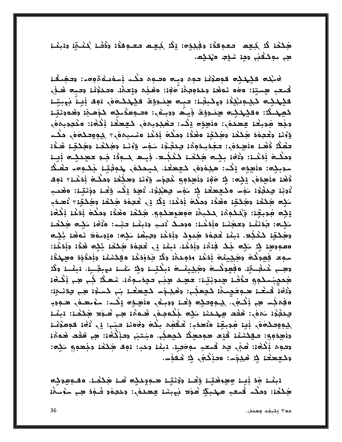جُكْمُ ݣُرْ كِجِم - حَعْمِقْهُ: دِفْكِذِه: يْݣُرْ كَجِم حَعْمِقْهُ: دِفْقْ بُعْضِةٍ دِينِغْمْ مِبِ موكَّفَنِي دِمِهِ شَذِبَ وَنِكْتِهِ.

خنجه فيهدجه فوعذنا دوم دبه محوم حكم نسفت مقومه وحفيفا كَمِعْبِ هِستِهْ: ٥٥٥ نَوهُدْ دِحْدَوِجِهْدُ وَوْبُهُ وَيُعَهِّدُ. وَحَـٰدُثُمْ دِحَـٰتِ هُـذِي فيهديه كيومنيذه موكبته فبه محصوفة فيهدهنى دوف نجب بوبته كعهك لا: ٥فيهلك هنجودة ويه ووبنى: ٥تومنوليه كوهجة وهودته بفصبهبغة يعدده وأصيده بفصيحهم فتشبيه والمتوجدة والمحموم وْفِنْهُ وَكْتِهُوْ هَٰذُكُمْ وَهَٰذُكُمْ وَهٰذُهُ وَهَٰذُهُ وَشَعْبِهِوْ ﴾ وَالْحِوَاءُ وَكُبْ وَخُب تَقْتُلُا دُهُمْ وَلَاهِجْدَهُ، فَجُدْبِدُوهُمْ فَيَحْفُوْهُ مَوْسًا وَوَيْمَ وَهُدُكُمْ وَهُدُوْمَ فَيَدْهُ وهكْتُمْ بْمَثْمَا: وَآَمَا بِكِتْمَ هَكْشُمْ كَنْكِتْحْ. وَيْتْمْ كَتْبَعْدْ جُدِيْدِيْمْ بْيِنْمْ سوبكِه: ٥٥كِيوم يْكْد: هجەدەر كَيُعِيْدْ، كَيَحْكُمْ, جُمِيْتِهْ جُكْمِهِد تَعْتَكُرْ دُهُدُ 20َهِدَهُ ۚ يَذِهِ: إِنْ 10َهُدُ دِلَهِجْوَاهِ بِكَتِجِسٍ وَوَيْدٌ وَهَذُكُمْ وَهَذَا وَهُدَاء وَهِ لْادِبْدْ سِكْتْدْدْ مَهْسَ وَكَـحِـحَـٰدْ ذِرْ مَهْسَ سِعْبُدْدْ. لْاصِدْ ذِكْـ دَفِّـدْ وَجْنَبِّـدْ: وفْعَـب مَكِم هَكِكُمْ وَهَكِكُمْ وَهُدُهُ وَحَكْمَ بُوَكْدُ: إِكْرَ إِلَى تَحِيفُوْ هَكِكُمْ وَهَكُكُمْ؟ لَاصْحَب يَكِم فِجِيِّةٍ: ذَكْلُهِكُمْ كَلَيْكُمْ مُوصِحْهِمٍ. هَلْكُمْ مَعْدُهُ دِحَلُمْ يَوْمُهُ بَكْمَةٌ لكله: جَدَيْنَا وَحَجَيْنَا وَذِيْنَا: وَوَصَلَ آَيْتِ وَيَبْنَا بَيْتَ: وَآَوَا لَكُلَّهِ جَكْمَاءَ وهَكتِهِ كَكَبُت. بَيْنَا تَحِوْدَ هَدِيرٌكَ وَبُدَعْنَا وَحِبْطَا حَكِم: وَإِدِيمَاءَ حَوَضًا جُكِم وصودهد في مَكِم جَدْ فِيْمَة دِيْدَهْد. بَيْنَة فِي تَحِيوْدَ هَكْدَة جُكِم هَٰذَة دِيْدَكْة: سوعا فطوكاه وهرييناه بادغه ودوعكه وكر جدودكه مهكشنه وبحذود معيكده وهِــ كُمثِــةٍ، وفَعِدِكَــة وهَكِينَــة مَبْكَتِــة وكِن مَنْــة مهِيتَــِة. مَبْنَــة وكُن جُمِجِيَسِكُونَ فَتَقْدُ جِعِدِيْتِهُ: حَجِيدَ جِيَابِ فَجِدَسُوءُهُ، شَهَلَا كِلَّ هِي ثَكْلُوهُ دِيْهَا فَيَعْدُ مِدْمِكَمِيْمَا ذَهِمِيْتَ وَهَدِجِسَ ذَعِيمَةً بِ ذَمِيْنَ مِنْ يَوْتَحِيْنَ: مَقِمَقِسَ هِي بَقْسَمَ. كِمِهِدِيهِ فِعْدَ دِدِينَهُ، مَنَصِّدِهِ يَكْتَ: سَعْتَصَمْ، هَنْهُدِي يَعْتَبُهُ مَمَهُ: هَتُت يَهْدَمُهُ مَدِّه جَنَّدُهُم هُمْ هُمَهُ مِنْ شَيْخَةٍ مَنْدَمٌ: يَبْعُمُ لِيَوْوَدِكُمْوَ فِيهِ بِنَعْ مِنْعَذِبٍ: يَحْفُضِهِ بِكُمْ وَهُوَيْدَ بِيَنْ يَوْمُ لَاهُمْ فَوَعِدْنَا دِنَهِدَهِمِ: تَقِدْسَنَدْ قَيْمَ هُوَمَعِيْدُ كَمِعْدُ. وَجَبَنِي دِتَزَكَّةُ: هِي هَتَتَ هُوَمَٰ: ودوه إِكْتَهَا: تَعْبُي فِي قُمِعِي مُوَصَّيِدْ. دَبِيْدْ وَهُبْ: دَوِكَ هَٰذِكُمْ وَجَعْدُوجَ مَكِتَ وكتحفظ في هجدو المدين في المعدود.

1بند وه نبد وهرهته ذخم ددنته موديده سه محدد. معـوسوده جُكْفَة: وَهَكُد فَعَعَدٍ مَهْدِكُمْ تَعْوَيْهُمْ يَعْمَدُهُ، وَهَدِهُو شَـٰهِوْ هِـِ سَوْسَهُمْ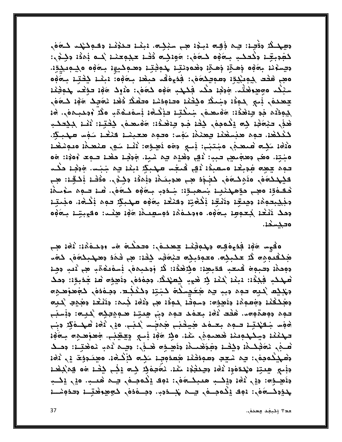دِسِهِـذُ ﴿ دِوَٰتِـٰٓ؛ يہ ذِٰفِـٰت یہٰذِ کہا سنیکات، یہنے تحدیثے دِفامِکید کاتوہ ٖ لمُعْجِبَةٍ وَكُتِكْبِ بِآوَوُهِ كَاوَةٍ: وَوَدِكِ وَقَبْ عَجْوِعِنَا زَحِدَةٍ وَكِثْدَةٍ: دِيسوْنا بِهِوْهِ ذِهِيًّا ذِهِيًّا دِهْمُودِيّا جُمِثْتِي دِهِـمِكِيّةٍ بِـهِوْهِ مَكِـمِـكِيّةٍ! ەمجې ھَتْد كِمِنْكِدِّ؛ دِسوچكەَهُ: فِدْيِهَقْد حِبْعْهِ جِمَهُوه: ؛ ذَبِّنْهِ كِتْبَهِ جِمَهُو سَبْكُم وَوِهِوَهَتُم، وَدِيْهِ حَكْمَ فِكَهِكِ وَوَوْهِ حَوَىٰهِ: وَيُوْلَى وَوَيْدَ حَوِيْحَةَ لِكَوْيَتْهِ جعده إبع حود وسكر مكثنة محاودها محفكر ذفع نمجد مَفه كممَ لِجُودَيْهِ جَدِ جِيْفَخْدْ: وَمُحْمَدِ مِحْكَبِّدٍ حِذْكَاهُ، فَيَحْمَدُونَ وَجِعْبِهِوَ. وَمَا يَجْ هٰذِ حبْحَثِ كِ يَكْمِدِهُ كِثْهُ جَدِ حِبْهَدْهُ: 6هُمعةٌ كِثْبِّهُ: ثَيْنُ كِكِحِكْب لَكْتَفْتَ، فَهِمْ مَتَّسِقْتُنْ فَمِينَهُمْ بَهْسَ: وَفَعِيشِ فَلْمَا بَعْضِ الْمَحْسِنَةِ. المشنوءه المصنعة معالم المنتجم والمعالم المستورة المتعملة المعالم المعالمين المعالمين ومنافسة ٥ ينتِهِ. ٥ مَعْ وهومِمعِ حبب: ثمِ وهٰذِهِ جمْ شَبِهِ. وَوَهْدُ حَقْدُ حَمِّدَ وَهَذِهِ: وَه حوه يججِم فجبغة مسعبدُهُ لَافِي فَعَجْمَتْ مَهْدِيْدُ مُبِنْهُ فِي شِبْمَتْ وَجْدِهِ حَكْمَتْ فَيُهْدُوهُمْ وَيُوَجَاهُمْ كَتَبَوْدُ هِي هُدِيتَكُمْ وَيُمَدُّدُ وَجُثْوَةٍ، وَدَٰقَتْ يَحْقِيْ: هِي فَقَطَةٍ وَهِبَ حَقِّقَهِنَبِهُ بَسْعَبِـةٍ: شَـدَدِبِ بِـهُوُهِ كَـهُوَنٍ. قَـهُ تَـوِمُ سَوْسَمَةٍ دِجْكِبِحُوهُ، وَصِعِبْ وَثَفَتِهُ بِذَكْرَةٍ وَعَنْعُهُ بِمَوْهِ صَهْبِكِ حَوِمٍ بِكَلْمَ، وَجُمَعِه وَحِكَ يُثْغُرُ كِعِمِهِمْ بِآوَةٍ وَوَحِكَمْهُمْ وَمِسْهِيمٌ وَقِدْ مِكْتَبَ: وَفَيْبِتِمْ بِآوَةٍ و ەتجىند.

هَٰيِس ٢٠٥٩ فُدْيِهُ فِي مِحْمِثِيْهِ يَحْمَدُهُ : وَتَحَذَّبُهُ مِنْ وَمِنْدَهُمْ: ثَقْرُ مِنْ هَٰۭۮڬٛؽؠۘ؋؋٥ ڷۮۦؾۮڹۮؚ٥.٥ؾڢۏڹۮۣ٥ؾڹٛ؋ؘڂؚ؞ۮۣڂۮڹ؈ڂۿؘۏ؋ڡۑۮڹۿۿ؞ۮ؋؞ دِوِحِمْهُ دِسْبِوِي كَمَعْبِ كَدْبِهِهِ: وَذِرْهَٰذُهُ: ذُرْ وَدِحْجِمَوْ بِشَوْعَوْمِي مِنْ نَعْبِ دِجِمْ هَهْدُمْ؛ فَجَذَّهُ: دَبُّنَا بَحْنَا بِهِ هَٰعِہِ يَسْتِحْدُ. وَحِفْدَهُ، وَنَصِدِّهِ قَا جُدْبِدِّهُ: وَحَدّ وَجَدِيْتَ يَحْيَاهُ فِي مِنْ حَمْدِيْتُ مِنْتَ بِمَنْكُمْ مِنْ مَعْدَمٌ وَجِمْدَهُ لِمَجْمَعَةٍ مِنْ وَهُدُفَنْدَ وَجَاعِدِهُ: وَكَمِيْدِهِ: وَسَوَفْنَ حَوَدُهُ مِنِ وَذَهَا: وَذَنْتُنْ وَهُدِي خَدِيه حوه دوهموومی هخت لاه: جعفد حوه دنی هِعتِه هـوهِجدِه لاجِره: دفِسنِی ٢٠؋؊ ۺڡؿۮؾۮ ڡ؋؞ؠػ؋ۮۿڛڎڹؠ؋ٚۿڂ؊ؽۿۮڋ؊؋ۮ؉ڎ؉ٷۮ؋ۻ تهنئنا ويتكهدينا فعيوني منا ولا 146 نجي وحِقِبَ. وهوميه بكوفا َفْسِجْرٍ مُوَجِّدِهُمْ وَذِيْتُمْ وَمَجْعَدِهُمْ وَثَمِيْدِهِ هُسُوَّى: وَيَبْتُمْ كُمْبِ مُوَضِّيْةٍ: وصَبْح دَهَيْكُمْجِمْهِ: شِي شَيِّدِ دِسْمِدْتْنَا هُمْعَدُودِا حَكِمَ لِأَكْتُمْا، مَهْدَدِدِي لِهِ زَامَا دِنِمِي هِعتِهِ مَهْدَمَدِهُ لَامَهِ بِجِهْدِهُمْ حَمْدٍ. حَمَدِكُمْ كِبَارِ لِكُمْ وَهَيْ مِنْكُمْ ب جَنَّصِـذِ٦، جَيْمِ مَثْلُ جَيْضَـبِ هَعْبِحُــ50\$، وقِدْ عِثْمَا حَــم هَعْــبِ. 20\$ مِنْصُبِ <del>ډ</del>ذوكـەن، دوك يكموــە، يــم چــدو. ودـەدە، كوھوھتـد وتدوشـد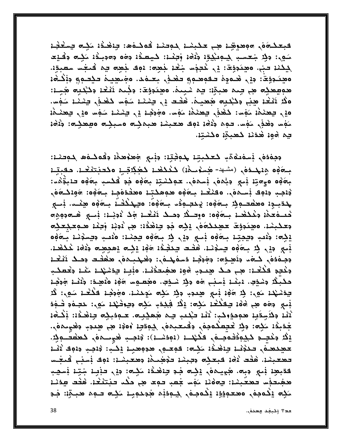فبعكمة, poetët عب عكبسة كوحنة فمكاهد بنفخف مكله بمغنية كوى: دِكِرْ شِعْسِبِ كِعْمِيْكِيْدِ ۚ دِوْقَةٌ وَجِعْدٌ: كَشِعْدُهُ دَوَّةٌ وَجَعْدُ مَكِنَّةٌ دِفْيَع جَحَنْنَا فَبَ، مَعْبَدِيْةَ: إِلَى تَحْفِي شِعْدَ نَفِعِهِ: 492 نَفْعِهِ فِي قَدْعُتِ سَعْبِدِيْ. مَهِنَدِيْةِ: دِيْ شَمْدِهُ تَقْمِهُ مِنْ يَحْمَدُ مِهْنِهِمْ تَذْتُمْ وَيُذْهُدُ هويهمزته هي جيم هيدةٍ: ڇم شيئم، وهِنَدِدِية: وجُنم أَثْنُوْ، وكَبْدِيه هُمِيا: ەڭ ئۇغد ھنى دېكبە ھھيە. ھَقْد يى چنىند مَەس كَھْدَى چنىند مَەس. 20 ـ يعنمة مَفِس: كَفَخْرٍ يَعْنَمْهُ مَفِس. 10فِقِهِ 2 ـ يَسْنَهُ مَفِس 20 ـ يَعنَمْهُ مَفِس وَهُدَى مَفِس. حوم وَلَاهُ: وَوَف هَـُـبَسْـ: هَـبِمَـرْبِ مَسْبِرُ ٣٥ مِيهَرْبِ وَلَاهُ: يم 190 هٰذند كعبة: 1سُبّد.

دجفذف نسفتفقب كعكبتنا لموثقنا دنبج ومذمذة وفقكنف كوحنان بِآوَةِهِ وِيَهْدُوْمٍ (مَشْهَدَ- هُنْدُ مَذْهَبُ لِلْمُحْدِدِ عَجْدَتُهُمْ وَالْمُحْمَدِينَ وَالْمَجْرَة بِمَهُمْ مِهِمِيًّا بِسِكُمْ بِمَامَعٍ بِمَحْمَدٍ بِمَثْبِ بِمَنْ مِنْ الْمَسْبِ بِمَوْمٍ حَدِيثَهُ . ذِيمِب دِيمِهِ بِسِمِهُم. وقِنْعُكُمْ بِسَوْمِهِ مَعْمِدِيْكُمْ وَمَعْدَوْجِكُمْ سَوَوْدِكُمْ وَمِنْ جدبدة معطىجية بدووه: يحبونه بوفون ميحكف بووه مينحه. في فعفعف وغكف بصوفه: موكك بحك نَتْعُم وكَ ذَوْبَهِ: بْسِي هُـوَوِهِ و وعكبند. وهِيَدِوْيَتْ عَهِيْدِكُوَوْ، يَذِي خِدِ بِيَهْدُدُ: هِي لَادِنِدْ وَبَعْدْ هَـوِعْدِعَدِيْو 2َذِه: ذِيمَة دِيمِيْة جِمَوْه بِحَيْ دِي \$ جِمَوْه يَحِمْة: 20َعِب دِيمِيْدَة جِمَوْه بْبِ وِي ذِي بِهَوْهِ حِيدُنا. هَتَـد حِيدَتْ وَهُ، إِذِـهِ يَعْمِمِعِهِ وَآمَا، تَحْذَهَا. وجفففي كخت ولأصفح والمواخر فسفهنا وههبهم منفقت وحك لأغناء دِكْتِدِ فَكَتْمَ: هِي مَـدُ هِيَـدِ، ٦٥٥ هَفِيتَذَيْهِ. وَبَيْهِ يَدْشَهُمْ مَيْمْ دِيَٰتِقْنَبِ حَكَبِكُ وَشَدِّفٍ. يَبِيْنَ يُسْبَى ٥٥ وَكِنْ شَدِّفٍ. ٥ مُجْعَدِهِ ٥ مَوْمَدِهِ: وَيُنْسَ ٩ مُوَجْع يدشهد مَهي: فِي 106 فِي هِعْدِ، وفِي مَفِي مَجِعْدْ، وَهِدَهُمْ فَكَتْبُ مَهِي: كُلَّ نجمي وهو هي هوا يعققد مَدِّه: إِنَّدَ فِجِدَبِ مَدِّه ويوفقها مَهي: حَيَّمَو فَعِدَ ثَثَا وِلاَسِقَبِا هومِفِولَبِ: ثَثَا تَجْعِبُ بِيمَ هُمِلِيِبِهِ. حَـوِمَبِلِهِ بِاهْنُدُ: ثِلْاشْه <del>ۼ</del>ۮؠڎٚۦٛػڮۄۥ۬؋ڲ*ؚۮ*ػؾڡڬڡڝۿڔ؋ڡٚػڹۿۿڔڮڥۊؾؚۦٚۄٛڡ؋ۦڝ؞ۼڔۄۻؠڝۿڕ؞ يْݣُ وْخْتِــو كَجِيْوْقْدُوْنِــوْ ، فْكَيْحْــز (20فشــز): فْيْحِــر فْجِيــرەنى كَعَقْقَــوِدْ. معيدهم تحذفنا بإنفذا ككسي فومعي هووهينا إكبا فاقب واوق لافنا تعتبند. هَتْت آهُ، فبعلِه دِبِنِيْ تَدْهُبِيهُ، دِهْعَبِنِيْ: 92 نِسِبَي فَيَعْس قدَّبِهِمْ بَنِي دِينٍ فِي مِمْ إِلَيْ فَي فِي مِنْهُ ذَا حَذِي اللَّهُ وَإِنَّ بِنَا بِشَرِّعْ بِمَنْ يَسْتَد هڤِيتذِه تَعَجَيْنَهُ: يَهڤَنْهُ مَفِهَ جَعَبِ تَوَجَّ هِي مَنْهَ تَبْتَثَغُهُ. هُثُفَ عِدَيْهُمْ عَ كَلِّ يَكْمُحِفْ، مَعْتَمِيْذِهُ يَكْمُحِفْ، كِبَعِدْهُ هُدِجْدِهِنَا كَلِّه تَنْهُمْ هَنِجْةٍ: فَدِ

حد # وكبغد جعدة..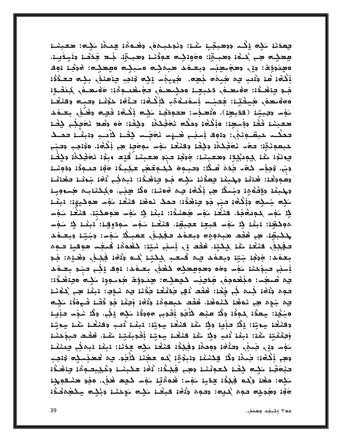بعدنا كله إكد ووهبقا كغا: ونوحبها وهواها بعدها كلم: هعبسا بعديله هي للنفة وهبتية: 1960هـ = 1962م وهبتية. بنع جُدَهُمْ ولَاسِدَيْهِ. مَهْيَدِذِيقَ: دِيْ دِهْجَمْهِمْهِيْتِسْ دِبِعْلَهُ مُحِمِّدُت مَسْبِيْتِ مُقِيْدِهَا: أَمْدِيْدِ 192 فِكْتُوهُ فَمَدٍ فِي الْمَدِينَ بِمَعْدِهِ. مَجْمِيجُمْ وَكِنْ وَاحِدٍ فِيَاهِدَهُمْ بِكِنْ فَعَدْوُهُ نجد جِنغَـذَة: ٦٥معدة , تَحبِجِـة محكِمعـة , حجَمَعْتِهِمْة: ٢٥مَعـة , جَعَفْـةٍ ەھمھەر ھىختتە: جىنىس نسەمئەتەب كۆكلە: مەندە دىنى دىنى بىلە دەنغى مَفِس وَجِبِتِهِ (فَدَبِهِهِ). 20هَجْسا: هَدْمِدْهُمْ مَكِنْ فَكُلُّهُمْ فَجِنَّهِ مَعْنَفُ بِعَنْهُ ك معبند خفد دقسمِد: هذِكْمَد دِحْكَ حَمَفِكِكُمْ: دِكِفْدْ: ٥٥ دِفْعَ دَمَعِكِي كِفْـد فككب لحبقتونكي: ودوف فسبب هيءِس نمويت للأنس ودبنا فيسب ودبنا والمستونكي. للبطونةِ:: توم نوَفِكمْ: دِكِتْ: دِكِنْتْ: مَوْس مووَّتٍ: هِي بِكُوْ:. وَدِّيْتِ دِتِبَي يوندْد مَنْد كِمِعْكِتِرْ ومحبسْد: جَوْجْد حبْدِ محبسْد فْيْع وبدْد نحَكْمْدْ وكِفْد دِجْنِ. دُجِدْها كَامَة تَحِدُهُ شَكْرُ: دِحِيمِهَ كَكِيمِتْهِمْ حَكِيمَةٌ وَوَمْ عَدِيمَةٌ وَدَوِهْم ومووجد: هٰذذ وحديث يعدُن سَكِم جَدِ بِهِ حَدَّد: دبمكَ لَاهُ، سَوِيْد حَمْدَيْد جهبند جيَّثهمِد جنسكُ هي ذِكْمَد يه هَ مَند: وكُد هِني. وكِكندبِه هِسوويِد مَكِم شِعِكِم وَبْكُمْ = حِبٍّ فِهِ حِدْهَدُهُ: حَمَدُ دَعَهُدَ فَنَعْدَ مَهْسَ هُوَكِيتٍهُ: دَبِغْد لِا مَهْسَ لِمُعِيضَهِمْ. فَيَكْدُ مَهْسَ هُمِعْيَدُهُ: دَبِيْدُ لِا مَهْسَ هُوَهِلَكِيْدَ. فَيَكُدْ مَنْهُسَ هوكقِين ببغد في حَوْس فَبِعِدْ عَقِيقٍ. فَنَعْدْ حَوْسَ سُوَدِّوِقِينَ لِمَنْدَ فِي حَوْسَ بدخبقٍه. هِي هَتَت هيمومِهِ دِيعَةَدَ تَقِيدِهِ حَقيدٌ سَفِس: دِينِيّة دِيعَةَ د تَفِجِدَ لَا مَنْهُمْ لِمَحْتِهُ. هَذَت فِي نَسْبَ شَتِهُ: كَهُمْهُمْ فَلَعْبُسَ هُوَقِيهِ تَبْوَهُ بِعَقْدَ: وَذِيْهُ شِتِهْ دِبِعَقْدَ بِيمْ فَتَعْبِ بِيَكْبَهُ بَيْتُ فَقَوْمَ فَكِيمًا فَتَوْهُ وَهْ فِسِبَ حَبِيْدَةَ مَهْسَدِهِ وَهُوَ وَهُدِهِ لَا تَعْذِرِ بِعَدْدَةٍ وَقِي حَبْدِ بِعَدْهَد يم صَنْفِس: مَذْهُدُمِهُن صَدْيَبْتِ كَيْتْقِيم: هِنَـٰدِدِيمَ هُوَمَـٰوِدٍ لَكِلِّم مَيْنَفْذُهُ: توه وَلَاهُ، فَمِمْ فِي فِقْ، هَتُتْ لَافِي بَدْعَتْ، بَدْنَا يَمْ شَدِّبَ: 1بَنْ، هِي يُدَهُنَا، يه شِدِه هِي مُوهَد كَمُوهَد. هَتَت مَنْبَعْدِهُدْ ذَاهَدْ وَبَعْدْ جَدِ ذَتْهَ تَنْبِوهُدْ حَكِلَّه ٥ﺟﻨڿı: ﭼﻌﺜﺪ ﻛﻮﺛﺪ ﻭﯕﺪ ﻋﻨﻌ ﻛﺜﺮﺟﻮ ﺗﻘﻮﺏ ﻭﻭﺩﺛﺪ ﻛﻴﻪ ﻳﺠﺎ. ﻭﯕﺪ ﺷﺠِﺐ ﺣﻨﺒـﺪ وكنكنا سوبتا: إلَّا حزَّبا ولِا كَذْ كَنْكَا سِوبَا: البَغْدَ نُصِب وكنْكُما كُمَّا سِوبَة وَجَعْعَتِهِ مَعْهُ: دَبِعْهِ دَبِي جِبْدِ هَمْهِ هَمْهُمْ بِيوتِهِ بَقْدِيعَتِهِ مَعْلِهِ. هَقَلت فيخ مَفِس دِيْ جَمِيْ دِحَامَة دِوحِمْة دِفِيخَة كَنْعَة مَنْهُ جِدَمَة: دَبِعْة دَبِمِنْي جِعِنْعْـة وهِي بْكَمَاءَ: جَيْمَة وَكُدَ فِكِسْعَة وَدَبِجْمَة بُحَمْ حَجَبَة كَلَاجَةٍ. فِيه خَمْخِسِكِه وَدَجِب تنوف كله فخد كعونند وجب فيذه: ثوه عكيسد ونحيبتوه ينغذه مَكِم: حَفْدَ جَكُم فَجَدْدُ جِدَبِدْ مَهْسا: فَعَهُمْتِهْ مَهْسَ كَجِمَ فَحَذٍّ. وَجَدٍ هَنْسُقُولُهُمْ المُهْمُ وَهُدِيهِ حَمِيمٌ لَكِيهِ: وَحَمِهُ وَلَاهُمْ فَيَعْدُ حَكِيمٍ وَجُلَّاهِ الْمُحَمَّدُونَ و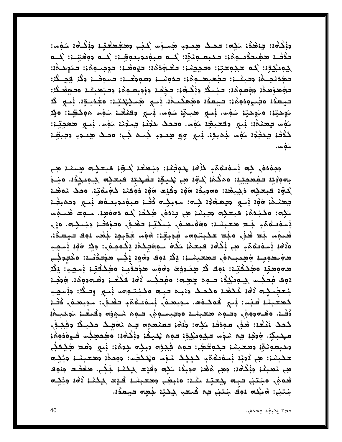دِبْكَاهُ: بِيَفْخُدُ مَكِاهَ: تحك هِيجِبِ هُسِفِس كَيْبِ دِهِجُهْتُبْتِمْ دِبْكَاهُ، مَفِسَدَ حَدْثَهُ مَقِيدَ دَيِمَةٍ: تَحْبِصُونَةٍ: يَحْتُمُ صَبِهْتُدِبِيوِقِيٍّ: يَحْتُمْ دِوَهُتِيْ: يَحْتُ لِمِهِ نَجْدٍة: `حُمْ حَجْمٍ حَبّة: وحَجِجْنة: تَخْوَدُهُهُ: تَجْوَهُمْ : تَجْوَجُدُهُ : تَخْوَجُحُمْهُ: تَجْدَنْجِيمْ؛ دِجِنْيَا: تَجْعَبِعَيْمِهُ: تَدْمِنْيَا: دِسْمِدْيَا: تَسْمِثْيَا: ذِكْرَ فِجِيكُرْ: Epataki tereti: Enil tilbi: Esti Esti terelis terati teripis oranili تيقدُه مجموعة معْهُ: تيقدُهُ مَجْعَدُهُ: بَي جُمِيْكِتِهِ: مَجْدَبِدِّهِ: كُرْ كُرْ كودتِهِ: مكودتِهِ كَفِسٍ بْلِي هِجِمْهِ كَفِسٍ بِهَدَ جَدِي حَفِي هُمِ هُوَدَتِهِ: وَذِ مَفِس جِعِنْمَةَ: بَي دِفْعَيْقِهِ مَفِسٍ. وَحَمَدُ حَذِيْهِ جِسَدِيْهِ مَفِسٍ. بَي حَمْدِتِهِ: كَذْتُمْ يَحْتَذِهُ مَهْسًا جُمْبِدِّهْ. فِي صِحْمِدِ بِمَا جُبِ: 20 صَحْدُ صِحْجِبِ وَيَبِقِيهِ خەمە .

وجففف كِم بْسفعفقب كَلْفْهُ جُمِعْتُهُ: وَجُعَدُ كَلْوَةٍ فَبَعْدِكُ هِمَنْهُ هِي بِهِ وَذِينَ حَفِعِجِينَ: 20 كُمْ يَكْوَمُ هِي يَحْدِيْهِ: حَفْهَدَتِهِ حَمْدِيْهِ حَمِيدَةٌ:. 24 مَ لْحَجِّهِ حِبَحْدِهِ دَكِنِهُمْ: ٥٥جِبَدُ 1961 جَفِيْتِ 196 دَجَعْهُ حَجْمَعْتِهِ. ٥حَكَ نَمْعُـهُ يعنمه وأوبئ بالله ويعاوده كالمن الموبكات ذفل صبوبيون فسار وحميقة مَكِم: مَكْبَدَهُ، فَبِعَكِم دِينِيْدْ هِي بِيَدْهُم هُكْتُمْ يُمُهُ دَمَوْهِمْ. سَبِعَد هُمَـهِٰسَ بَيْدَهُنْهُ بِنَاءٌ مَعْبَيْنَا: ٨٥٥ممم مِنْكَتِبَا تَهْدَفُ وَتَوْدَفْتَا دِمْنِكِتَ، ٥٠ مِ فَعِجْمَا جَدِ فَدَى وَجَدِ حَكِبِمُوامَا فِدِيقِهِ: ٢٥٥ جُدَيِدِهِ جَفْعًا ٥٩٤ فِيعِدُهِ. هُنْهُ، بَعِيهُمْبِ هِي بُكْتُهُ، فَبِعَمْ، حَكْمَ حَوَاصَحِكُمْ، يَكْمُحِصَوْبِ: دِكِرْ 10\$، بُحَجِب هجْمَعْدِيدْ جَعِيمَةٍ لِمَعْبَشَدْ: إِنْدُ 192 دُوْمِهْ إِنِّي هَذِكْتُنْهُ: مَنْتَدِفُتِي هەوھتِن ەھككتِبن: دوك كُرْ هِحَجوَجَ وەوس ھۈكتى، ەھككتِب بْسكِبْ: يْݣُرْ 192 جَعَبْـس كِـوِيْكُمْ: حـوِم جِعِـهِ: وجَعِـُس آهُ: فَكَعَـْ: وَهَـهِوِيْ: وَدِجْـ: جُعَجُمِيَةَ \$264 مُحْمَدُ 26مِيْدِ 14مِيْدِ 24مِيْتِيْوِيْ فِي رُوَحِيْدِ وَفِيْدِيِّتِ كععبند فبسا فبع فمكامها سوبعان فسفت مقابر فغلفى سوبعلى ذفد فَقْعْ. وَهُدْوَمِهِمْ وَسَوْمَ مَعْبَشْعْ وَوَسِيدِهِمْ وَمِنْ شَيْرَةِ وَكُنْعَمْ مَوْجَبِيْهِمْ لكمك لَتَعْبَد: هُذِي سودَتْهِ حَكِم: جَهْلَه تعتقدِهِ فِي حَمَائِكَ مَكْبِـكَ وَفِكِــوْي مهبكر. وَدَمْ: یم سُخِس حَكِمِينَكِتِهِ: حَمِم يُحْيَكُ: مُعْصِدِهَا عَمَادَةُ: مُحْصِدِكُ الْمَعْدَة ومبعونق ومعبنا فكوغضى فهد فكذه وبكه جوها: نمي وغد محكفكي مَكْبَسْدْ: هِي نُدِيْدْ يُسْفَعْقُوْبِ كَيْكِكْ شَوْسَ فَهْكَتَبْسَدْ: دِهِجْمُة دِجْنِسَة دِيْكِتَ هِم نَعْبِثْدَ دِبْكَةَ: دِهِمْ هَٰهُدَ ٦٠٠هِ دِكْرُهُ دِكْتِهِ بِكِنْدَ بِذِكْمٍ. هَفْشَتْ دِدْوِكَ هُدهِمْ، وَجَنِبَ حيهِ حِيحَتِهُ مَعْدُ: وَدِجِبَ وَهُعَبِيْنَ فَيَعَ لِيَحْمُدُ وَوَعْظِهِ جَتَبَ: هَنْدَه دَوَفَ جَتَبَ یہ فَعَدِ کِکْتِهِ جَعِدِه حَیْمَدُه.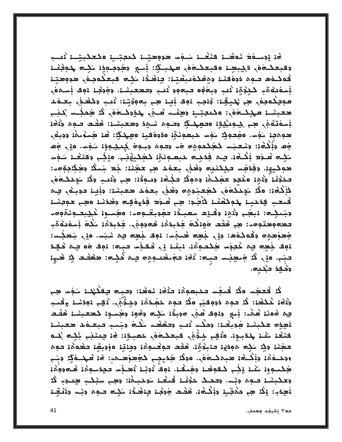فبالمجمعة خمغا فنغلب كفس مدومحتين كعجتين وكعكبتين لاقلب وقبعكامه وكبجع وقبعكامه مهبكة فب وجوجوفة كبام محوفنة فەكەھ حوم دوەقنا وەھكەبىغتا: جاھدا كے قبعكومە، ھووھتا بُصفَعْفَهُ لِمَحِيْدِةٍ لَهُ وَجِدَوْهِ صِحِودِ لَهُ وَصَحَبَتْ وَجَدِدَ وَمِنْ وَقَدْ وَمِنْ وَمِنْ صوچڭەجە، ھِي پُدِيقِيْ: دُيْجِي يُوگ يُبِيْ هِي بِحَوَدِيْيْ: كُتب وكَشْخُ، بِعِيْفَد معبسًا مهدَّسة من مقابسة معنى الله عليه عنه الله عليه عليه من الله عليه من الله عليه عليه عليه من ال فسفقفه جي كجبنكته محصلة دحوه شجف ومعبشه: هَفْت حوه وَ2014 هومجد مُؤسى وضحوذ مُؤسر حبصونةٍ ودوفقيد وصحكةٍ: فم هُسومهُ دِدِيقَ وَمَا دِنْكُوْهُ: دِسْعِيْسَ كَمُحِكْمِمِهِ وَمَا دِيْمِهِ كَعِيْكِمِدٍ حَمْسٍ. 20 وَلَى وَمَا مَكِنَّ صَبَدَة فِكُنَّهُ، يَنْمُ فَدَجِنَّ حَبْسُودَةٍ كَمُحِيثَوِنِي. وَإِجْبَ دَفَعَتْ حَبَّمَتْ مَنْه هوكيوة. وفِدْفِس تَكْتَخِيه وَهُذِي بِعَوْمَ هِي مَعْتِدَةَ بِهِ شِمْكُرْ وَهِٰكِرُمِةِهِ وَ: حَكَيْنَا ۚ ذَٰىٰ ۚ وَكَجِدٍ حَجَكَـٰهَا ۚ وَمَوَكَّدَ حَكِـٰهَا ۚ وَحَـٰهِ وَحَدَبٍ ۚ وَكُنْ خَدِكَـهَ فَي لْإِلْكَةُ: وَلَا يَجِيلُوَوْمِ كَجُعَيْدِهِ وَهُذِهِ بِعَوْطٍ مُعْبِشَا: وَبَيْدِ حَدِيثُهِ حِمْ فيعب يدمين بموكفني كأجد مجب فبود فديوة ومحدنين ومجب حوجنية دَ المُحِيدِ : دَالِهَا اللَّهُ عَلَيْهِ مُصِيبُوْنَ حَجْدِيدِ اللَّهُ عَلَيْهِ اللَّهُ الْجَلِيدِ و تعجموهتوهم: هِي هَتَت ٨وَ2نَفْ جَدَبِدَهُ: هُجَدِهِهِ، جَدَبِدَهُ: حَكْمَ بَسَمَعَهُمْ، جَعَدِهِ جَفْعَدَهُ دِيْ بَعْضِ ضَعِيْمٍ : 202 جَعِيمٍ فِي شَبْسٍ. 20 جَعَدِ اللَّهُ 204 لِبَعِيهِ يهِ نُعِيدِهِ مِكْمَعِهُمْ. 2بِغْدُ فِي خَفْظِهِ تَجِيه: 204 هُ قِيمَ خَفِيدَ لبب. 20 رحم في الله عليه: ثم الله على الله عليه عليه: حفظ عليه الله عليه عليه عليه عليه عليه عليه عل دخيد تجبه.

لَا فَعَضِس وَلَا فَيَعْسَ بَعْبِمِهِمْ ۚ تَذْوَى نَوْهُمْ: وَبِيهِ بَقِلْتِهُمْ يَوْسُ مِنِي جُثَهُ، تُحْتَحُدُ: كُرْ حَمِمْ دُدِهِقِبْ مِكْرُ حَمِمْ حَضِّدُهُ، دِحِثْتُهُمْ. ثُقِبَ ، وَدَسْدَ يَقْصِب يم 1064 عَمْد: بْي 1495 عَمْ، ٦٠٠٥م مِنْذَهُ مَكِنَ دِهْوِهِ دِهْسِدٍهُ كَمَعْبَشَـهُ هَفْـد لأهده مكبشة فويغا: ومكَّد ثمي ومفقيد لكُلَّة وشيب مبعدة معميشة فنغر مَعْدِ حِدْجِدٍ. 2010ع حِجْمَى فَجَعَلَـهُمْ حَسَبَـةٍ: 20 يَعْنَبُ جُحْبَهُ لَحْـه حَجَبْنَ وَذِرْ حَذِهِ هَوَدَيْنَ حَبْدِيَّةٍ. هَتَت حَوَتَحْبُوهُ: وَحِبَيِّنَ وَوَجِبَيْنَ حَقْدَهُ: حَوِهِ ودهشاهُ : دِيْكُسْهُ : هَجْهُدْ هُدَيْكُمْ مُدْيِجِي لِمُعْمَوْهِ هِيدَ أَنْ تَسْهَدُهُ لِهِ وَبِي ككسووه مغد يكب كعوضد وهبغد. دوفٌ نوند نصحف حجدحوه فحودوه وعكبشة فبوه ونست وقفك لمؤنئة فبغلة لوليتاه وهب سنكب هعنون كد لَاصِدَب: إِكْرَ هِي حَمْتَـِدٍ دِنْكَـةَ، هَتَـد هَدَت جِنْعَـدُد حَكِـه تـهِم دِنِـد دِنَتَـتِـد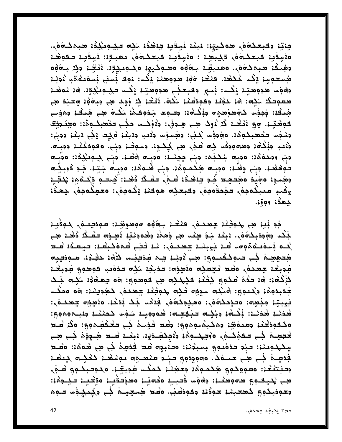جِنتِه وفيعكَمَهُ, هوكيهِهُ: يَبْعُهُ يَسِقُبُهُ تِهْفُوْهُ كَلِمَ تَجْهُدِيُوْهُ هَذِكْمَهُ، مَنْسِقَيْنَ فِبِعَكْسَهُمْ، قَكِيبَعْتِ: مَنْسِقَيْنَ فَبِعَكْسَهُمْ، مَعْبِقِيْ: نَسِقَيْبَ فَقَوْهُنَا دَهْبِكْنْ هِبْمَدْوَهُ. وهْبَقِيْنْ بِآوَوْه وهَـوِدْيِيْنْ وَجْبِدِيْنْ ثَيْتِيْنْ دِدْرُ بِآوَوْه جُسعوسِدِ يَكُد تُحَفِّدُ. فَنَعْدَ 196 هَذِهِ هِنْدَ يَكُد: 92 بُسِنَى بُسَفَدَعَةِ نُدِيْدَ دەۋس ھدوھتى يڭحا: بْلى دېمىنى ھدوھتى يْݣُحْر كَيْبُوكْيْدِد. شْنْ مْفْعْ هعودكُ كِلِّه: هُ، حَذِيْهُ وَقُودُهُمْ كُلُّهُ. ثَيْتُهُ فِي وَجِدَ هِي وَجِهُوْهُ وَحَجَدَ هِي هَنْقُهُ: وَجَدِّس كَجَمْدِهِمْ وَيُكْتَمُهُ: وَفَيْعَ شَدْهِ فَكُمْ يَكْتُمْ هِبْ هَنْقُهُ وَهَذِب قوهُتِه. ۞ ۞ تَنْعُمْ كُنْ يُودُ هِبْ هِجَوْبٍ: وَيُوْكُسُ هَجْبِ تَخْصُبِكُ وَهْبُ: وَهِتَجَوْجَدَ دِسْدُ سَنْصِحِبِكُمْ، وَجَدِيْتِ بَكْبَ: دِهْسَوْسَ ذِلائِدِ دِلْبَنْدَ وَكِي دِينَةٍ وَدِيْبَ: جْلَيب دِيْكُمْ: دِهِجْمَتْ فِي هَجْرٍ هِي كَكْتِدٍ: دِسْوَفْ دِينٍ وَقُودَكْنَا دِدِينَةٍ. دنا ودهقه: ەدبە شكنه: دنا چچشە: ەدبە ۱۵ نام چرىنگیزد: ەدبە تُوهَهْدْ. وَبَي وَهَٰدُ: ٥وبِـ٥ هَٰذُدُوهُ: وبَي هُـ٥هُ٤: ٥وبِـ٥ سِبِّـد. فِـو دُوبِذُِـ٥ دَهْيَدِهِ وَجَادِهِ وَمُحْمِدِ لَا جَاهَدُهُ فَالْجِي الْعَالَمُ ذَهَبٌ: يُحِدِ وَيُحْدُوهِ، يَحْتَبِه وفب معبكومول حجحةومول وفيعكت هوفنه يكومون وعمكومول لمهدد ببعدد وووّد.

بَدِ بَنِهِ هِي جُوثِنَهُ يَعْمَدُهُ، قَنْعُهُ بِآوَةٍ وَمِعْهِمْ: مُودِّينَةٌ، جُودَّيَةٌ لَجْكُد وَجَوْدِكُمَوْمٍ. دَبِنْدْ شِوَ هِنْدَ هِي وَهِمْْ وَهُدُودْتِهِ لَاهِيدِهِ فَقُلْتُ وَهُدَ هِي لمساً الأحصية: تحتمل من الله على الله على الله على الله على الله على الله على الله على الله على الله جُعِهِيجَ فِي حيوكِفْعِيمِ: هِي آدِيْنَ فِي هُجَيْبِ الْأَهْ، حَقِيدَ صَبْدَةٍ مِعْدِيم مُدِينَة يَعْدَىٰ، وَمَعْ يَتِعْدُهُ وَيُدِهِ: حَدِيثَةَ يَذِهِ حَدَوْنِهِ، فَوَهِدِهِ مُدِينَةً لِإِكْتُوْ: قُدْ عَذْهُ فَلَحْمِهِ جَعْثَدُ فَجَهْدِكُم هِي فَمِعْدِهِ: قَمْ يَهْدُدُ مَجْلَة لَجْلً جُدَبِدَهِمُ، وَيُعِمِمِ: ٢٠ سُمِيَ سِجِدِهِ تَحِيم حِجِدَتِهِ مِنْدَةٍ وَمَعْدِيَسَةٍ: ٥٥ مَحْكَمَد بَعِيتِهِ مِبْعِهِ: ٥تَذِمِذْ٥مَ،: ٥هِجُمِدُ٥مَ، فِنَمْسَ بِذَذْ بَعْدُ. ٥١َهِيْمَ جَعِدَهُ،: هُدَنَا هَدَنَا: بَكُـهُ، دِبُكِـهِ حَبْقِـِـهِ: هَـهِدِهِنِـا سَـهِ مَـمَنْـا دِينِـمِهِمهِجِ: ەككودىخنىڭ ومىمقى وەكبەمەمو وزىقى فوسى فى كىن قام كى تىلىم وزىر قىلى تحجيله في حكة حلم، ووجها ومُوحِجَدة بناء الله على الله على الله على الله على الله على الله على الله على الله ع يبكهدينه: فند فدامدوج بسبونه: الحقيدة أسط فدهم في حب هده من الله عام الله فخطم فب هب محمده محموده وجند منهمه موشفد كفيل كمنفد وحبتنغنا ومووكوم محكموها وحمينا كمكب مورجين وحوحبكوي منهي هـ پديده جمعوهنه: دەمس دىبية مدەتبە معدىدىنا مەنىبا بديدە: بعودبكوو كععبند عوذند بعودهنى وضع هسيسم في بكِعكِفِ حوم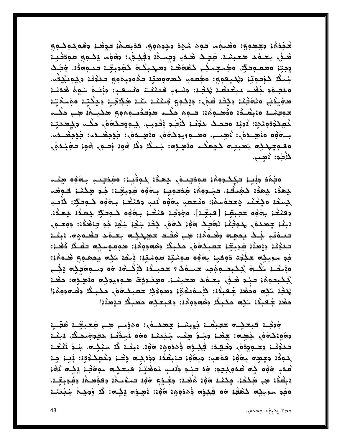تمخذه وجعوى: وضعمها حوم شمة وجدموى كذبصة تدفع وهوكوكوى هُـذِ بِعِـدَه هُعِبِشَـدَ. عَبِيدُ هُـدَبِ وِبِسِـهُدَ وَفِيـدٍ ، وَهُوَسَ يَحْـوِي مَوَدَنْـبِـدُ وجته معصودكه مغسيسكي كفوفد ومهبكت كفويته معووده وبك جَعِلًا كَوْدُوتِهِ وَيُحْيِقُونَ وَضِعُوبِ كَعَدَّوْمِعَةِ تَذْوَدِيهُمْ تَحْدُثُهُ وَكِوْنَكِذُهُ. ومعجلةم لجفت ببغيظية تحفيه: وشلوب فعننت ونسكبه: ونجكم سَوة فحفنية هجيدْنِي منحَنْنِدْ دِيْتْدْ عْجَى: دِيْكُمِ وَحَنْنَدْ مَنْدْ هِكِنْتِيْدْ دِيْكْتِدْ مَجْمَجْيَدْ حوجنا وديضاه وذهبوها: فيهم وكب هذفتوهوم هكبله هب وكب كَهِكُوْوْمِنْجِيْ: يُونِي وحمـكَ حَوْثَــْ كَلِّهَـٰدٍ بُِقُوبِيٍ. جِبِوِهِحكوَمَ، مَكَــِد وَجِعَـدتِيْ بِسِرَةُهِ وَثَمِيْتُوَى: يُصِيبُ وَصَبِ وَيَدِكْرَهُ فَي وَثَمِيْتُوَى: يَذْفِقُونَ يَذْفِقُونَ، مقويهدده بمعبيه كمعكد منصفه: سنك وقد هو: وحوى هو: حوبندي لأَجْدِ: `ْمَعَبِ.

ەجْھَة دِبْيِـة تَكْلِمُـدِهِمْة مُوَدْيَـمْ لِمُعْدُّة لِمُوَدِّية؛ وَمُدْتَبِيب بِـوَهُوَ مِيْعَـد بمعدد بمعدد كهنفد تجبوهم فدتوب بووه فوجبا: فوصدت فيمن جسفه وكغند وعدفسفه: ونعصب بحوَّوه ثمي وفنغة بكوُّوه كودكة: لأمب دِكْنَعْ، بِهَوْهِ حَجِبَتِيْ، [كَبِتِيْمَ]. وَهِدِبْ كَنْتُمْ، بِهَوْهِ كَوَدِيْ بِمِعْدُ، بِهِدْ، لْبِغْدْ جِعْدِهْ, جِدِجْنْدْ دْݣُومْ دْكُرُو حْجَمْ بْنِيْدْ جِيْفْ جْدِ جِيْفْدْدْ: دِوْجِـوْ, تتنفقد لجلك يمهجه وهُنفُهُ: هِي هُتُت تتهكِنِكِم بِعَنفَكَ تَهْنُفُهِمْ. يَبْتُنَهُ تَحْدِثُهُ دِيْحَةُهُ فِجِبِيّةُ حَقِيكَةَ مَنْ حَكِيكُ دِهْقَوْدِهِ حَقِيقِهِ حَقَائِكُمْ ذَهْبَةٌ: جْدِ سَوْبِكِهِ حَكِيْدَ دَوِقِيا بِهَوْهِ سَوِمْتِيا سَوِمْتِيَا: بَيْضًا سَكِم بِحَمْدِهِ وَحَدَثَ: وَيَحْدَدُ مَكْتُ بَعْدِتِنْ وَجَمِينَ حَيْدَةً لِمَنْ حَدِيثَةً لِمَنْ لِمَاءَ وَجَدِينَ وَجَنْبَ و لككبتوهُ: تبد هُجُر بِعَدْمَد مُعْبَسْة. ومِينَدِدِيّ مِنْ وَيِدِكِهِ وَقَصِيدَهِ: حَمْدُ يَكْتُبُ مَكِمٍ وَحَفْدُ جَعِبْدُ: كَيْسَوْدُهُمْ وَهُوَدُ حَصِبْكُمْ وَكُلِّكُ وَهُدَّوَهُمْ! حفد جُعبدُه كِلِّه حَكِبكُ وَهُهُوهُهُ: وقَبِعَكِهِ حَعَبُكُ فَيَعْدُبُهُ

وَجَمَعَ فَيَعْظِمُ مِنْهُمْ فَيَابِشَا حِمْدَهُ، وَهَذِيبٍ مِنْ فَعِيقَاءُ فَقَلَّبَ دِهَوْدَكُهُوْ، جُمِعَة: حِمْدُ دِجْجَ مِيْنَتْ جَنِعْنَدْ وَهُوَ يُحِدِّدُ حَجِدِهِ حَمِيْدًا وَجِنْد للَّذِيْنَا وَجَنُودِهُ، وَجُهِيدً: فَكِنْةِ وَهُدَهِهَا وَوْلَا. الْمِثْنَا كُلّ سَيْكِلُّ، شَيْءُ ثَيْتُنَا لحود وجعجه بهود فاهبا: وبهوا تنبغة وذكته وخد وكعكدونا: بْنِهْ جِهْ لْعَدِهِ وَوَمَ فِي تَعْدِدِي وَدَاءِ وَذَاءَ الْمَحْتِينَ فَبِعَثِهِ مِوَائِدًا إِنِّي أَوْمَ لْبِطْدُلِ هِي هَٰذِكُمْ. حِكْنَمْ 196 هُهُدْ: حِجْـجِمَ 196 تَحْدُمِنْهُمْ وَفَقِحَـهُمْ وَطِعِيمٌ. مَجْدِ سُوبِذِهِ كَفْتُهُ a فَكِنُوهِ ذَهَدِهِمْ 1961: نَصِيْهِ يَذِيهِ: لَا وَدِيْتُ شِبْعَنْـهُ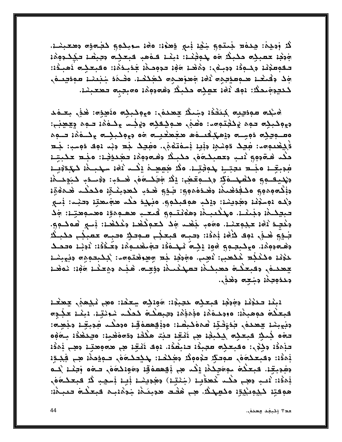لَا وَدِيمَ: حِدهَ جَمْعَهِ جَنْدِ بَيْ ذِهِدَ: 400 سوبِكُمِ كَتَبْهَدِهِ دِهْتِيْتَ. وَدِهِ تَعْبِدُهِ مَحْبِكُمْ وَهُ جُوَيْنَهُ: يَبْنَهُ فَوَهَبِ فَبَعْدُهُ وَجِبْعَةَ فَكَلْدُوهُمْ تكومخنا دكودًا ددبهر: دهَهْد الله تدودهَا جُدَبِدَهُا: ١٤بَعَيْدُ ١٤ نُعِيدُا: مِكْ دِفْعَةٍ مِنْعِيمِ مِنْ رَضْهُمْ مِنْ مِنْ مِنْكُمْ وَشَكَّرَ مِنْهَمْ مِنْتَهَا مِنْ مِنْهَمْ م ككيدة محكا: 492 162 تحيره حكبك دفعة دومة ومبيبة تعتبنه.

هَنِكِهِ مِهِدْيِيِهِ كِيَتْدُهُ دِينِيكُ يَعْدِمُي: مِعْدِيْهِ مِنْعِذِهِ: هَذِي بِعِيمَد جيوكبكِت توم يُكتُبّوهم: وَتَعْبُى مُتَوَكِّلِتُ جَيْنِكُ لِمَوْمَةٍ تَعْمَ جَيْمِينَى: ەسىمېدە دەسىلە دەھككىلەھ ھىجھىدىك مە دەمكىلىك مكىمەن سىم قَكِفْعُوهِ فِي دَوْسُمِهِ مِنْعِهِ بَسْمَتَهُمْ. وَفِيكَ جُع مِنِد دَوِكَ دَوِسِي: خُع حكَد هَـةَدِهِ بَيْـدٍ دِعْعَبِكَـةَهُ, حَكَبِـثَةَ دِهْـهِدِهِمْ: تَجْحَدَثَـدَ: مَجْـم عَكَبِيَّـد فوجعة مناح بجتبة لموثقة مثلا معصد ينحد ذفه سهبله كهددبة دَيْكِيفو وَكَتْبَهِـدْ وَكُلّْمِي بِكُرْ وَكُلّْ وَهُدَاءُ وَحَسَدُ وَجُسِدَةٍ كَبَيْدِكُمْ وَ دِبْنُـهِ؋موم وكـفِدْهُنمْ، دِهْـدَەْموم: شِـدِم هُـدَب كـمدِبنَــتِهِ، وكـدَكــد هَـمَهْمِّهِ، دكه دوسوند وهويند: وزكب هوقبكوي ونهيد مك هومعتد وفنعن نصح تبيكمة وجنثا، ولمكتبمة وهونتوم فتعب معاموة ومسومية: وك وكُتِيدُ آهُ، حَجْمِعَنْدْ، ٥٥مْ، جُغْب مِنْ كَعْمِكْتُمْ، وَخُكْفُتْ: بْسِي شَمْكُومِ. بَيْتِهِ هَيْ يَوْفَ لِأَوْمَ يَمَدُهُ: وَفَيْتُ فَيَعْجُلُ فَيَعْدِ وَفِيتُ مَعْيِجُلُ مَحْيَثُهُ دهَـهَ دِهِمْهُ. مَعِكْبِتِـمِ جَ هُوءُ يَكِـهُ يَـهُدُهُ = حَقِيمَهُمْ وَعَـٰدُدُهُ: يُدِيْـهِ محمـك لَحْفِنْدُ مَكْتُلِهِ نَكْفَنِي: يُصِي. مَجْدَمْ نَقِهِ وَصِعْفَتْقِومَ: يُكْتِبُوهِ وَبَيْنِهُمْ لَ يتعدعه وفبعكاة معبدها تستخدها ووجاها هجم ووعدت الأولا: نمغت دحدوجمة دسته دهدي.

لبند حكفند دجوفد فبعكت مجبفد: 2016 يتخدد: مجي نكعفي جعفد فبعلَّة موهبةُ: وودحقةُ: وهُجَدِّهُ: وجبعكُـ حَكَـد شونتِـ: يبغـ: عجْـوِ = ونوبشن جعده بذؤفتين فموكبقن وونهعموق ووحكت فوبغن ونعجه: <del>دە</del>ه جُىدِ فېغدِه <u>چ</u>كېڅن هِي آَيْتِن حبّت هكْتْن دِدّەەھْيى: ەچكھْدْن بِـ٦٥وه حَذِهِ ذَاءَ وَجِدْهِ : وَفَجِعَهِ صَحِبَةُ إِحْتَمَةٌ مِنْ مَعْ عَمَامِ وَاللَّهُ مَنْ مَدَّةٌ وَجَ نِمَدْنَ: وقبعدُوَهُ, موكِّدِ حَوْمِوْدُ وَهِدْهُ: حَذِيحُوَهُ, حَوِيهِمْ: هِي فَجْـةٍ: وَطِدِيتِهِ. فَيَعْدُو مُوَوَطِدُهُ يَكُد مِنِ يُقِعْطُونَهِ وَوَوَلاَدُوَهُ, فَوَقَدْ يَكُدُمُ يَكُ نِمَدْ:: لَانِبِ وَهِي حَكْبِ لَمُعَقِّبِ (شِنْتِيْ) وَهُوَيَشْدْ نِبِيْدِ نِسْجِبِ كُلْ فَبِعَكْتَهُ هوفتِنا ذَكِمِعنْكِتِنا وذَعِيدَتْ. هِي هُتَـد هُدِيدَةْ: شِجْهُنْدِم فَبَعَدُو فَعَبِـهْ: